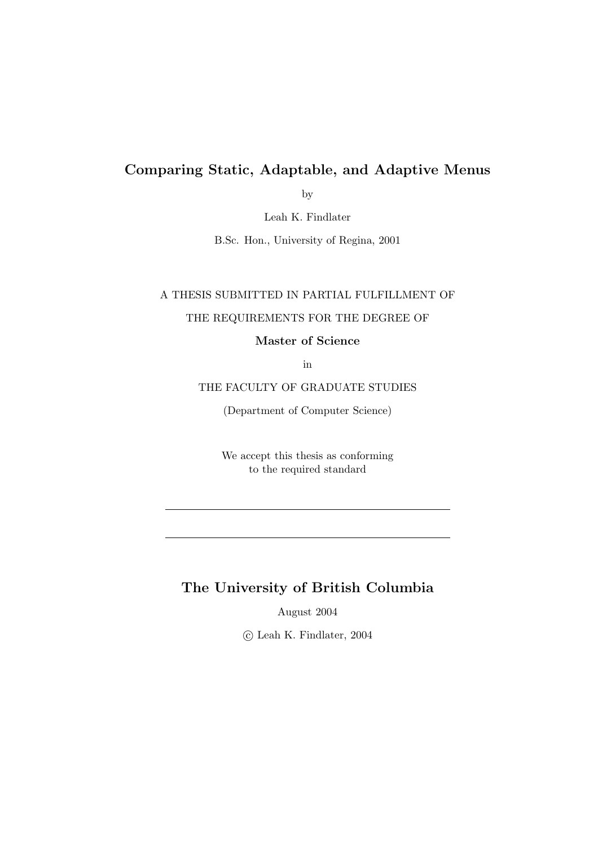### Comparing Static, Adaptable, and Adaptive Menus

by

Leah K. Findlater

B.Sc. Hon., University of Regina, 2001

### A THESIS SUBMITTED IN PARTIAL FULFILLMENT OF

### THE REQUIREMENTS FOR THE DEGREE OF

Master of Science

in

#### THE FACULTY OF GRADUATE STUDIES

(Department of Computer Science)

We accept this thesis as conforming to the required standard

### The University of British Columbia

August 2004

°c Leah K. Findlater, 2004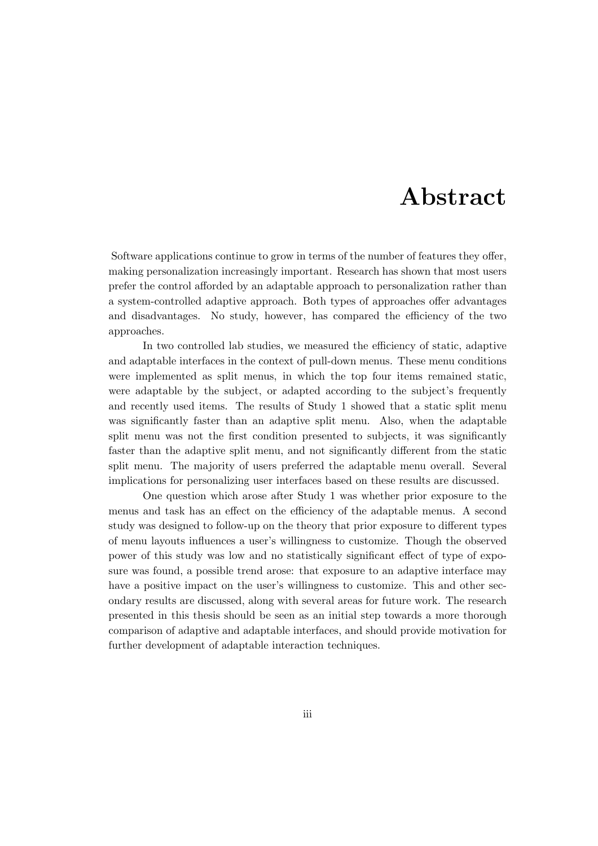# Abstract

Software applications continue to grow in terms of the number of features they offer, making personalization increasingly important. Research has shown that most users prefer the control afforded by an adaptable approach to personalization rather than a system-controlled adaptive approach. Both types of approaches offer advantages and disadvantages. No study, however, has compared the efficiency of the two approaches.

In two controlled lab studies, we measured the efficiency of static, adaptive and adaptable interfaces in the context of pull-down menus. These menu conditions were implemented as split menus, in which the top four items remained static, were adaptable by the subject, or adapted according to the subject's frequently and recently used items. The results of Study 1 showed that a static split menu was significantly faster than an adaptive split menu. Also, when the adaptable split menu was not the first condition presented to subjects, it was significantly faster than the adaptive split menu, and not significantly different from the static split menu. The majority of users preferred the adaptable menu overall. Several implications for personalizing user interfaces based on these results are discussed.

One question which arose after Study 1 was whether prior exposure to the menus and task has an effect on the efficiency of the adaptable menus. A second study was designed to follow-up on the theory that prior exposure to different types of menu layouts influences a user's willingness to customize. Though the observed power of this study was low and no statistically significant effect of type of exposure was found, a possible trend arose: that exposure to an adaptive interface may have a positive impact on the user's willingness to customize. This and other secondary results are discussed, along with several areas for future work. The research presented in this thesis should be seen as an initial step towards a more thorough comparison of adaptive and adaptable interfaces, and should provide motivation for further development of adaptable interaction techniques.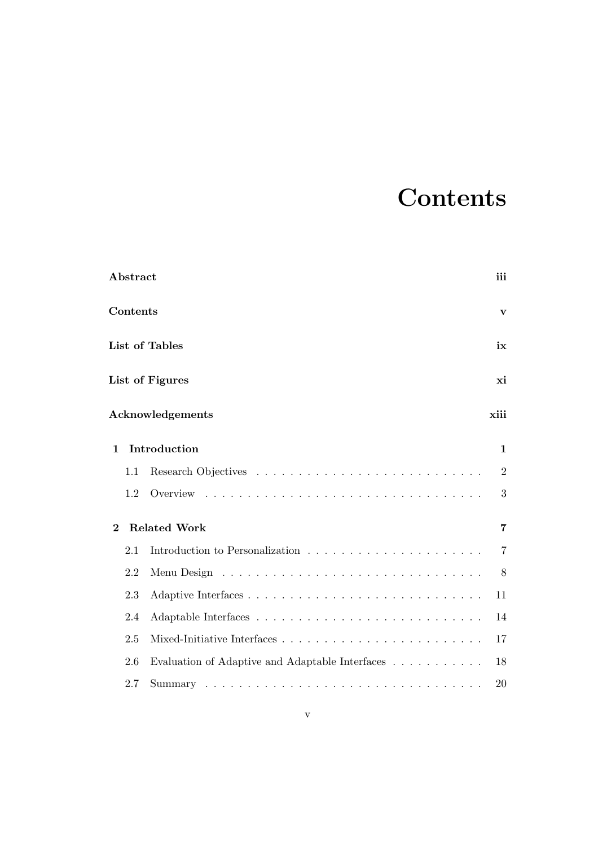# **Contents**

|                                 | ${\bf Abstract}$ |                                                 | iii            |  |
|---------------------------------|------------------|-------------------------------------------------|----------------|--|
|                                 | Contents         |                                                 | $\mathbf{v}$   |  |
|                                 | List of Tables   |                                                 |                |  |
|                                 |                  | List of Figures                                 | хi             |  |
|                                 |                  | Acknowledgements                                | xiii           |  |
| Introduction<br>$\mathbf{1}$    |                  |                                                 | $\mathbf 1$    |  |
|                                 | 1.1              |                                                 | $\overline{2}$ |  |
|                                 | 1.2              |                                                 | 3              |  |
| <b>Related Work</b><br>$\bf{2}$ |                  |                                                 |                |  |
|                                 | 2.1              |                                                 | $\overline{7}$ |  |
|                                 | 2.2              |                                                 | 8              |  |
|                                 | 2.3              |                                                 | 11             |  |
|                                 | 2.4              |                                                 | 14             |  |
|                                 | 2.5              |                                                 | 17             |  |
|                                 | 2.6              | Evaluation of Adaptive and Adaptable Interfaces | 18             |  |
|                                 | 2.7              | Summary                                         | 20             |  |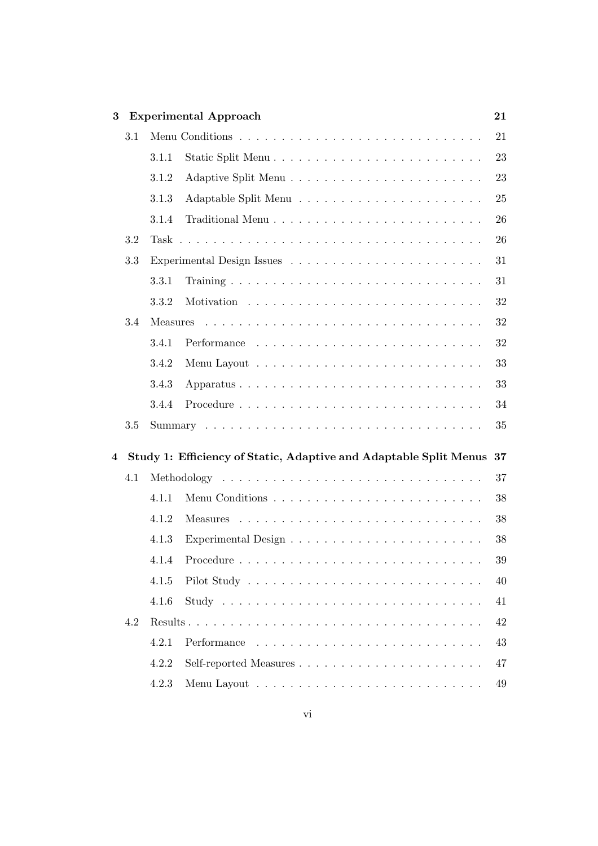| 3 |         |       | <b>Experimental Approach</b>                                      | 21 |
|---|---------|-------|-------------------------------------------------------------------|----|
|   | 3.1     |       |                                                                   | 21 |
|   |         | 3.1.1 |                                                                   | 23 |
|   |         | 3.1.2 |                                                                   | 23 |
|   |         | 3.1.3 |                                                                   | 25 |
|   |         | 3.1.4 |                                                                   | 26 |
|   | 3.2     |       |                                                                   | 26 |
|   | 3.3     |       |                                                                   | 31 |
|   |         | 3.3.1 |                                                                   | 31 |
|   |         | 3.3.2 |                                                                   | 32 |
|   | 3.4     |       |                                                                   | 32 |
|   |         | 3.4.1 |                                                                   | 32 |
|   |         | 3.4.2 |                                                                   | 33 |
|   |         | 3.4.3 |                                                                   | 33 |
|   |         | 3.4.4 |                                                                   | 34 |
|   | $3.5\,$ |       |                                                                   | 35 |
| 4 |         |       | Study 1: Efficiency of Static, Adaptive and Adaptable Split Menus | 37 |
|   | 4.1     |       |                                                                   | 37 |
|   |         | 4.1.1 |                                                                   | 38 |
|   |         | 4.1.2 |                                                                   | 38 |
|   |         | 4.1.3 |                                                                   | 38 |
|   |         |       | 4.1.4 Procedure                                                   | 39 |
|   |         | 4.1.5 |                                                                   | 40 |
|   |         | 4.1.6 |                                                                   | 41 |
|   | 4.2     |       |                                                                   | 42 |
|   |         | 4.2.1 |                                                                   | 43 |
|   |         | 4.2.2 |                                                                   | 47 |
|   |         | 4.2.3 |                                                                   | 49 |
|   |         |       |                                                                   |    |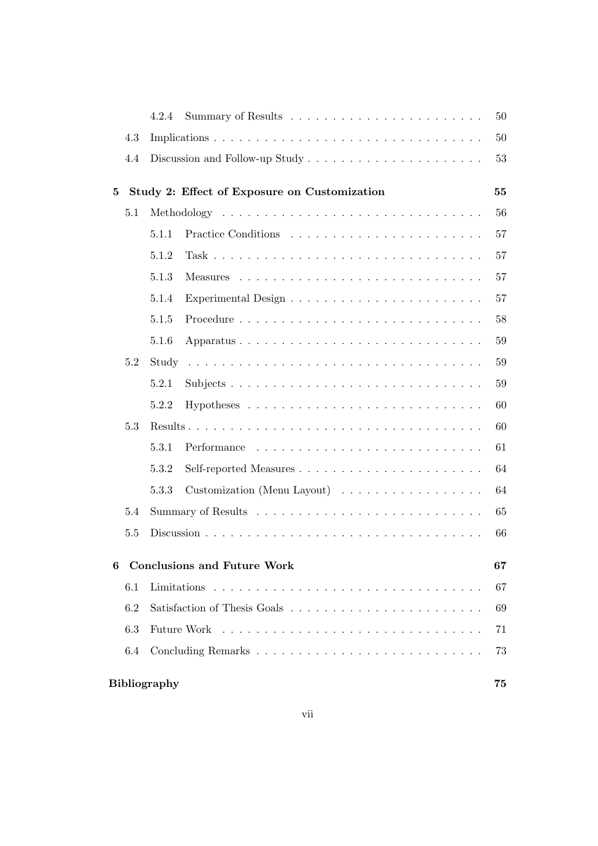|                  |     | 4.2.4               |                                              | 50 |
|------------------|-----|---------------------|----------------------------------------------|----|
|                  | 4.3 |                     |                                              | 50 |
|                  | 4.4 |                     |                                              | 53 |
| $\bf{5}$         |     |                     | Study 2: Effect of Exposure on Customization | 55 |
|                  | 5.1 |                     |                                              | 56 |
|                  |     | 5.1.1               |                                              | 57 |
|                  |     | 5.1.2               |                                              | 57 |
|                  |     | 5.1.3               |                                              | 57 |
|                  |     | 5.1.4               |                                              | 57 |
|                  |     | 5.1.5               |                                              | 58 |
|                  |     | 5.1.6               |                                              | 59 |
|                  | 5.2 |                     |                                              | 59 |
|                  |     | 5.2.1               |                                              | 59 |
|                  |     | 5.2.2               |                                              | 60 |
|                  | 5.3 |                     |                                              | 60 |
|                  |     | 5.3.1               |                                              | 61 |
|                  |     | 5.3.2               |                                              | 64 |
|                  |     | 5.3.3               | Customization (Menu Layout)                  | 64 |
|                  | 5.4 |                     |                                              | 65 |
|                  | 5.5 |                     |                                              | 66 |
| $\boldsymbol{6}$ |     |                     | <b>Conclusions and Future Work</b>           | 67 |
|                  | 6.1 |                     |                                              | 67 |
|                  | 6.2 |                     |                                              | 69 |
|                  | 6.3 |                     |                                              | 71 |
|                  | 6.4 |                     |                                              | 73 |
|                  |     | <b>Bibliography</b> |                                              | 75 |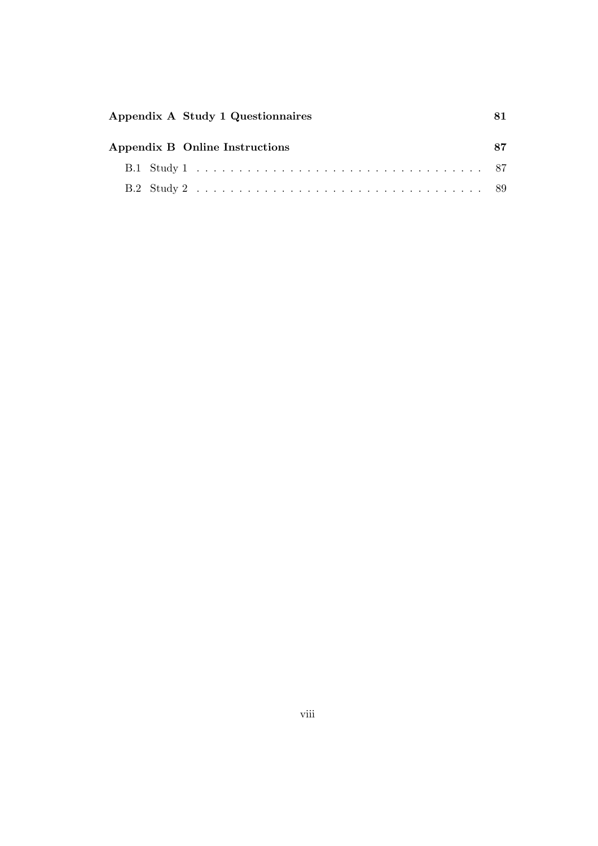| Appendix A Study 1 Questionnaires |  |
|-----------------------------------|--|
| Appendix B Online Instructions    |  |
|                                   |  |
|                                   |  |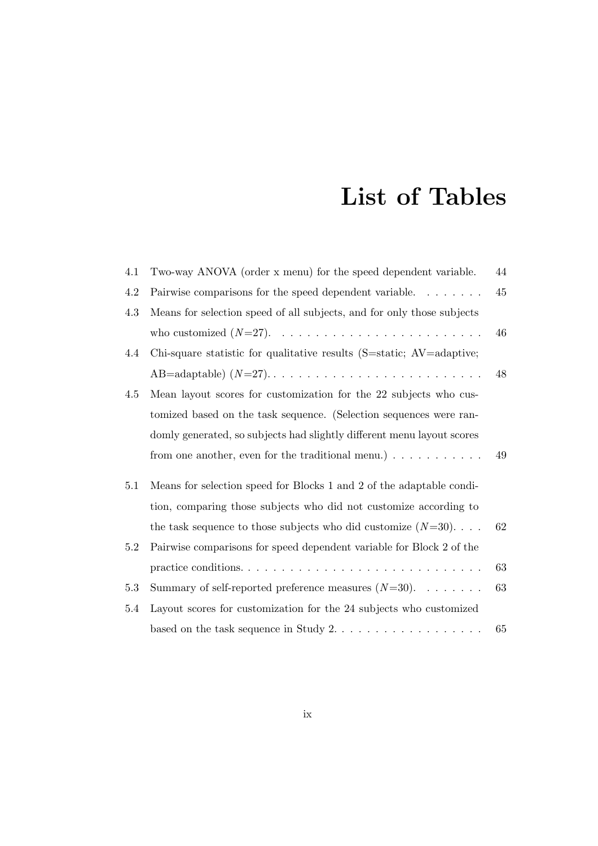# List of Tables

| Two-way ANOVA (order x menu) for the speed dependent variable.              | 44 |
|-----------------------------------------------------------------------------|----|
| Pairwise comparisons for the speed dependent variable.                      | 45 |
| Means for selection speed of all subjects, and for only those subjects      |    |
|                                                                             | 46 |
| Chi-square statistic for qualitative results (S=static; AV=adaptive;        |    |
|                                                                             | 48 |
| Mean layout scores for customization for the 22 subjects who cus-           |    |
| tomized based on the task sequence. (Selection sequences were ran-          |    |
| domly generated, so subjects had slightly different menu layout scores      |    |
| from one another, even for the traditional menu.) $\ldots \ldots \ldots$    | 49 |
| Means for selection speed for Blocks 1 and 2 of the adaptable condi-        |    |
| tion, comparing those subjects who did not customize according to           |    |
| the task sequence to those subjects who did customize $(N=30)$              | 62 |
| Pairwise comparisons for speed dependent variable for Block 2 of the        |    |
|                                                                             | 63 |
| Summary of self-reported preference measures $(N=30)$ .                     | 63 |
| Layout scores for customization for the 24 subjects who customized          |    |
| based on the task sequence in Study $2. \ldots \ldots \ldots \ldots \ldots$ | 65 |
|                                                                             |    |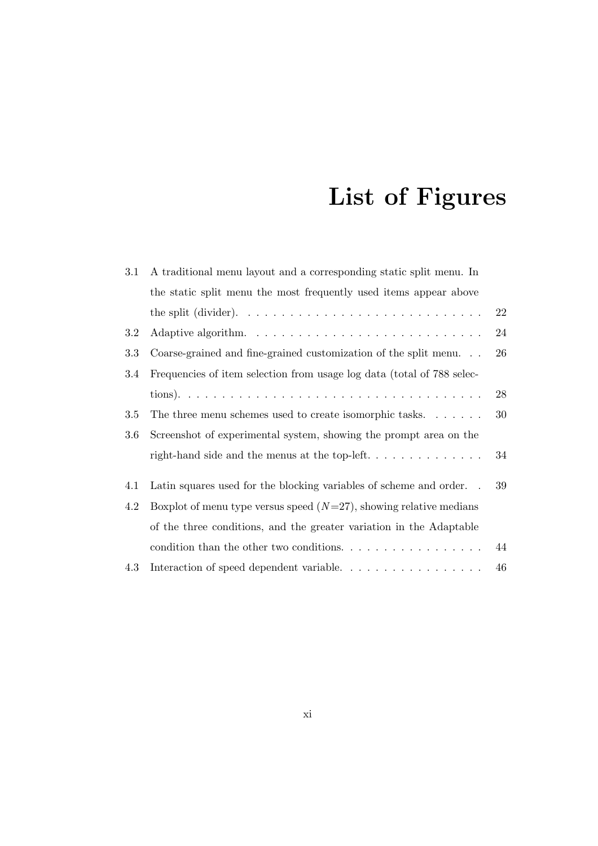# List of Figures

| 3.1 | A traditional menu layout and a corresponding static split menu. In                            |    |
|-----|------------------------------------------------------------------------------------------------|----|
|     | the static split menu the most frequently used items appear above                              |    |
|     | the split (divider). $\dots \dots \dots \dots \dots \dots \dots \dots \dots \dots \dots \dots$ | 22 |
| 3.2 |                                                                                                | 24 |
| 3.3 | Coarse-grained and fine-grained customization of the split menu. $\ldots$                      | 26 |
| 3.4 | Frequencies of item selection from usage log data (total of 788 selec-                         |    |
|     |                                                                                                | 28 |
| 3.5 | The three menu schemes used to create isomorphic tasks                                         | 30 |
| 3.6 | Screenshot of experimental system, showing the prompt area on the                              |    |
|     |                                                                                                | 34 |
| 4.1 | Latin squares used for the blocking variables of scheme and order                              | 39 |
| 4.2 | Boxplot of menu type versus speed $(N=27)$ , showing relative medians                          |    |
|     | of the three conditions, and the greater variation in the Adaptable                            |    |
|     | condition than the other two conditions. $\dots \dots \dots \dots \dots \dots$                 | 44 |
| 4.3 | Interaction of speed dependent variable. $\dots \dots \dots \dots \dots \dots$                 | 46 |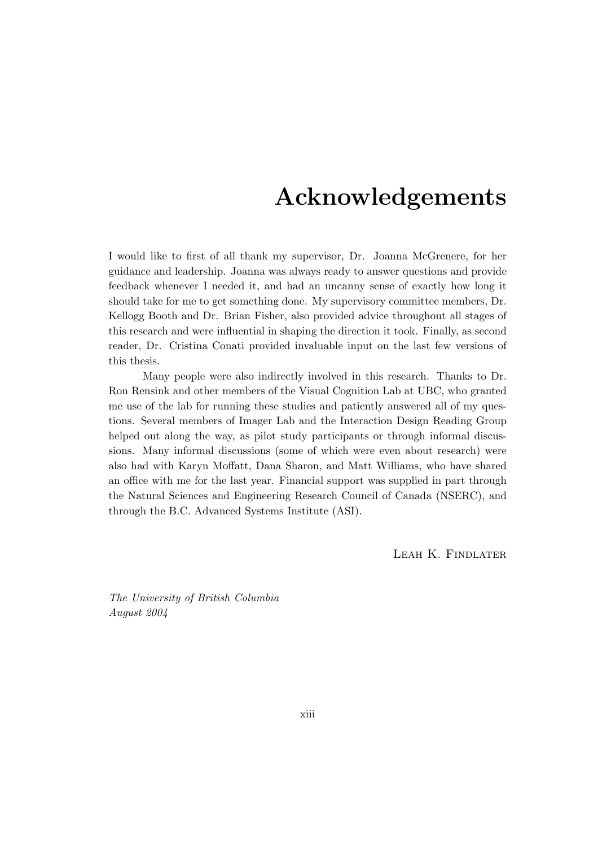# Acknowledgements

I would like to first of all thank my supervisor, Dr. Joanna McGrenere, for her guidance and leadership. Joanna was always ready to answer questions and provide feedback whenever I needed it, and had an uncanny sense of exactly how long it should take for me to get something done. My supervisory committee members, Dr. Kellogg Booth and Dr. Brian Fisher, also provided advice throughout all stages of this research and were influential in shaping the direction it took. Finally, as second reader, Dr. Cristina Conati provided invaluable input on the last few versions of this thesis.

Many people were also indirectly involved in this research. Thanks to Dr. Ron Rensink and other members of the Visual Cognition Lab at UBC, who granted me use of the lab for running these studies and patiently answered all of my questions. Several members of Imager Lab and the Interaction Design Reading Group helped out along the way, as pilot study participants or through informal discussions. Many informal discussions (some of which were even about research) were also had with Karyn Moffatt, Dana Sharon, and Matt Williams, who have shared an office with me for the last year. Financial support was supplied in part through the Natural Sciences and Engineering Research Council of Canada (NSERC), and through the B.C. Advanced Systems Institute (ASI).

Leah K. Findlater

The University of British Columbia August 2004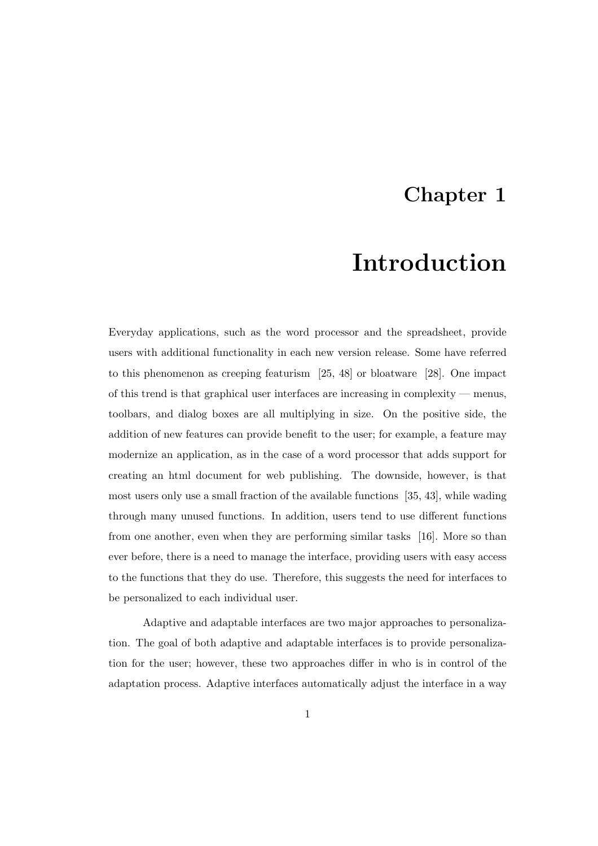### Chapter 1

# Introduction

Everyday applications, such as the word processor and the spreadsheet, provide users with additional functionality in each new version release. Some have referred to this phenomenon as creeping featurism [25, 48] or bloatware [28]. One impact of this trend is that graphical user interfaces are increasing in complexity — menus, toolbars, and dialog boxes are all multiplying in size. On the positive side, the addition of new features can provide benefit to the user; for example, a feature may modernize an application, as in the case of a word processor that adds support for creating an html document for web publishing. The downside, however, is that most users only use a small fraction of the available functions [35, 43], while wading through many unused functions. In addition, users tend to use different functions from one another, even when they are performing similar tasks [16]. More so than ever before, there is a need to manage the interface, providing users with easy access to the functions that they do use. Therefore, this suggests the need for interfaces to be personalized to each individual user.

Adaptive and adaptable interfaces are two major approaches to personalization. The goal of both adaptive and adaptable interfaces is to provide personalization for the user; however, these two approaches differ in who is in control of the adaptation process. Adaptive interfaces automatically adjust the interface in a way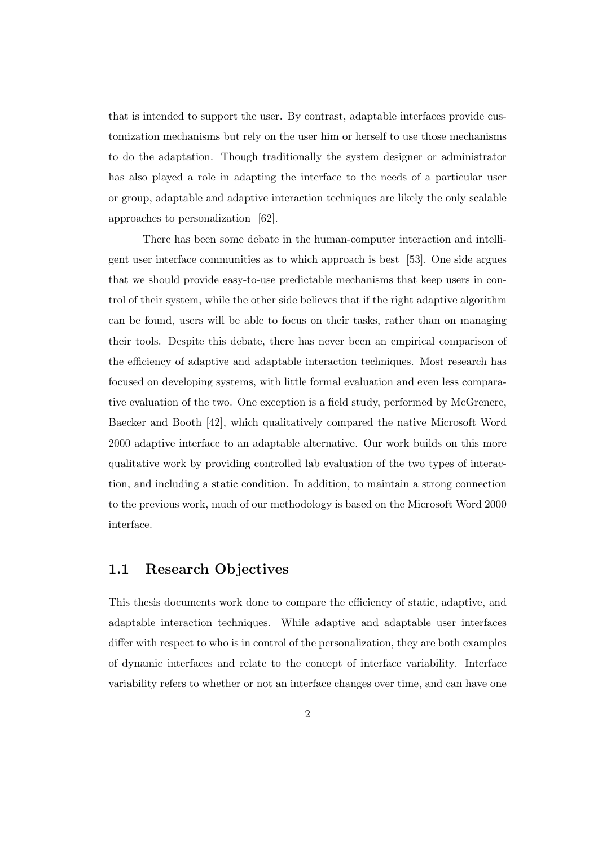that is intended to support the user. By contrast, adaptable interfaces provide customization mechanisms but rely on the user him or herself to use those mechanisms to do the adaptation. Though traditionally the system designer or administrator has also played a role in adapting the interface to the needs of a particular user or group, adaptable and adaptive interaction techniques are likely the only scalable approaches to personalization [62].

There has been some debate in the human-computer interaction and intelligent user interface communities as to which approach is best [53]. One side argues that we should provide easy-to-use predictable mechanisms that keep users in control of their system, while the other side believes that if the right adaptive algorithm can be found, users will be able to focus on their tasks, rather than on managing their tools. Despite this debate, there has never been an empirical comparison of the efficiency of adaptive and adaptable interaction techniques. Most research has focused on developing systems, with little formal evaluation and even less comparative evaluation of the two. One exception is a field study, performed by McGrenere, Baecker and Booth [42], which qualitatively compared the native Microsoft Word 2000 adaptive interface to an adaptable alternative. Our work builds on this more qualitative work by providing controlled lab evaluation of the two types of interaction, and including a static condition. In addition, to maintain a strong connection to the previous work, much of our methodology is based on the Microsoft Word 2000 interface.

### 1.1 Research Objectives

This thesis documents work done to compare the efficiency of static, adaptive, and adaptable interaction techniques. While adaptive and adaptable user interfaces differ with respect to who is in control of the personalization, they are both examples of dynamic interfaces and relate to the concept of interface variability. Interface variability refers to whether or not an interface changes over time, and can have one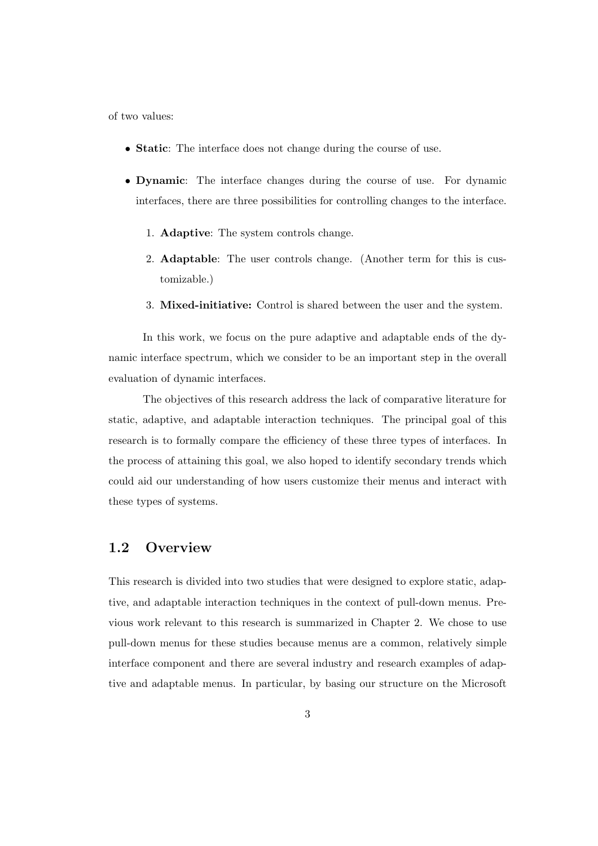of two values:

- Static: The interface does not change during the course of use.
- Dynamic: The interface changes during the course of use. For dynamic interfaces, there are three possibilities for controlling changes to the interface.
	- 1. Adaptive: The system controls change.
	- 2. Adaptable: The user controls change. (Another term for this is customizable.)
	- 3. Mixed-initiative: Control is shared between the user and the system.

In this work, we focus on the pure adaptive and adaptable ends of the dynamic interface spectrum, which we consider to be an important step in the overall evaluation of dynamic interfaces.

The objectives of this research address the lack of comparative literature for static, adaptive, and adaptable interaction techniques. The principal goal of this research is to formally compare the efficiency of these three types of interfaces. In the process of attaining this goal, we also hoped to identify secondary trends which could aid our understanding of how users customize their menus and interact with these types of systems.

### 1.2 Overview

This research is divided into two studies that were designed to explore static, adaptive, and adaptable interaction techniques in the context of pull-down menus. Previous work relevant to this research is summarized in Chapter 2. We chose to use pull-down menus for these studies because menus are a common, relatively simple interface component and there are several industry and research examples of adaptive and adaptable menus. In particular, by basing our structure on the Microsoft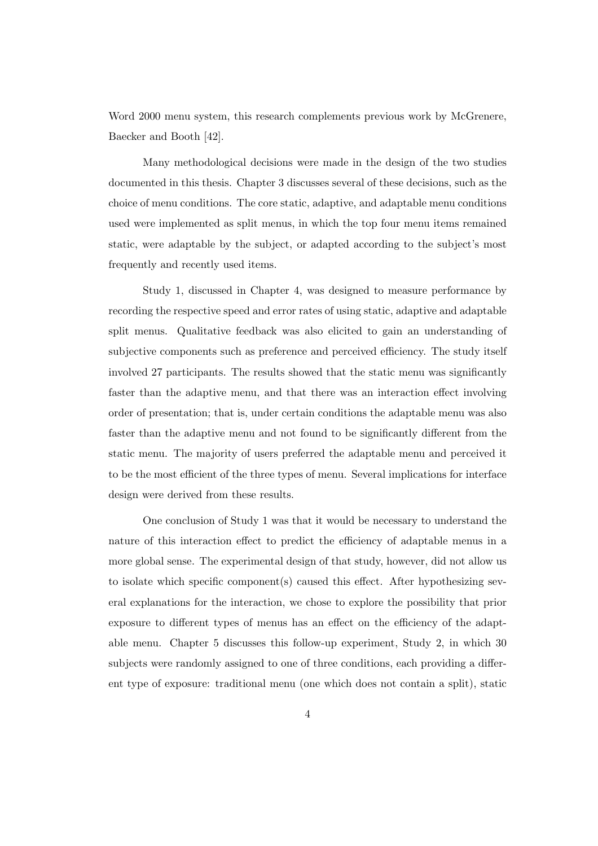Word 2000 menu system, this research complements previous work by McGrenere, Baecker and Booth [42].

Many methodological decisions were made in the design of the two studies documented in this thesis. Chapter 3 discusses several of these decisions, such as the choice of menu conditions. The core static, adaptive, and adaptable menu conditions used were implemented as split menus, in which the top four menu items remained static, were adaptable by the subject, or adapted according to the subject's most frequently and recently used items.

Study 1, discussed in Chapter 4, was designed to measure performance by recording the respective speed and error rates of using static, adaptive and adaptable split menus. Qualitative feedback was also elicited to gain an understanding of subjective components such as preference and perceived efficiency. The study itself involved 27 participants. The results showed that the static menu was significantly faster than the adaptive menu, and that there was an interaction effect involving order of presentation; that is, under certain conditions the adaptable menu was also faster than the adaptive menu and not found to be significantly different from the static menu. The majority of users preferred the adaptable menu and perceived it to be the most efficient of the three types of menu. Several implications for interface design were derived from these results.

One conclusion of Study 1 was that it would be necessary to understand the nature of this interaction effect to predict the efficiency of adaptable menus in a more global sense. The experimental design of that study, however, did not allow us to isolate which specific component(s) caused this effect. After hypothesizing several explanations for the interaction, we chose to explore the possibility that prior exposure to different types of menus has an effect on the efficiency of the adaptable menu. Chapter 5 discusses this follow-up experiment, Study 2, in which 30 subjects were randomly assigned to one of three conditions, each providing a different type of exposure: traditional menu (one which does not contain a split), static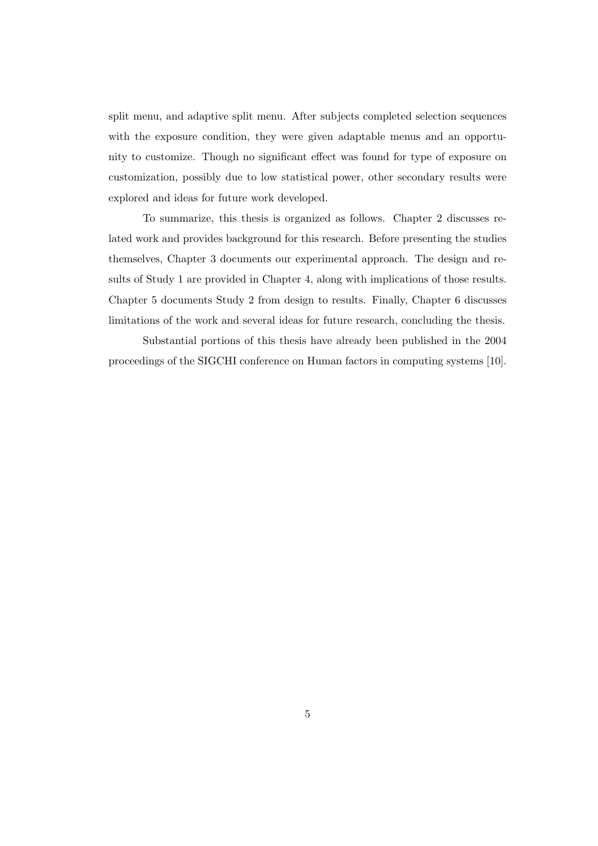split menu, and adaptive split menu. After subjects completed selection sequences with the exposure condition, they were given adaptable menus and an opportunity to customize. Though no significant effect was found for type of exposure on customization, possibly due to low statistical power, other secondary results were explored and ideas for future work developed.

To summarize, this thesis is organized as follows. Chapter 2 discusses related work and provides background for this research. Before presenting the studies themselves, Chapter 3 documents our experimental approach. The design and results of Study 1 are provided in Chapter 4, along with implications of those results. Chapter 5 documents Study 2 from design to results. Finally, Chapter 6 discusses limitations of the work and several ideas for future research, concluding the thesis.

Substantial portions of this thesis have already been published in the 2004 proceedings of the SIGCHI conference on Human factors in computing systems [10].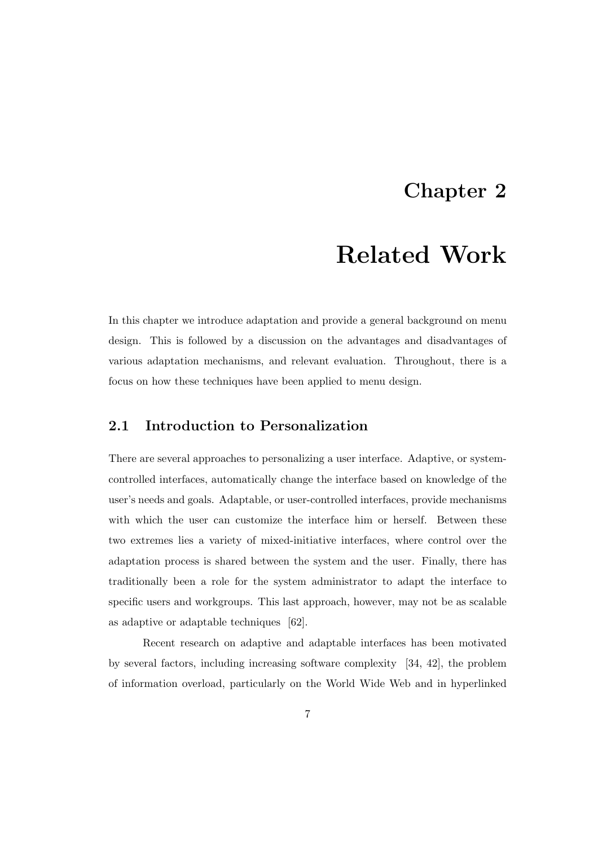### Chapter 2

# Related Work

In this chapter we introduce adaptation and provide a general background on menu design. This is followed by a discussion on the advantages and disadvantages of various adaptation mechanisms, and relevant evaluation. Throughout, there is a focus on how these techniques have been applied to menu design.

### 2.1 Introduction to Personalization

There are several approaches to personalizing a user interface. Adaptive, or systemcontrolled interfaces, automatically change the interface based on knowledge of the user's needs and goals. Adaptable, or user-controlled interfaces, provide mechanisms with which the user can customize the interface him or herself. Between these two extremes lies a variety of mixed-initiative interfaces, where control over the adaptation process is shared between the system and the user. Finally, there has traditionally been a role for the system administrator to adapt the interface to specific users and workgroups. This last approach, however, may not be as scalable as adaptive or adaptable techniques [62].

Recent research on adaptive and adaptable interfaces has been motivated by several factors, including increasing software complexity [34, 42], the problem of information overload, particularly on the World Wide Web and in hyperlinked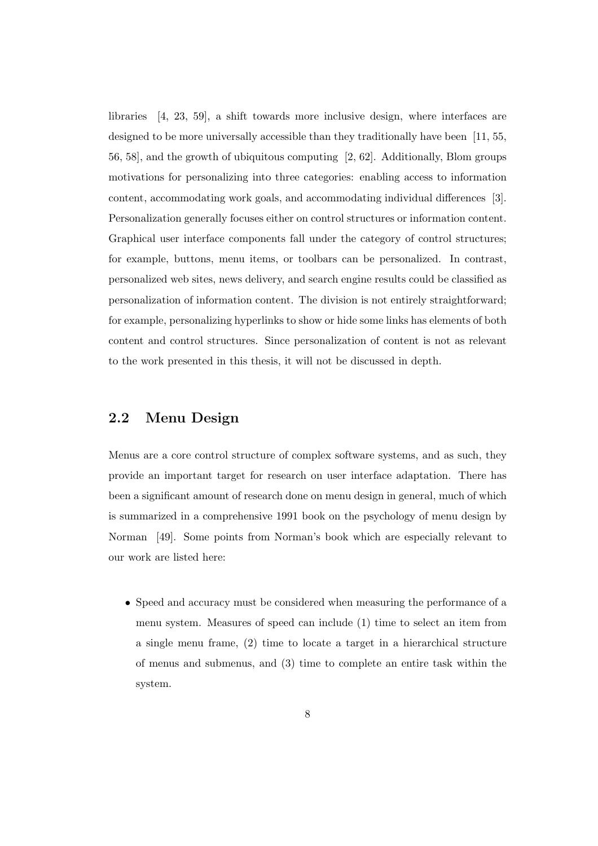libraries [4, 23, 59], a shift towards more inclusive design, where interfaces are designed to be more universally accessible than they traditionally have been [11, 55, 56, 58], and the growth of ubiquitous computing [2, 62]. Additionally, Blom groups motivations for personalizing into three categories: enabling access to information content, accommodating work goals, and accommodating individual differences [3]. Personalization generally focuses either on control structures or information content. Graphical user interface components fall under the category of control structures; for example, buttons, menu items, or toolbars can be personalized. In contrast, personalized web sites, news delivery, and search engine results could be classified as personalization of information content. The division is not entirely straightforward; for example, personalizing hyperlinks to show or hide some links has elements of both content and control structures. Since personalization of content is not as relevant to the work presented in this thesis, it will not be discussed in depth.

### 2.2 Menu Design

Menus are a core control structure of complex software systems, and as such, they provide an important target for research on user interface adaptation. There has been a significant amount of research done on menu design in general, much of which is summarized in a comprehensive 1991 book on the psychology of menu design by Norman [49]. Some points from Norman's book which are especially relevant to our work are listed here:

• Speed and accuracy must be considered when measuring the performance of a menu system. Measures of speed can include (1) time to select an item from a single menu frame, (2) time to locate a target in a hierarchical structure of menus and submenus, and (3) time to complete an entire task within the system.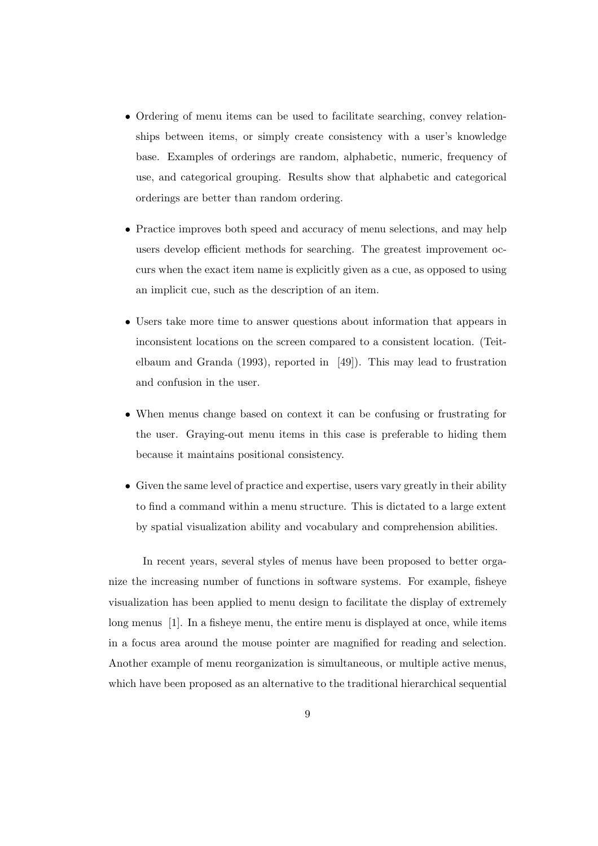- Ordering of menu items can be used to facilitate searching, convey relationships between items, or simply create consistency with a user's knowledge base. Examples of orderings are random, alphabetic, numeric, frequency of use, and categorical grouping. Results show that alphabetic and categorical orderings are better than random ordering.
- Practice improves both speed and accuracy of menu selections, and may help users develop efficient methods for searching. The greatest improvement occurs when the exact item name is explicitly given as a cue, as opposed to using an implicit cue, such as the description of an item.
- Users take more time to answer questions about information that appears in inconsistent locations on the screen compared to a consistent location. (Teitelbaum and Granda (1993), reported in [49]). This may lead to frustration and confusion in the user.
- When menus change based on context it can be confusing or frustrating for the user. Graying-out menu items in this case is preferable to hiding them because it maintains positional consistency.
- Given the same level of practice and expertise, users vary greatly in their ability to find a command within a menu structure. This is dictated to a large extent by spatial visualization ability and vocabulary and comprehension abilities.

In recent years, several styles of menus have been proposed to better organize the increasing number of functions in software systems. For example, fisheye visualization has been applied to menu design to facilitate the display of extremely long menus [1]. In a fisheye menu, the entire menu is displayed at once, while items in a focus area around the mouse pointer are magnified for reading and selection. Another example of menu reorganization is simultaneous, or multiple active menus, which have been proposed as an alternative to the traditional hierarchical sequential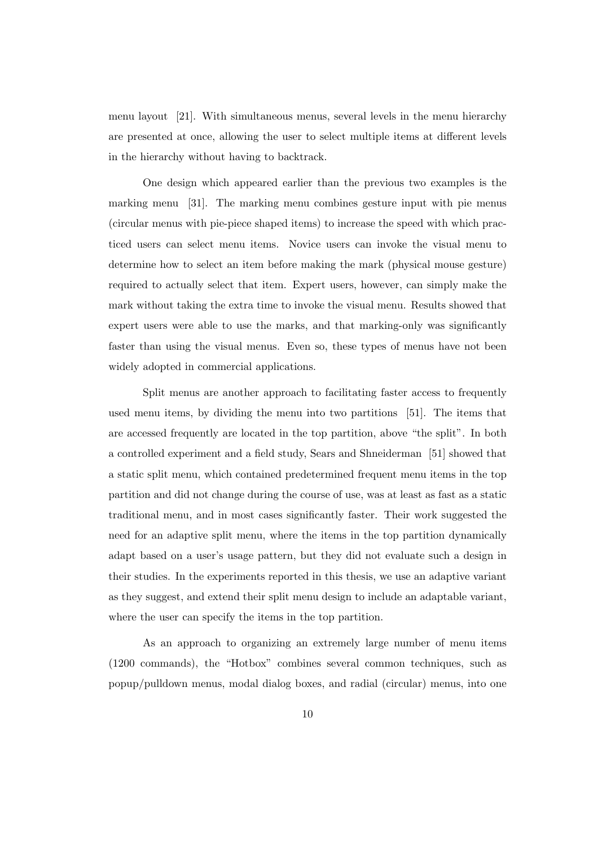menu layout [21]. With simultaneous menus, several levels in the menu hierarchy are presented at once, allowing the user to select multiple items at different levels in the hierarchy without having to backtrack.

One design which appeared earlier than the previous two examples is the marking menu [31]. The marking menu combines gesture input with pie menus (circular menus with pie-piece shaped items) to increase the speed with which practiced users can select menu items. Novice users can invoke the visual menu to determine how to select an item before making the mark (physical mouse gesture) required to actually select that item. Expert users, however, can simply make the mark without taking the extra time to invoke the visual menu. Results showed that expert users were able to use the marks, and that marking-only was significantly faster than using the visual menus. Even so, these types of menus have not been widely adopted in commercial applications.

Split menus are another approach to facilitating faster access to frequently used menu items, by dividing the menu into two partitions [51]. The items that are accessed frequently are located in the top partition, above "the split". In both a controlled experiment and a field study, Sears and Shneiderman [51] showed that a static split menu, which contained predetermined frequent menu items in the top partition and did not change during the course of use, was at least as fast as a static traditional menu, and in most cases significantly faster. Their work suggested the need for an adaptive split menu, where the items in the top partition dynamically adapt based on a user's usage pattern, but they did not evaluate such a design in their studies. In the experiments reported in this thesis, we use an adaptive variant as they suggest, and extend their split menu design to include an adaptable variant, where the user can specify the items in the top partition.

As an approach to organizing an extremely large number of menu items (1200 commands), the "Hotbox" combines several common techniques, such as popup/pulldown menus, modal dialog boxes, and radial (circular) menus, into one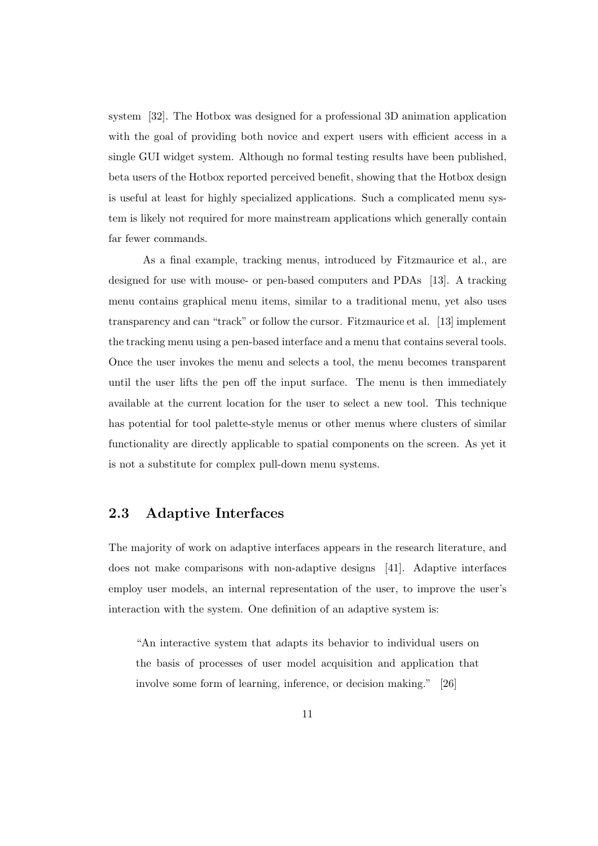system [32]. The Hotbox was designed for a professional 3D animation application with the goal of providing both novice and expert users with efficient access in a single GUI widget system. Although no formal testing results have been published, beta users of the Hotbox reported perceived benefit, showing that the Hotbox design is useful at least for highly specialized applications. Such a complicated menu system is likely not required for more mainstream applications which generally contain far fewer commands.

As a final example, tracking menus, introduced by Fitzmaurice et al., are designed for use with mouse- or pen-based computers and PDAs [13]. A tracking menu contains graphical menu items, similar to a traditional menu, yet also uses transparency and can "track" or follow the cursor. Fitzmaurice et al. [13] implement the tracking menu using a pen-based interface and a menu that contains several tools. Once the user invokes the menu and selects a tool, the menu becomes transparent until the user lifts the pen off the input surface. The menu is then immediately available at the current location for the user to select a new tool. This technique has potential for tool palette-style menus or other menus where clusters of similar functionality are directly applicable to spatial components on the screen. As yet it is not a substitute for complex pull-down menu systems.

### 2.3 Adaptive Interfaces

The majority of work on adaptive interfaces appears in the research literature, and does not make comparisons with non-adaptive designs [41]. Adaptive interfaces employ user models, an internal representation of the user, to improve the user's interaction with the system. One definition of an adaptive system is:

"An interactive system that adapts its behavior to individual users on the basis of processes of user model acquisition and application that involve some form of learning, inference, or decision making." [26]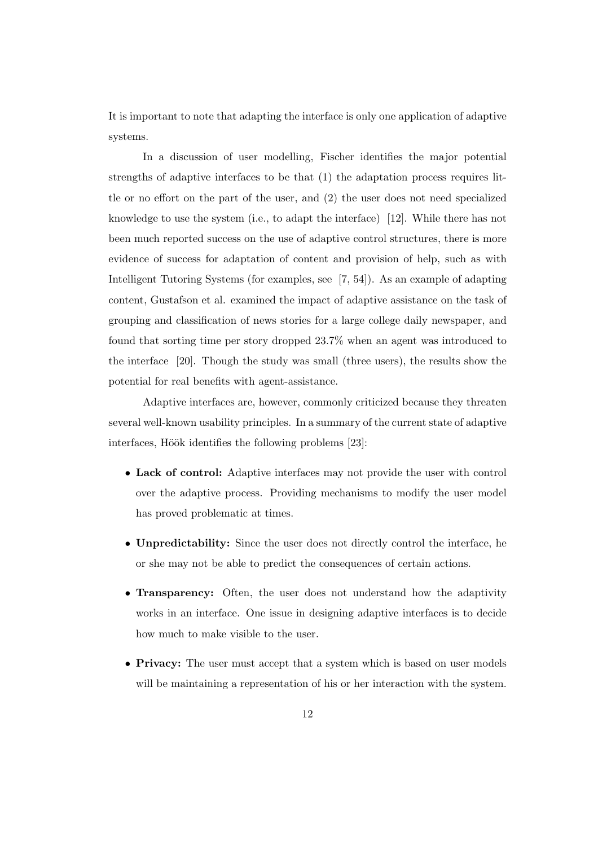It is important to note that adapting the interface is only one application of adaptive systems.

In a discussion of user modelling, Fischer identifies the major potential strengths of adaptive interfaces to be that (1) the adaptation process requires little or no effort on the part of the user, and (2) the user does not need specialized knowledge to use the system (i.e., to adapt the interface) [12]. While there has not been much reported success on the use of adaptive control structures, there is more evidence of success for adaptation of content and provision of help, such as with Intelligent Tutoring Systems (for examples, see [7, 54]). As an example of adapting content, Gustafson et al. examined the impact of adaptive assistance on the task of grouping and classification of news stories for a large college daily newspaper, and found that sorting time per story dropped 23.7% when an agent was introduced to the interface [20]. Though the study was small (three users), the results show the potential for real benefits with agent-assistance.

Adaptive interfaces are, however, commonly criticized because they threaten several well-known usability principles. In a summary of the current state of adaptive interfaces, Höök identifies the following problems [23]:

- Lack of control: Adaptive interfaces may not provide the user with control over the adaptive process. Providing mechanisms to modify the user model has proved problematic at times.
- Unpredictability: Since the user does not directly control the interface, he or she may not be able to predict the consequences of certain actions.
- Transparency: Often, the user does not understand how the adaptivity works in an interface. One issue in designing adaptive interfaces is to decide how much to make visible to the user.
- Privacy: The user must accept that a system which is based on user models will be maintaining a representation of his or her interaction with the system.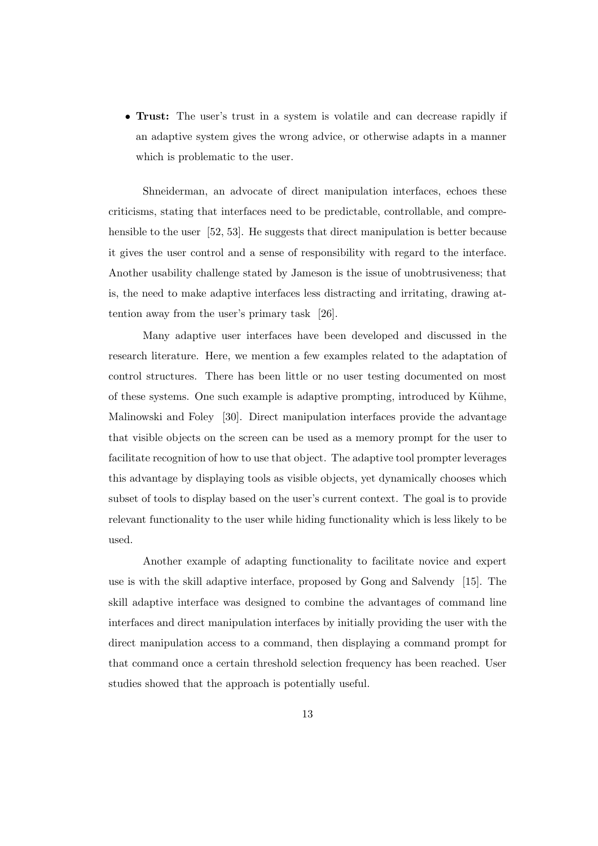• Trust: The user's trust in a system is volatile and can decrease rapidly if an adaptive system gives the wrong advice, or otherwise adapts in a manner which is problematic to the user.

Shneiderman, an advocate of direct manipulation interfaces, echoes these criticisms, stating that interfaces need to be predictable, controllable, and comprehensible to the user [52, 53]. He suggests that direct manipulation is better because it gives the user control and a sense of responsibility with regard to the interface. Another usability challenge stated by Jameson is the issue of unobtrusiveness; that is, the need to make adaptive interfaces less distracting and irritating, drawing attention away from the user's primary task [26].

Many adaptive user interfaces have been developed and discussed in the research literature. Here, we mention a few examples related to the adaptation of control structures. There has been little or no user testing documented on most of these systems. One such example is adaptive prompting, introduced by Kühme, Malinowski and Foley [30]. Direct manipulation interfaces provide the advantage that visible objects on the screen can be used as a memory prompt for the user to facilitate recognition of how to use that object. The adaptive tool prompter leverages this advantage by displaying tools as visible objects, yet dynamically chooses which subset of tools to display based on the user's current context. The goal is to provide relevant functionality to the user while hiding functionality which is less likely to be used.

Another example of adapting functionality to facilitate novice and expert use is with the skill adaptive interface, proposed by Gong and Salvendy [15]. The skill adaptive interface was designed to combine the advantages of command line interfaces and direct manipulation interfaces by initially providing the user with the direct manipulation access to a command, then displaying a command prompt for that command once a certain threshold selection frequency has been reached. User studies showed that the approach is potentially useful.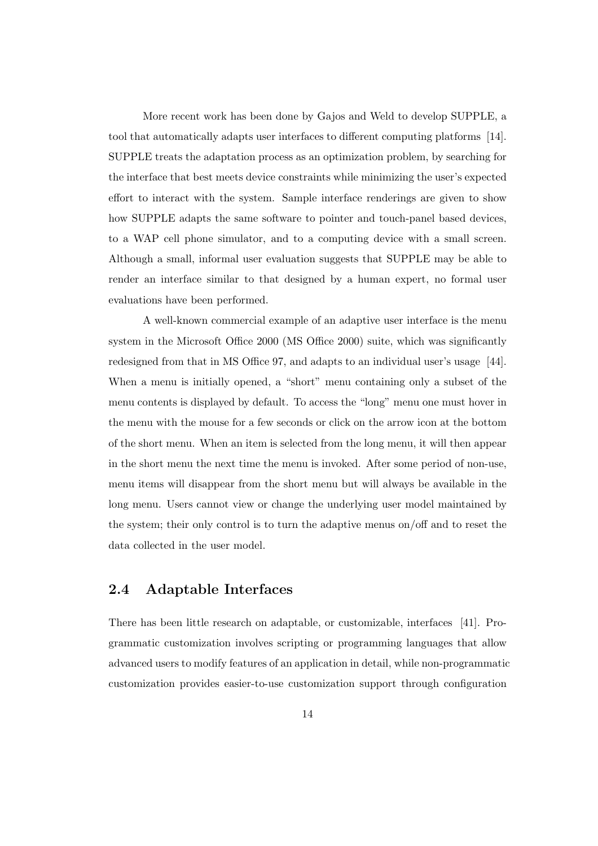More recent work has been done by Gajos and Weld to develop SUPPLE, a tool that automatically adapts user interfaces to different computing platforms [14]. SUPPLE treats the adaptation process as an optimization problem, by searching for the interface that best meets device constraints while minimizing the user's expected effort to interact with the system. Sample interface renderings are given to show how SUPPLE adapts the same software to pointer and touch-panel based devices, to a WAP cell phone simulator, and to a computing device with a small screen. Although a small, informal user evaluation suggests that SUPPLE may be able to render an interface similar to that designed by a human expert, no formal user evaluations have been performed.

A well-known commercial example of an adaptive user interface is the menu system in the Microsoft Office 2000 (MS Office 2000) suite, which was significantly redesigned from that in MS Office 97, and adapts to an individual user's usage [44]. When a menu is initially opened, a "short" menu containing only a subset of the menu contents is displayed by default. To access the "long" menu one must hover in the menu with the mouse for a few seconds or click on the arrow icon at the bottom of the short menu. When an item is selected from the long menu, it will then appear in the short menu the next time the menu is invoked. After some period of non-use, menu items will disappear from the short menu but will always be available in the long menu. Users cannot view or change the underlying user model maintained by the system; their only control is to turn the adaptive menus on/off and to reset the data collected in the user model.

### 2.4 Adaptable Interfaces

There has been little research on adaptable, or customizable, interfaces [41]. Programmatic customization involves scripting or programming languages that allow advanced users to modify features of an application in detail, while non-programmatic customization provides easier-to-use customization support through configuration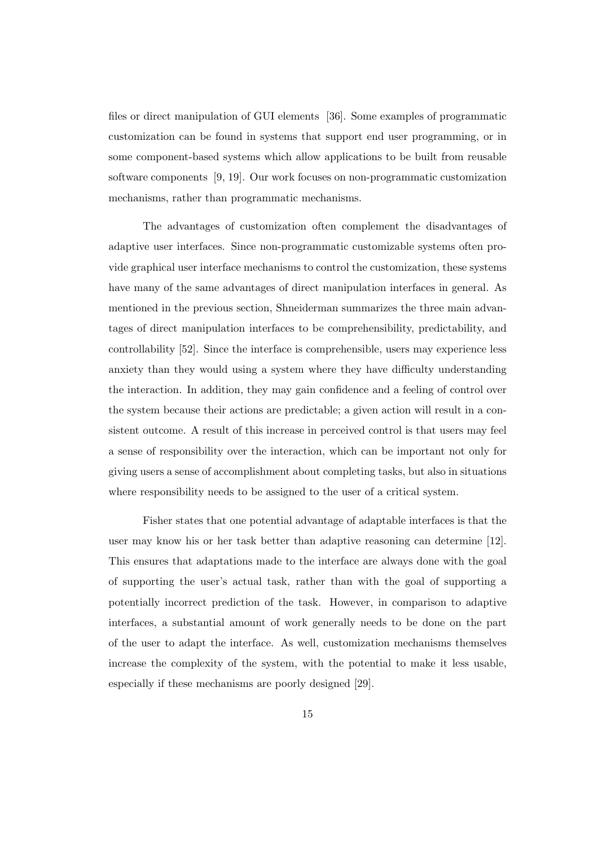files or direct manipulation of GUI elements [36]. Some examples of programmatic customization can be found in systems that support end user programming, or in some component-based systems which allow applications to be built from reusable software components [9, 19]. Our work focuses on non-programmatic customization mechanisms, rather than programmatic mechanisms.

The advantages of customization often complement the disadvantages of adaptive user interfaces. Since non-programmatic customizable systems often provide graphical user interface mechanisms to control the customization, these systems have many of the same advantages of direct manipulation interfaces in general. As mentioned in the previous section, Shneiderman summarizes the three main advantages of direct manipulation interfaces to be comprehensibility, predictability, and controllability [52]. Since the interface is comprehensible, users may experience less anxiety than they would using a system where they have difficulty understanding the interaction. In addition, they may gain confidence and a feeling of control over the system because their actions are predictable; a given action will result in a consistent outcome. A result of this increase in perceived control is that users may feel a sense of responsibility over the interaction, which can be important not only for giving users a sense of accomplishment about completing tasks, but also in situations where responsibility needs to be assigned to the user of a critical system.

Fisher states that one potential advantage of adaptable interfaces is that the user may know his or her task better than adaptive reasoning can determine [12]. This ensures that adaptations made to the interface are always done with the goal of supporting the user's actual task, rather than with the goal of supporting a potentially incorrect prediction of the task. However, in comparison to adaptive interfaces, a substantial amount of work generally needs to be done on the part of the user to adapt the interface. As well, customization mechanisms themselves increase the complexity of the system, with the potential to make it less usable, especially if these mechanisms are poorly designed [29].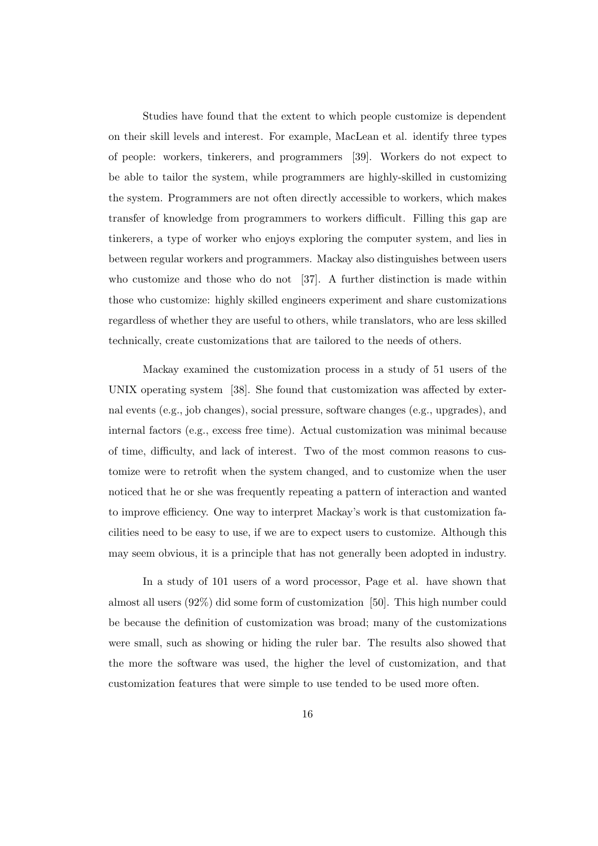Studies have found that the extent to which people customize is dependent on their skill levels and interest. For example, MacLean et al. identify three types of people: workers, tinkerers, and programmers [39]. Workers do not expect to be able to tailor the system, while programmers are highly-skilled in customizing the system. Programmers are not often directly accessible to workers, which makes transfer of knowledge from programmers to workers difficult. Filling this gap are tinkerers, a type of worker who enjoys exploring the computer system, and lies in between regular workers and programmers. Mackay also distinguishes between users who customize and those who do not [37]. A further distinction is made within those who customize: highly skilled engineers experiment and share customizations regardless of whether they are useful to others, while translators, who are less skilled technically, create customizations that are tailored to the needs of others.

Mackay examined the customization process in a study of 51 users of the UNIX operating system [38]. She found that customization was affected by external events (e.g., job changes), social pressure, software changes (e.g., upgrades), and internal factors (e.g., excess free time). Actual customization was minimal because of time, difficulty, and lack of interest. Two of the most common reasons to customize were to retrofit when the system changed, and to customize when the user noticed that he or she was frequently repeating a pattern of interaction and wanted to improve efficiency. One way to interpret Mackay's work is that customization facilities need to be easy to use, if we are to expect users to customize. Although this may seem obvious, it is a principle that has not generally been adopted in industry.

In a study of 101 users of a word processor, Page et al. have shown that almost all users (92%) did some form of customization [50]. This high number could be because the definition of customization was broad; many of the customizations were small, such as showing or hiding the ruler bar. The results also showed that the more the software was used, the higher the level of customization, and that customization features that were simple to use tended to be used more often.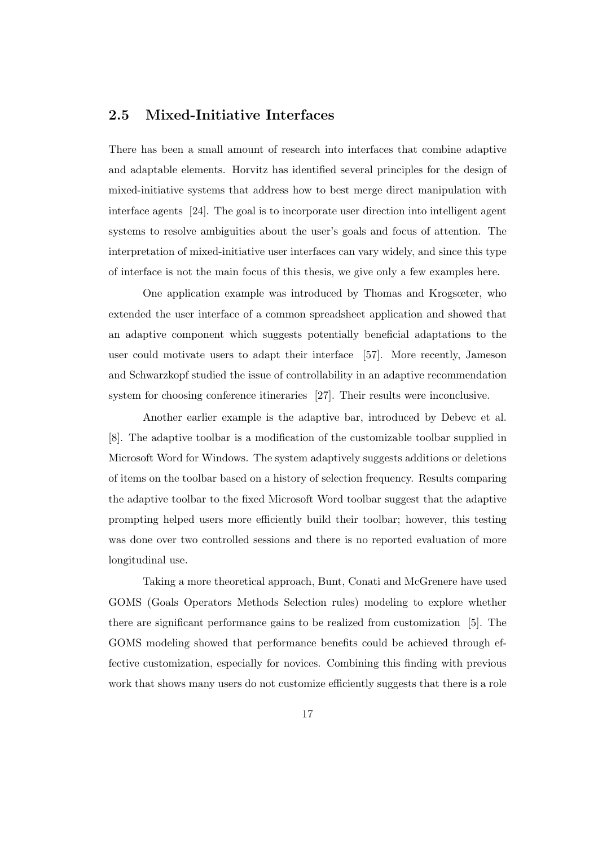### 2.5 Mixed-Initiative Interfaces

There has been a small amount of research into interfaces that combine adaptive and adaptable elements. Horvitz has identified several principles for the design of mixed-initiative systems that address how to best merge direct manipulation with interface agents [24]. The goal is to incorporate user direction into intelligent agent systems to resolve ambiguities about the user's goals and focus of attention. The interpretation of mixed-initiative user interfaces can vary widely, and since this type of interface is not the main focus of this thesis, we give only a few examples here.

One application example was introduced by Thomas and Krogsœter, who extended the user interface of a common spreadsheet application and showed that an adaptive component which suggests potentially beneficial adaptations to the user could motivate users to adapt their interface [57]. More recently, Jameson and Schwarzkopf studied the issue of controllability in an adaptive recommendation system for choosing conference itineraries [27]. Their results were inconclusive.

Another earlier example is the adaptive bar, introduced by Debevc et al. [8]. The adaptive toolbar is a modification of the customizable toolbar supplied in Microsoft Word for Windows. The system adaptively suggests additions or deletions of items on the toolbar based on a history of selection frequency. Results comparing the adaptive toolbar to the fixed Microsoft Word toolbar suggest that the adaptive prompting helped users more efficiently build their toolbar; however, this testing was done over two controlled sessions and there is no reported evaluation of more longitudinal use.

Taking a more theoretical approach, Bunt, Conati and McGrenere have used GOMS (Goals Operators Methods Selection rules) modeling to explore whether there are significant performance gains to be realized from customization [5]. The GOMS modeling showed that performance benefits could be achieved through effective customization, especially for novices. Combining this finding with previous work that shows many users do not customize efficiently suggests that there is a role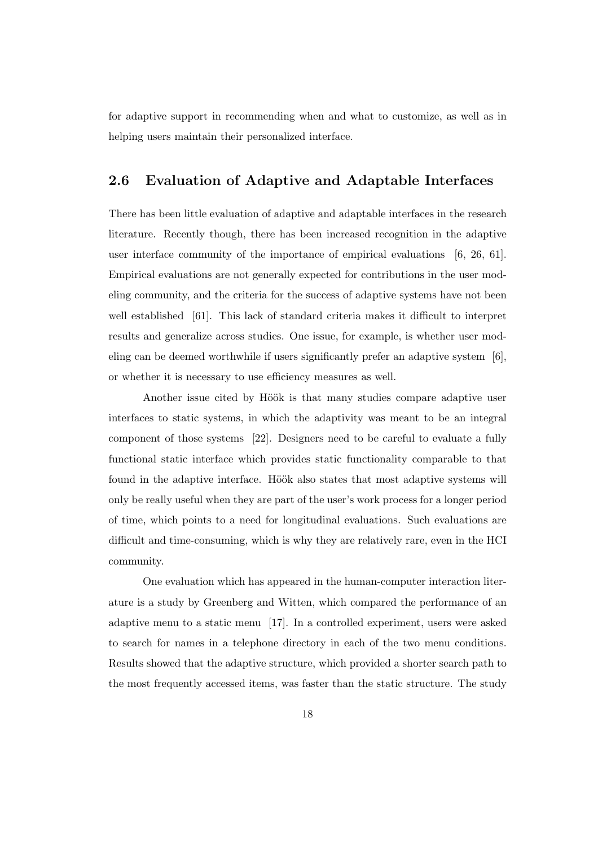for adaptive support in recommending when and what to customize, as well as in helping users maintain their personalized interface.

### 2.6 Evaluation of Adaptive and Adaptable Interfaces

There has been little evaluation of adaptive and adaptable interfaces in the research literature. Recently though, there has been increased recognition in the adaptive user interface community of the importance of empirical evaluations [6, 26, 61]. Empirical evaluations are not generally expected for contributions in the user modeling community, and the criteria for the success of adaptive systems have not been well established [61]. This lack of standard criteria makes it difficult to interpret results and generalize across studies. One issue, for example, is whether user modeling can be deemed worthwhile if users significantly prefer an adaptive system [6], or whether it is necessary to use efficiency measures as well.

Another issue cited by Höök is that many studies compare adaptive user interfaces to static systems, in which the adaptivity was meant to be an integral component of those systems [22]. Designers need to be careful to evaluate a fully functional static interface which provides static functionality comparable to that found in the adaptive interface. Höök also states that most adaptive systems will only be really useful when they are part of the user's work process for a longer period of time, which points to a need for longitudinal evaluations. Such evaluations are difficult and time-consuming, which is why they are relatively rare, even in the HCI community.

One evaluation which has appeared in the human-computer interaction literature is a study by Greenberg and Witten, which compared the performance of an adaptive menu to a static menu [17]. In a controlled experiment, users were asked to search for names in a telephone directory in each of the two menu conditions. Results showed that the adaptive structure, which provided a shorter search path to the most frequently accessed items, was faster than the static structure. The study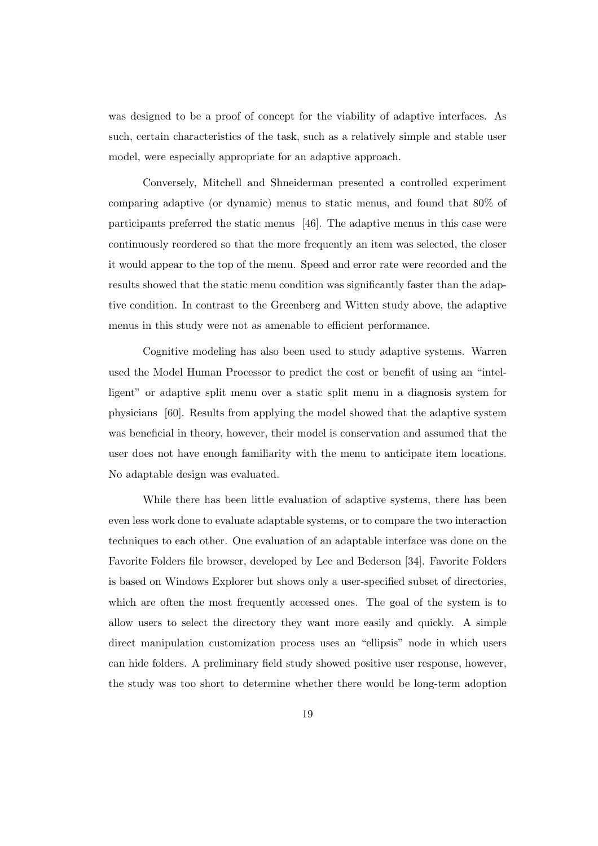was designed to be a proof of concept for the viability of adaptive interfaces. As such, certain characteristics of the task, such as a relatively simple and stable user model, were especially appropriate for an adaptive approach.

Conversely, Mitchell and Shneiderman presented a controlled experiment comparing adaptive (or dynamic) menus to static menus, and found that 80% of participants preferred the static menus [46]. The adaptive menus in this case were continuously reordered so that the more frequently an item was selected, the closer it would appear to the top of the menu. Speed and error rate were recorded and the results showed that the static menu condition was significantly faster than the adaptive condition. In contrast to the Greenberg and Witten study above, the adaptive menus in this study were not as amenable to efficient performance.

Cognitive modeling has also been used to study adaptive systems. Warren used the Model Human Processor to predict the cost or benefit of using an "intelligent" or adaptive split menu over a static split menu in a diagnosis system for physicians [60]. Results from applying the model showed that the adaptive system was beneficial in theory, however, their model is conservation and assumed that the user does not have enough familiarity with the menu to anticipate item locations. No adaptable design was evaluated.

While there has been little evaluation of adaptive systems, there has been even less work done to evaluate adaptable systems, or to compare the two interaction techniques to each other. One evaluation of an adaptable interface was done on the Favorite Folders file browser, developed by Lee and Bederson [34]. Favorite Folders is based on Windows Explorer but shows only a user-specified subset of directories, which are often the most frequently accessed ones. The goal of the system is to allow users to select the directory they want more easily and quickly. A simple direct manipulation customization process uses an "ellipsis" node in which users can hide folders. A preliminary field study showed positive user response, however, the study was too short to determine whether there would be long-term adoption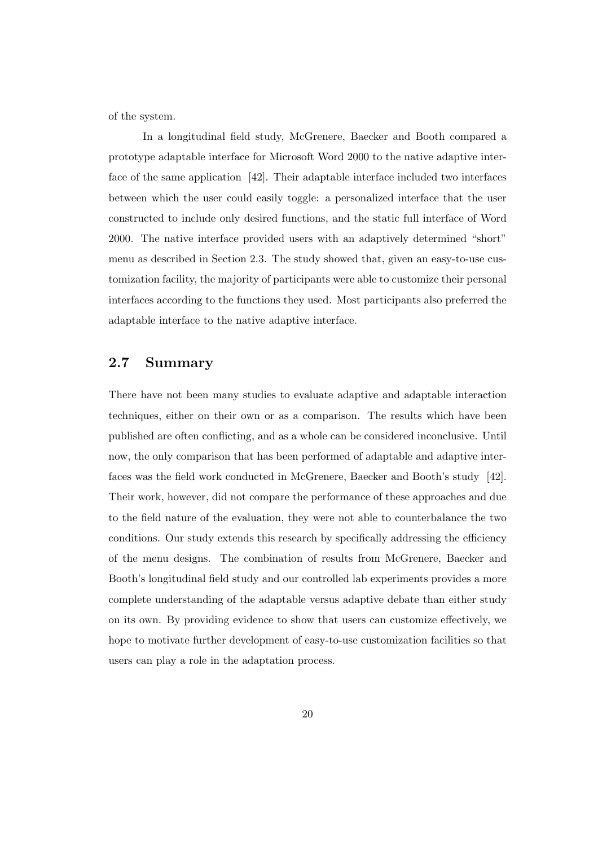of the system.

In a longitudinal field study, McGrenere, Baecker and Booth compared a prototype adaptable interface for Microsoft Word 2000 to the native adaptive interface of the same application [42]. Their adaptable interface included two interfaces between which the user could easily toggle: a personalized interface that the user constructed to include only desired functions, and the static full interface of Word 2000. The native interface provided users with an adaptively determined "short" menu as described in Section 2.3. The study showed that, given an easy-to-use customization facility, the majority of participants were able to customize their personal interfaces according to the functions they used. Most participants also preferred the adaptable interface to the native adaptive interface.

### 2.7 Summary

There have not been many studies to evaluate adaptive and adaptable interaction techniques, either on their own or as a comparison. The results which have been published are often conflicting, and as a whole can be considered inconclusive. Until now, the only comparison that has been performed of adaptable and adaptive interfaces was the field work conducted in McGrenere, Baecker and Booth's study [42]. Their work, however, did not compare the performance of these approaches and due to the field nature of the evaluation, they were not able to counterbalance the two conditions. Our study extends this research by specifically addressing the efficiency of the menu designs. The combination of results from McGrenere, Baecker and Booth's longitudinal field study and our controlled lab experiments provides a more complete understanding of the adaptable versus adaptive debate than either study on its own. By providing evidence to show that users can customize effectively, we hope to motivate further development of easy-to-use customization facilities so that users can play a role in the adaptation process.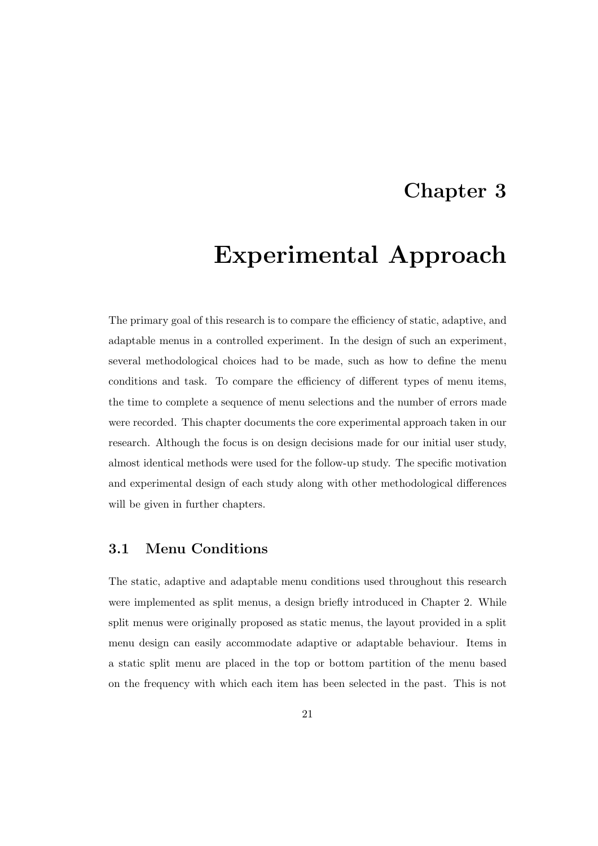### Chapter 3

# Experimental Approach

The primary goal of this research is to compare the efficiency of static, adaptive, and adaptable menus in a controlled experiment. In the design of such an experiment, several methodological choices had to be made, such as how to define the menu conditions and task. To compare the efficiency of different types of menu items, the time to complete a sequence of menu selections and the number of errors made were recorded. This chapter documents the core experimental approach taken in our research. Although the focus is on design decisions made for our initial user study, almost identical methods were used for the follow-up study. The specific motivation and experimental design of each study along with other methodological differences will be given in further chapters.

#### 3.1 Menu Conditions

The static, adaptive and adaptable menu conditions used throughout this research were implemented as split menus, a design briefly introduced in Chapter 2. While split menus were originally proposed as static menus, the layout provided in a split menu design can easily accommodate adaptive or adaptable behaviour. Items in a static split menu are placed in the top or bottom partition of the menu based on the frequency with which each item has been selected in the past. This is not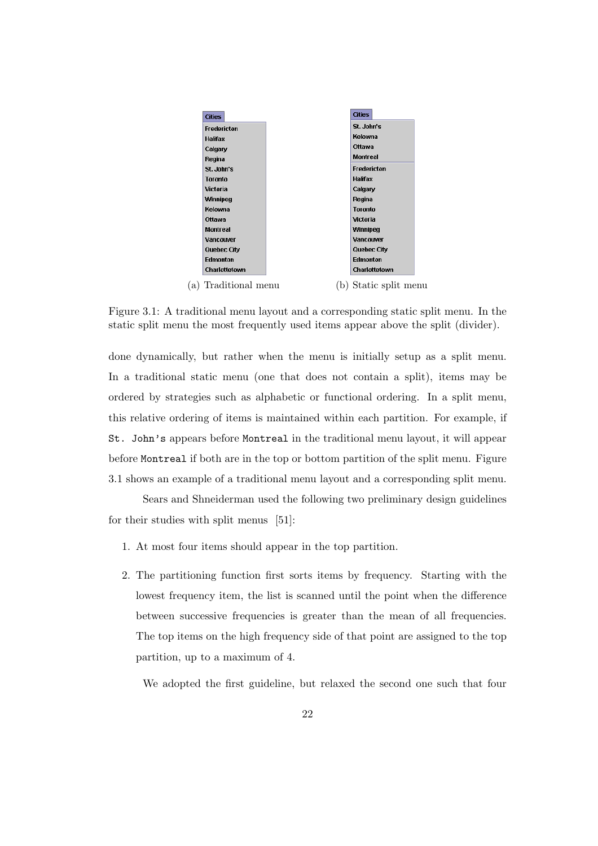

Figure 3.1: A traditional menu layout and a corresponding static split menu. In the static split menu the most frequently used items appear above the split (divider).

done dynamically, but rather when the menu is initially setup as a split menu. In a traditional static menu (one that does not contain a split), items may be ordered by strategies such as alphabetic or functional ordering. In a split menu, this relative ordering of items is maintained within each partition. For example, if St. John's appears before Montreal in the traditional menu layout, it will appear before Montreal if both are in the top or bottom partition of the split menu. Figure 3.1 shows an example of a traditional menu layout and a corresponding split menu.

Sears and Shneiderman used the following two preliminary design guidelines for their studies with split menus [51]:

- 1. At most four items should appear in the top partition.
- 2. The partitioning function first sorts items by frequency. Starting with the lowest frequency item, the list is scanned until the point when the difference between successive frequencies is greater than the mean of all frequencies. The top items on the high frequency side of that point are assigned to the top partition, up to a maximum of 4.

We adopted the first guideline, but relaxed the second one such that four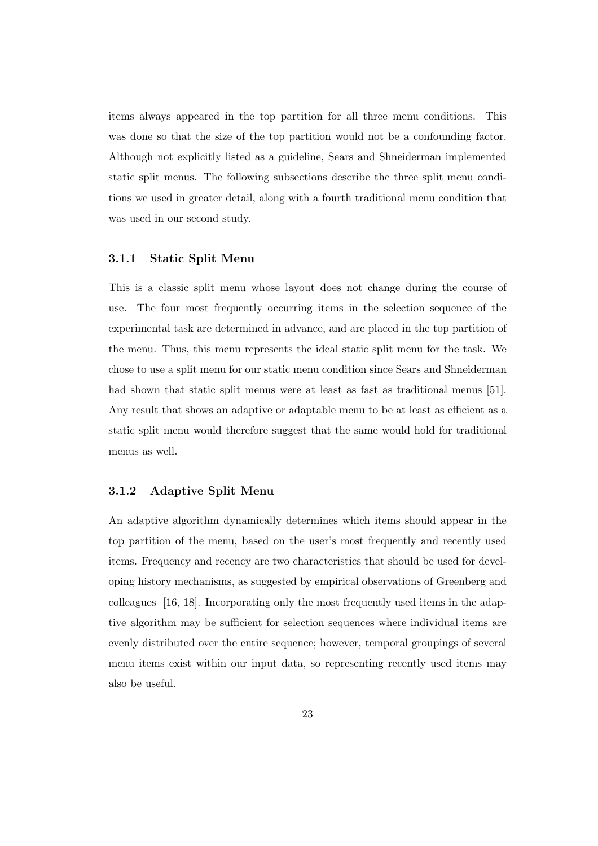items always appeared in the top partition for all three menu conditions. This was done so that the size of the top partition would not be a confounding factor. Although not explicitly listed as a guideline, Sears and Shneiderman implemented static split menus. The following subsections describe the three split menu conditions we used in greater detail, along with a fourth traditional menu condition that was used in our second study.

#### 3.1.1 Static Split Menu

This is a classic split menu whose layout does not change during the course of use. The four most frequently occurring items in the selection sequence of the experimental task are determined in advance, and are placed in the top partition of the menu. Thus, this menu represents the ideal static split menu for the task. We chose to use a split menu for our static menu condition since Sears and Shneiderman had shown that static split menus were at least as fast as traditional menus [51]. Any result that shows an adaptive or adaptable menu to be at least as efficient as a static split menu would therefore suggest that the same would hold for traditional menus as well.

## 3.1.2 Adaptive Split Menu

An adaptive algorithm dynamically determines which items should appear in the top partition of the menu, based on the user's most frequently and recently used items. Frequency and recency are two characteristics that should be used for developing history mechanisms, as suggested by empirical observations of Greenberg and colleagues [16, 18]. Incorporating only the most frequently used items in the adaptive algorithm may be sufficient for selection sequences where individual items are evenly distributed over the entire sequence; however, temporal groupings of several menu items exist within our input data, so representing recently used items may also be useful.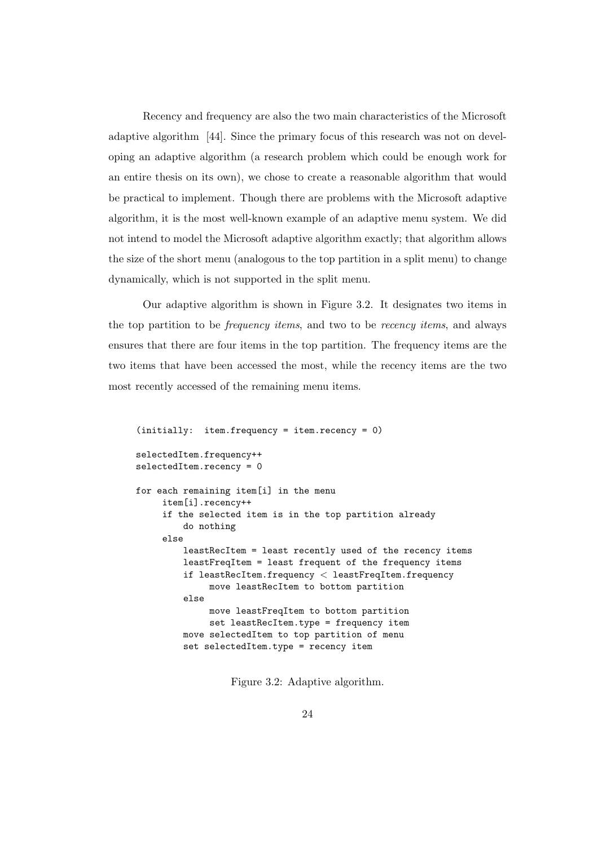Recency and frequency are also the two main characteristics of the Microsoft adaptive algorithm [44]. Since the primary focus of this research was not on developing an adaptive algorithm (a research problem which could be enough work for an entire thesis on its own), we chose to create a reasonable algorithm that would be practical to implement. Though there are problems with the Microsoft adaptive algorithm, it is the most well-known example of an adaptive menu system. We did not intend to model the Microsoft adaptive algorithm exactly; that algorithm allows the size of the short menu (analogous to the top partition in a split menu) to change dynamically, which is not supported in the split menu.

Our adaptive algorithm is shown in Figure 3.2. It designates two items in the top partition to be frequency items, and two to be recency items, and always ensures that there are four items in the top partition. The frequency items are the two items that have been accessed the most, while the recency items are the two most recently accessed of the remaining menu items.

```
(initially: item.frequency = item.recency = 0)
selectedItem.frequency++
selectedItem.recency = 0
for each remaining item[i] in the menu
     item[i].recency++
    if the selected item is in the top partition already
         do nothing
     else
         leastRecItem = least recently used of the recency items
         leastFreqItem = least frequent of the frequency items
         if leastRecItem.frequency < leastFreqItem.frequency
             move leastRecItem to bottom partition
         else
             move leastFreqItem to bottom partition
              set leastRecItem.type = frequency item
         move selectedItem to top partition of menu
         set selectedItem.type = recency item
```
Figure 3.2: Adaptive algorithm.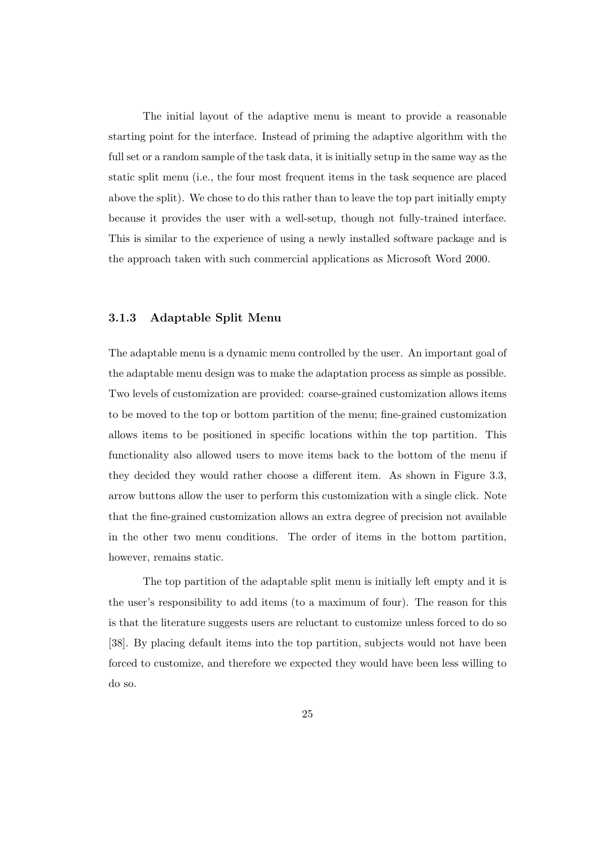The initial layout of the adaptive menu is meant to provide a reasonable starting point for the interface. Instead of priming the adaptive algorithm with the full set or a random sample of the task data, it is initially setup in the same way as the static split menu (i.e., the four most frequent items in the task sequence are placed above the split). We chose to do this rather than to leave the top part initially empty because it provides the user with a well-setup, though not fully-trained interface. This is similar to the experience of using a newly installed software package and is the approach taken with such commercial applications as Microsoft Word 2000.

#### 3.1.3 Adaptable Split Menu

The adaptable menu is a dynamic menu controlled by the user. An important goal of the adaptable menu design was to make the adaptation process as simple as possible. Two levels of customization are provided: coarse-grained customization allows items to be moved to the top or bottom partition of the menu; fine-grained customization allows items to be positioned in specific locations within the top partition. This functionality also allowed users to move items back to the bottom of the menu if they decided they would rather choose a different item. As shown in Figure 3.3, arrow buttons allow the user to perform this customization with a single click. Note that the fine-grained customization allows an extra degree of precision not available in the other two menu conditions. The order of items in the bottom partition, however, remains static.

The top partition of the adaptable split menu is initially left empty and it is the user's responsibility to add items (to a maximum of four). The reason for this is that the literature suggests users are reluctant to customize unless forced to do so [38]. By placing default items into the top partition, subjects would not have been forced to customize, and therefore we expected they would have been less willing to do so.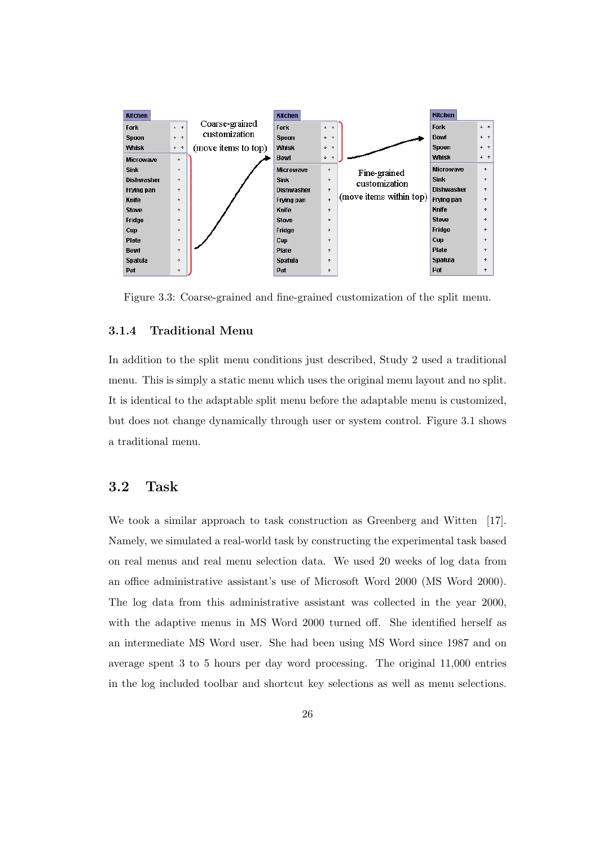

Figure 3.3: Coarse-grained and fine-grained customization of the split menu.

## 3.1.4 Traditional Menu

In addition to the split menu conditions just described, Study 2 used a traditional menu. This is simply a static menu which uses the original menu layout and no split. It is identical to the adaptable split menu before the adaptable menu is customized, but does not change dynamically through user or system control. Figure 3.1 shows a traditional menu.

## 3.2 Task

We took a similar approach to task construction as Greenberg and Witten [17]. Namely, we simulated a real-world task by constructing the experimental task based on real menus and real menu selection data. We used 20 weeks of log data from an office administrative assistant's use of Microsoft Word 2000 (MS Word 2000). The log data from this administrative assistant was collected in the year 2000, with the adaptive menus in MS Word 2000 turned off. She identified herself as an intermediate MS Word user. She had been using MS Word since 1987 and on average spent 3 to 5 hours per day word processing. The original 11,000 entries in the log included toolbar and shortcut key selections as well as menu selections.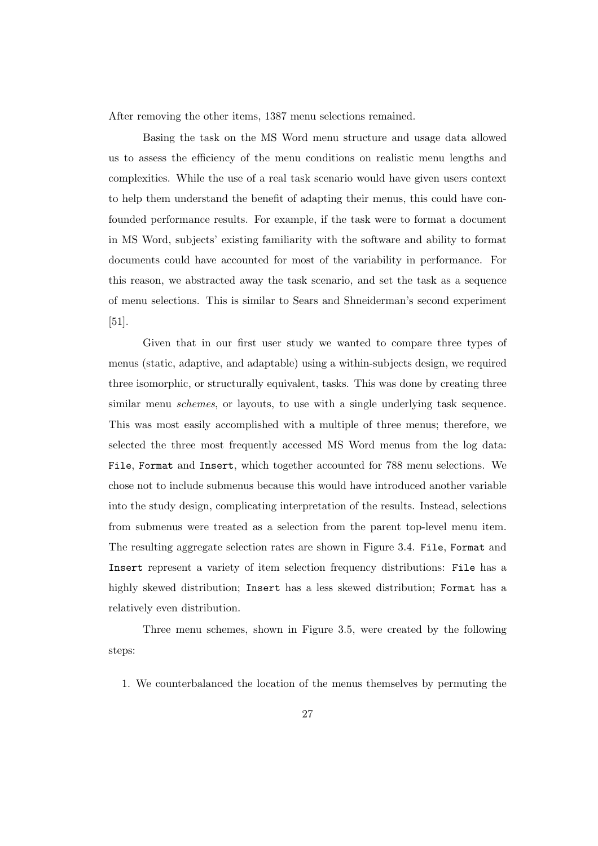After removing the other items, 1387 menu selections remained.

Basing the task on the MS Word menu structure and usage data allowed us to assess the efficiency of the menu conditions on realistic menu lengths and complexities. While the use of a real task scenario would have given users context to help them understand the benefit of adapting their menus, this could have confounded performance results. For example, if the task were to format a document in MS Word, subjects' existing familiarity with the software and ability to format documents could have accounted for most of the variability in performance. For this reason, we abstracted away the task scenario, and set the task as a sequence of menu selections. This is similar to Sears and Shneiderman's second experiment [51].

Given that in our first user study we wanted to compare three types of menus (static, adaptive, and adaptable) using a within-subjects design, we required three isomorphic, or structurally equivalent, tasks. This was done by creating three similar menu *schemes*, or layouts, to use with a single underlying task sequence. This was most easily accomplished with a multiple of three menus; therefore, we selected the three most frequently accessed MS Word menus from the log data: File, Format and Insert, which together accounted for 788 menu selections. We chose not to include submenus because this would have introduced another variable into the study design, complicating interpretation of the results. Instead, selections from submenus were treated as a selection from the parent top-level menu item. The resulting aggregate selection rates are shown in Figure 3.4. File, Format and Insert represent a variety of item selection frequency distributions: File has a highly skewed distribution; Insert has a less skewed distribution; Format has a relatively even distribution.

Three menu schemes, shown in Figure 3.5, were created by the following steps:

1. We counterbalanced the location of the menus themselves by permuting the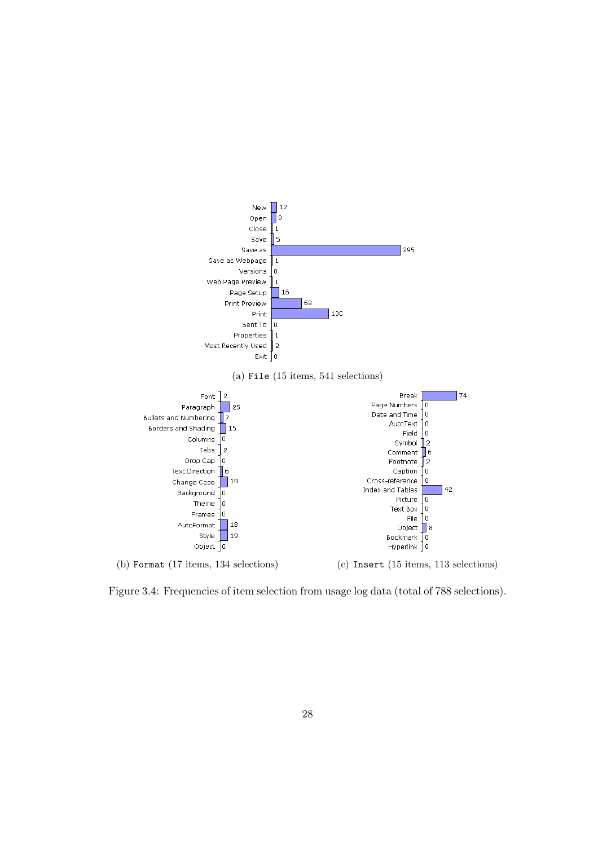

Figure 3.4: Frequencies of item selection from usage log data (total of 788 selections).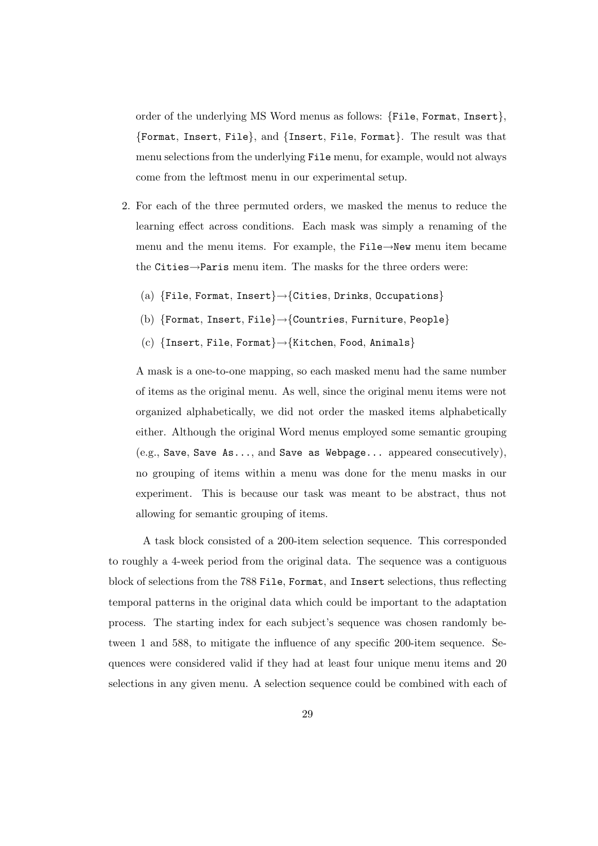order of the underlying MS Word menus as follows: {File, Format, Insert}, {Format, Insert, File}, and {Insert, File, Format}. The result was that menu selections from the underlying File menu, for example, would not always come from the leftmost menu in our experimental setup.

- 2. For each of the three permuted orders, we masked the menus to reduce the learning effect across conditions. Each mask was simply a renaming of the menu and the menu items. For example, the File→New menu item became the Cities→Paris menu item. The masks for the three orders were:
	- (a) {File, Format, Insert}→{Cities, Drinks, Occupations}
	- (b) {Format, Insert, File}→{Countries, Furniture, People}
	- (c) {Insert, File, Format}→{Kitchen, Food, Animals}

A mask is a one-to-one mapping, so each masked menu had the same number of items as the original menu. As well, since the original menu items were not organized alphabetically, we did not order the masked items alphabetically either. Although the original Word menus employed some semantic grouping  $(e.g., \text{ Save}, \text{Save } \text{As} \dots, \text{and } \text{Save } \text{as } \text{Webpage} \dots \text{ appeared consecutively}),$ no grouping of items within a menu was done for the menu masks in our experiment. This is because our task was meant to be abstract, thus not allowing for semantic grouping of items.

A task block consisted of a 200-item selection sequence. This corresponded to roughly a 4-week period from the original data. The sequence was a contiguous block of selections from the 788 File, Format, and Insert selections, thus reflecting temporal patterns in the original data which could be important to the adaptation process. The starting index for each subject's sequence was chosen randomly between 1 and 588, to mitigate the influence of any specific 200-item sequence. Sequences were considered valid if they had at least four unique menu items and 20 selections in any given menu. A selection sequence could be combined with each of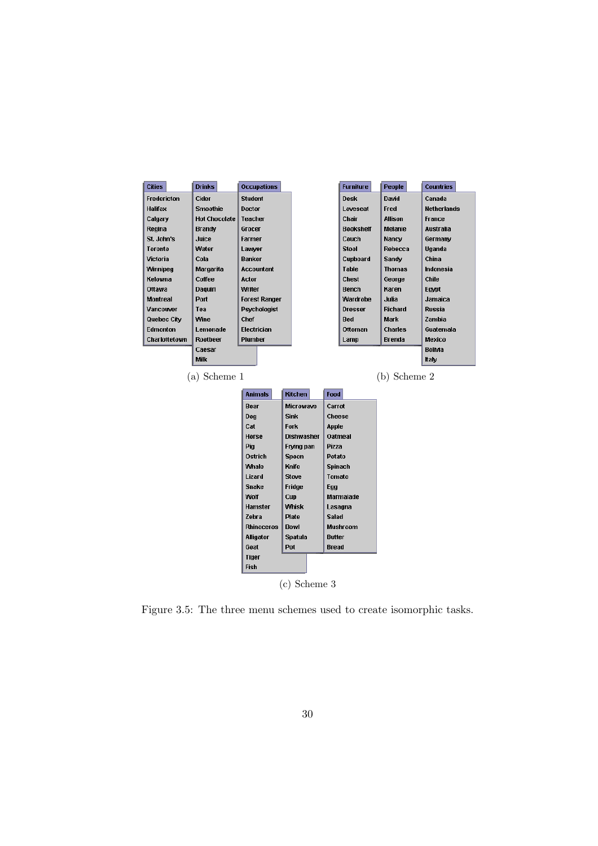

Figure 3.5: The three menu schemes used to create isomorphic tasks.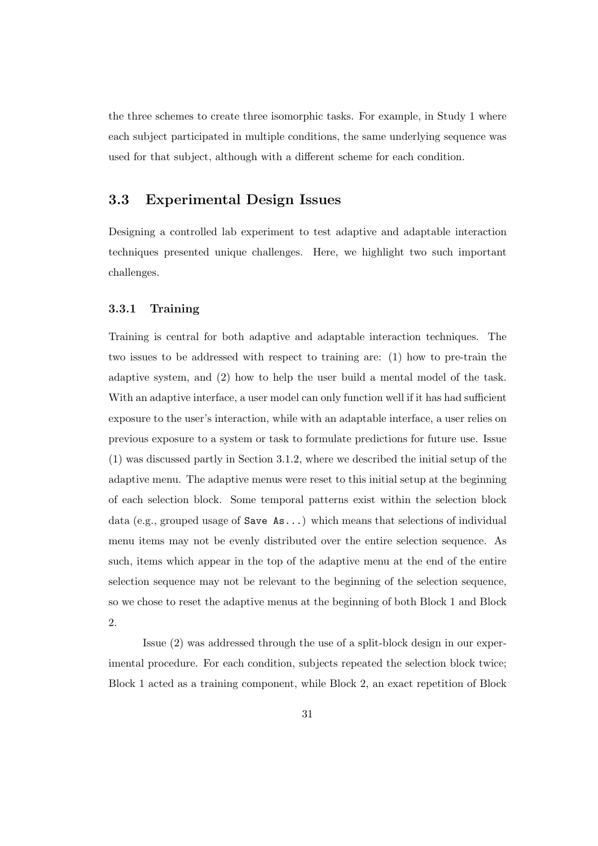the three schemes to create three isomorphic tasks. For example, in Study 1 where each subject participated in multiple conditions, the same underlying sequence was used for that subject, although with a different scheme for each condition.

## 3.3 Experimental Design Issues

Designing a controlled lab experiment to test adaptive and adaptable interaction techniques presented unique challenges. Here, we highlight two such important challenges.

## 3.3.1 Training

Training is central for both adaptive and adaptable interaction techniques. The two issues to be addressed with respect to training are: (1) how to pre-train the adaptive system, and (2) how to help the user build a mental model of the task. With an adaptive interface, a user model can only function well if it has had sufficient exposure to the user's interaction, while with an adaptable interface, a user relies on previous exposure to a system or task to formulate predictions for future use. Issue (1) was discussed partly in Section 3.1.2, where we described the initial setup of the adaptive menu. The adaptive menus were reset to this initial setup at the beginning of each selection block. Some temporal patterns exist within the selection block data (e.g., grouped usage of Save As...) which means that selections of individual menu items may not be evenly distributed over the entire selection sequence. As such, items which appear in the top of the adaptive menu at the end of the entire selection sequence may not be relevant to the beginning of the selection sequence, so we chose to reset the adaptive menus at the beginning of both Block 1 and Block 2.

Issue (2) was addressed through the use of a split-block design in our experimental procedure. For each condition, subjects repeated the selection block twice; Block 1 acted as a training component, while Block 2, an exact repetition of Block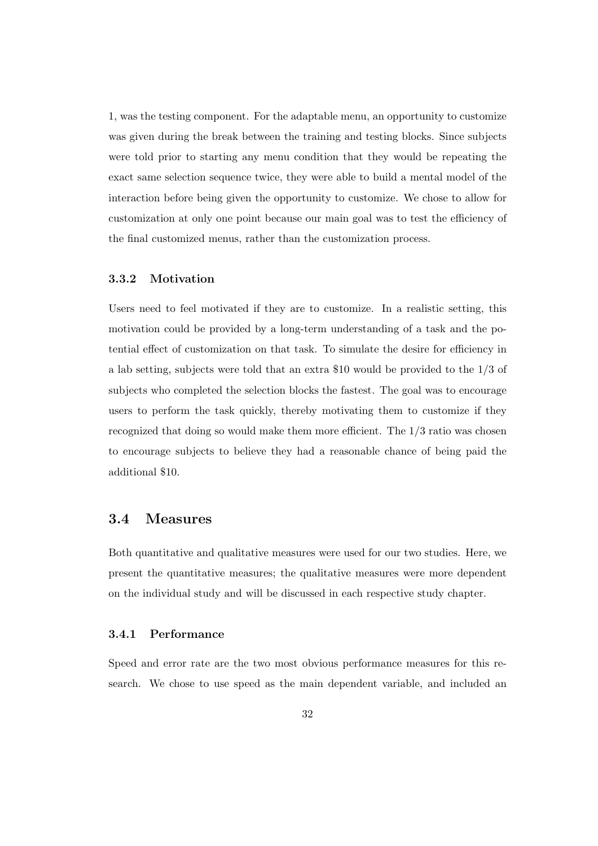1, was the testing component. For the adaptable menu, an opportunity to customize was given during the break between the training and testing blocks. Since subjects were told prior to starting any menu condition that they would be repeating the exact same selection sequence twice, they were able to build a mental model of the interaction before being given the opportunity to customize. We chose to allow for customization at only one point because our main goal was to test the efficiency of the final customized menus, rather than the customization process.

### 3.3.2 Motivation

Users need to feel motivated if they are to customize. In a realistic setting, this motivation could be provided by a long-term understanding of a task and the potential effect of customization on that task. To simulate the desire for efficiency in a lab setting, subjects were told that an extra \$10 would be provided to the 1/3 of subjects who completed the selection blocks the fastest. The goal was to encourage users to perform the task quickly, thereby motivating them to customize if they recognized that doing so would make them more efficient. The 1/3 ratio was chosen to encourage subjects to believe they had a reasonable chance of being paid the additional \$10.

## 3.4 Measures

Both quantitative and qualitative measures were used for our two studies. Here, we present the quantitative measures; the qualitative measures were more dependent on the individual study and will be discussed in each respective study chapter.

## 3.4.1 Performance

Speed and error rate are the two most obvious performance measures for this research. We chose to use speed as the main dependent variable, and included an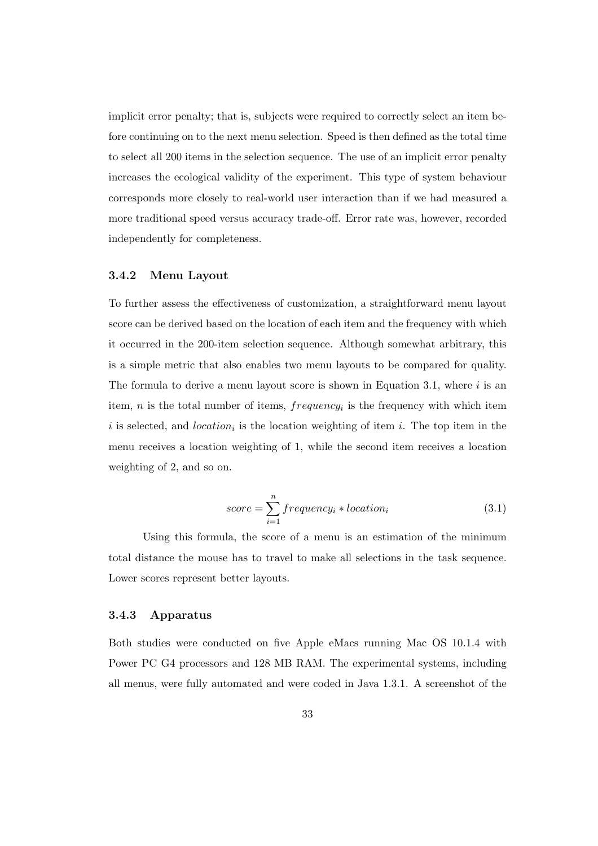implicit error penalty; that is, subjects were required to correctly select an item before continuing on to the next menu selection. Speed is then defined as the total time to select all 200 items in the selection sequence. The use of an implicit error penalty increases the ecological validity of the experiment. This type of system behaviour corresponds more closely to real-world user interaction than if we had measured a more traditional speed versus accuracy trade-off. Error rate was, however, recorded independently for completeness.

## 3.4.2 Menu Layout

To further assess the effectiveness of customization, a straightforward menu layout score can be derived based on the location of each item and the frequency with which it occurred in the 200-item selection sequence. Although somewhat arbitrary, this is a simple metric that also enables two menu layouts to be compared for quality. The formula to derive a menu layout score is shown in Equation 3.1, where  $i$  is an item,  $n$  is the total number of items,  $frequency_i$  is the frequency with which item i is selected, and *location*<sub>i</sub> is the location weighting of item i. The top item in the menu receives a location weighting of 1, while the second item receives a location weighting of 2, and so on.

$$
score = \sum_{i=1}^{n} frequency_i * location_i \tag{3.1}
$$

Using this formula, the score of a menu is an estimation of the minimum total distance the mouse has to travel to make all selections in the task sequence. Lower scores represent better layouts.

#### 3.4.3 Apparatus

Both studies were conducted on five Apple eMacs running Mac OS 10.1.4 with Power PC G4 processors and 128 MB RAM. The experimental systems, including all menus, were fully automated and were coded in Java 1.3.1. A screenshot of the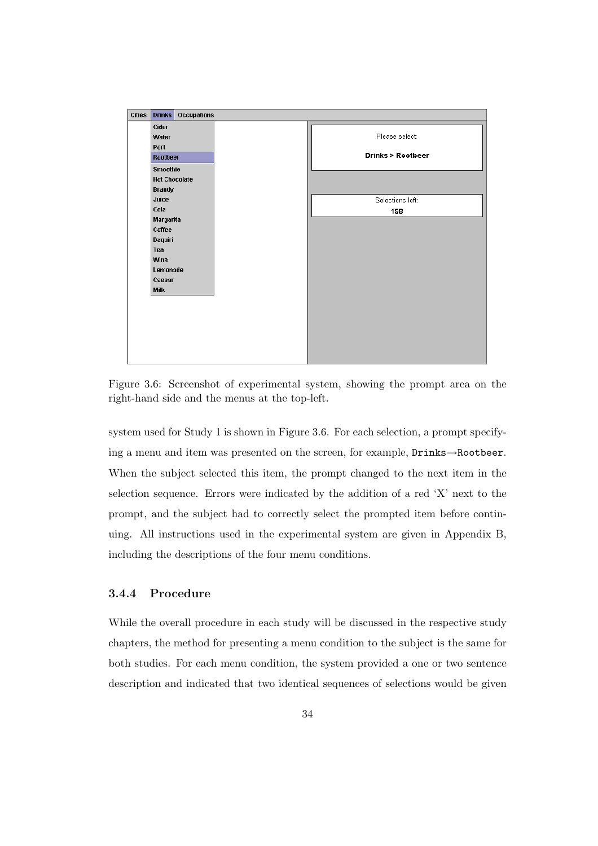

Figure 3.6: Screenshot of experimental system, showing the prompt area on the right-hand side and the menus at the top-left.

system used for Study 1 is shown in Figure 3.6. For each selection, a prompt specifying a menu and item was presented on the screen, for example, Drinks→Rootbeer. When the subject selected this item, the prompt changed to the next item in the selection sequence. Errors were indicated by the addition of a red 'X' next to the prompt, and the subject had to correctly select the prompted item before continuing. All instructions used in the experimental system are given in Appendix B, including the descriptions of the four menu conditions.

## 3.4.4 Procedure

While the overall procedure in each study will be discussed in the respective study chapters, the method for presenting a menu condition to the subject is the same for both studies. For each menu condition, the system provided a one or two sentence description and indicated that two identical sequences of selections would be given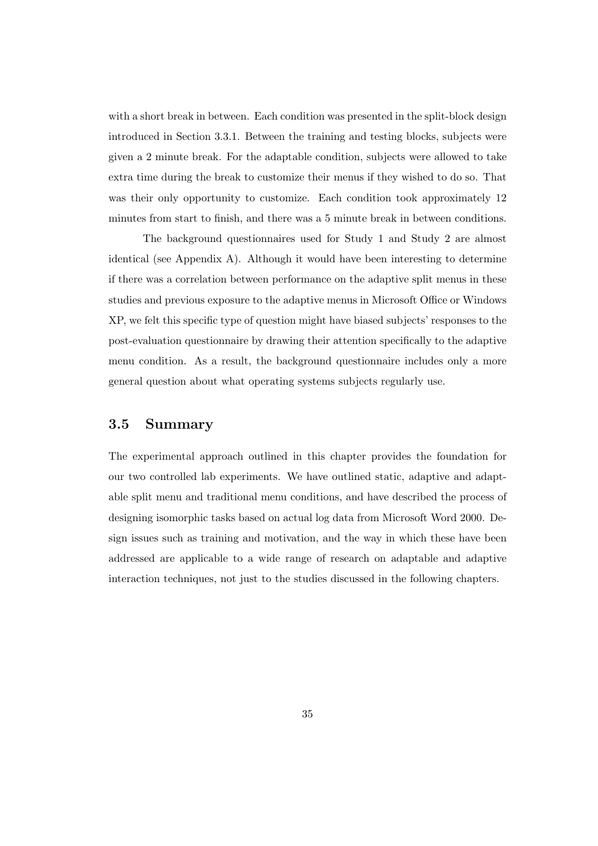with a short break in between. Each condition was presented in the split-block design introduced in Section 3.3.1. Between the training and testing blocks, subjects were given a 2 minute break. For the adaptable condition, subjects were allowed to take extra time during the break to customize their menus if they wished to do so. That was their only opportunity to customize. Each condition took approximately 12 minutes from start to finish, and there was a 5 minute break in between conditions.

The background questionnaires used for Study 1 and Study 2 are almost identical (see Appendix A). Although it would have been interesting to determine if there was a correlation between performance on the adaptive split menus in these studies and previous exposure to the adaptive menus in Microsoft Office or Windows XP, we felt this specific type of question might have biased subjects' responses to the post-evaluation questionnaire by drawing their attention specifically to the adaptive menu condition. As a result, the background questionnaire includes only a more general question about what operating systems subjects regularly use.

## 3.5 Summary

The experimental approach outlined in this chapter provides the foundation for our two controlled lab experiments. We have outlined static, adaptive and adaptable split menu and traditional menu conditions, and have described the process of designing isomorphic tasks based on actual log data from Microsoft Word 2000. Design issues such as training and motivation, and the way in which these have been addressed are applicable to a wide range of research on adaptable and adaptive interaction techniques, not just to the studies discussed in the following chapters.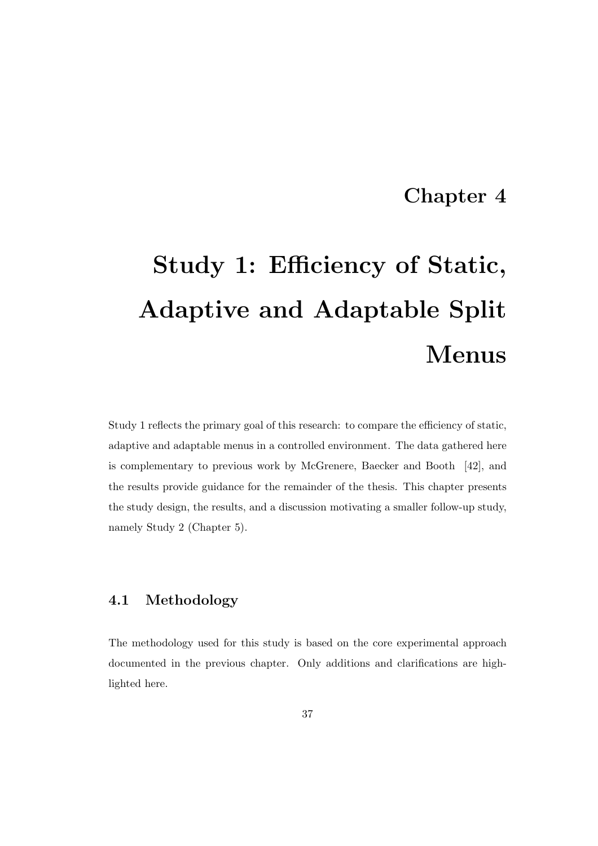## Chapter 4

# Study 1: Efficiency of Static, Adaptive and Adaptable Split Menus

Study 1 reflects the primary goal of this research: to compare the efficiency of static, adaptive and adaptable menus in a controlled environment. The data gathered here is complementary to previous work by McGrenere, Baecker and Booth [42], and the results provide guidance for the remainder of the thesis. This chapter presents the study design, the results, and a discussion motivating a smaller follow-up study, namely Study 2 (Chapter 5).

## 4.1 Methodology

The methodology used for this study is based on the core experimental approach documented in the previous chapter. Only additions and clarifications are highlighted here.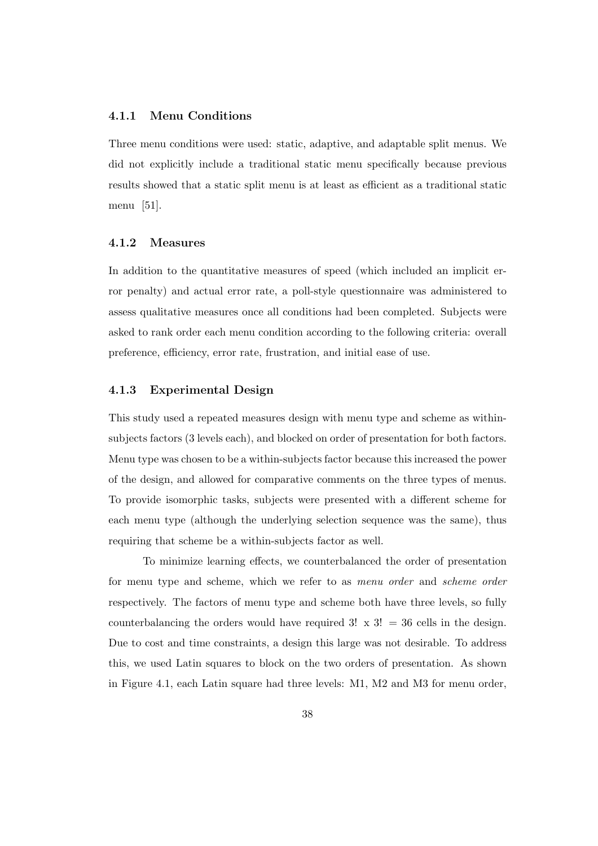## 4.1.1 Menu Conditions

Three menu conditions were used: static, adaptive, and adaptable split menus. We did not explicitly include a traditional static menu specifically because previous results showed that a static split menu is at least as efficient as a traditional static menu [51].

#### 4.1.2 Measures

In addition to the quantitative measures of speed (which included an implicit error penalty) and actual error rate, a poll-style questionnaire was administered to assess qualitative measures once all conditions had been completed. Subjects were asked to rank order each menu condition according to the following criteria: overall preference, efficiency, error rate, frustration, and initial ease of use.

## 4.1.3 Experimental Design

This study used a repeated measures design with menu type and scheme as withinsubjects factors (3 levels each), and blocked on order of presentation for both factors. Menu type was chosen to be a within-subjects factor because this increased the power of the design, and allowed for comparative comments on the three types of menus. To provide isomorphic tasks, subjects were presented with a different scheme for each menu type (although the underlying selection sequence was the same), thus requiring that scheme be a within-subjects factor as well.

To minimize learning effects, we counterbalanced the order of presentation for menu type and scheme, which we refer to as menu order and scheme order respectively. The factors of menu type and scheme both have three levels, so fully counterbalancing the orders would have required  $3! \times 3! = 36$  cells in the design. Due to cost and time constraints, a design this large was not desirable. To address this, we used Latin squares to block on the two orders of presentation. As shown in Figure 4.1, each Latin square had three levels: M1, M2 and M3 for menu order,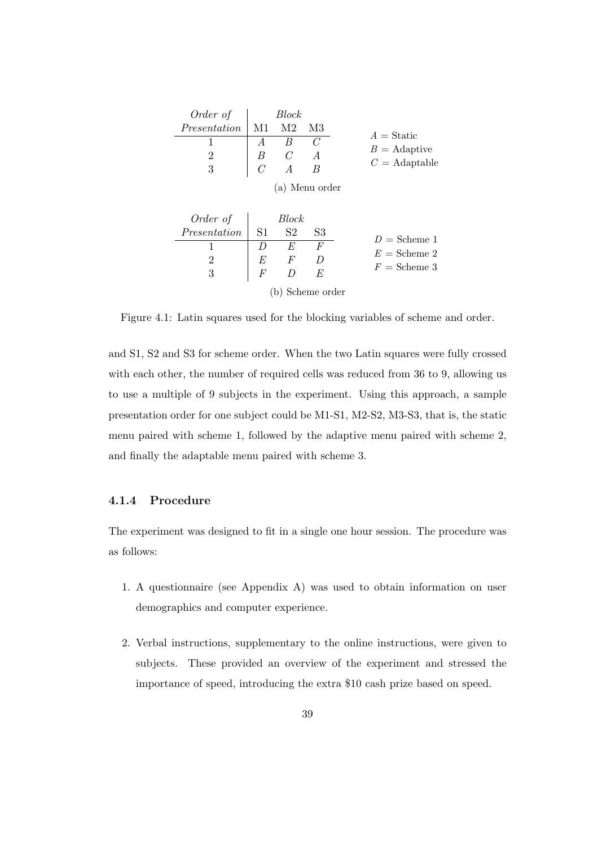| Order of                                      |    | <i>Block</i> |                |                     |
|-----------------------------------------------|----|--------------|----------------|---------------------|
| $Presentation$ <sup><math>\lceil</math></sup> | M1 | M2           | - M3           | $A = \text{Static}$ |
|                                               |    |              |                | $B =$ Adaptive      |
| 2                                             |    |              |                | $C =$ Adaptable     |
| 3                                             |    |              |                |                     |
|                                               |    |              | (a) Menu order |                     |

| Order of $\Box$         |                | Block     |                  |                |
|-------------------------|----------------|-----------|------------------|----------------|
| $\mathit{Presentation}$ | $\vert$ S1     | <b>S2</b> | S3               | $D =$ Scheme 1 |
|                         |                | - E       |                  | $E =$ Scheme 2 |
| $\overline{2}$          | $E_{\rm}$      |           |                  | $F =$ Scheme 3 |
| 3                       | $\overline{F}$ |           | E                |                |
|                         |                |           | (b) Scheme order |                |

Figure 4.1: Latin squares used for the blocking variables of scheme and order.

and S1, S2 and S3 for scheme order. When the two Latin squares were fully crossed with each other, the number of required cells was reduced from 36 to 9, allowing us to use a multiple of 9 subjects in the experiment. Using this approach, a sample presentation order for one subject could be M1-S1, M2-S2, M3-S3, that is, the static menu paired with scheme 1, followed by the adaptive menu paired with scheme 2, and finally the adaptable menu paired with scheme 3.

## 4.1.4 Procedure

The experiment was designed to fit in a single one hour session. The procedure was as follows:

- 1. A questionnaire (see Appendix A) was used to obtain information on user demographics and computer experience.
- 2. Verbal instructions, supplementary to the online instructions, were given to subjects. These provided an overview of the experiment and stressed the importance of speed, introducing the extra \$10 cash prize based on speed.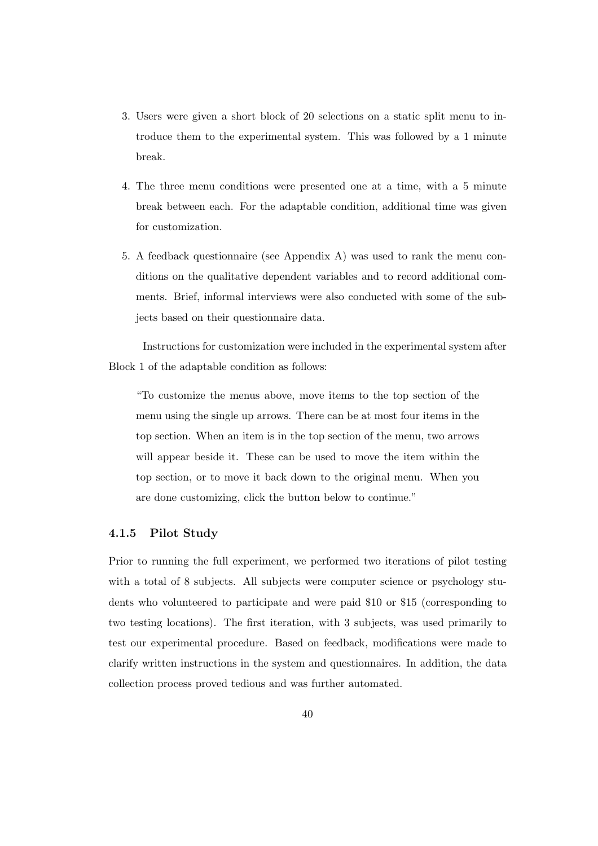- 3. Users were given a short block of 20 selections on a static split menu to introduce them to the experimental system. This was followed by a 1 minute break.
- 4. The three menu conditions were presented one at a time, with a 5 minute break between each. For the adaptable condition, additional time was given for customization.
- 5. A feedback questionnaire (see Appendix A) was used to rank the menu conditions on the qualitative dependent variables and to record additional comments. Brief, informal interviews were also conducted with some of the subjects based on their questionnaire data.

Instructions for customization were included in the experimental system after Block 1 of the adaptable condition as follows:

"To customize the menus above, move items to the top section of the menu using the single up arrows. There can be at most four items in the top section. When an item is in the top section of the menu, two arrows will appear beside it. These can be used to move the item within the top section, or to move it back down to the original menu. When you are done customizing, click the button below to continue."

## 4.1.5 Pilot Study

Prior to running the full experiment, we performed two iterations of pilot testing with a total of 8 subjects. All subjects were computer science or psychology students who volunteered to participate and were paid \$10 or \$15 (corresponding to two testing locations). The first iteration, with 3 subjects, was used primarily to test our experimental procedure. Based on feedback, modifications were made to clarify written instructions in the system and questionnaires. In addition, the data collection process proved tedious and was further automated.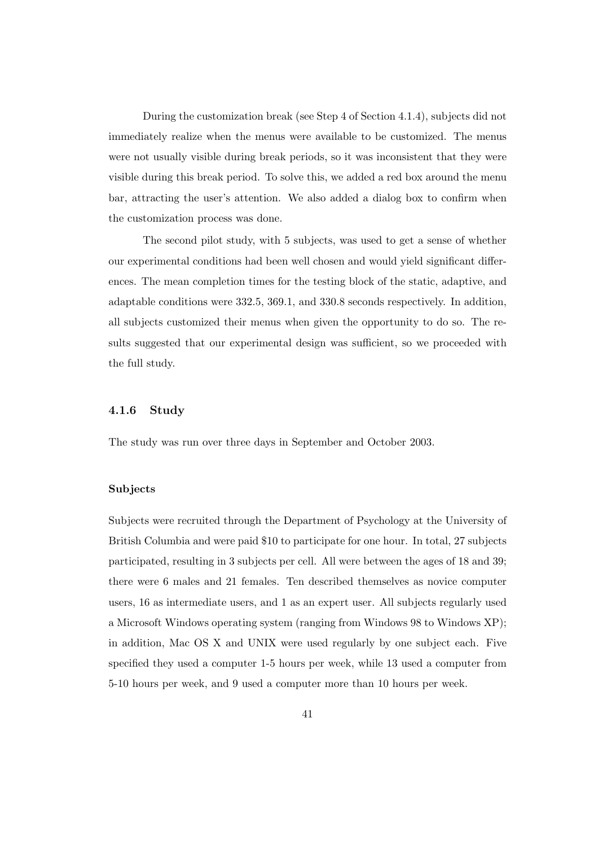During the customization break (see Step 4 of Section 4.1.4), subjects did not immediately realize when the menus were available to be customized. The menus were not usually visible during break periods, so it was inconsistent that they were visible during this break period. To solve this, we added a red box around the menu bar, attracting the user's attention. We also added a dialog box to confirm when the customization process was done.

The second pilot study, with 5 subjects, was used to get a sense of whether our experimental conditions had been well chosen and would yield significant differences. The mean completion times for the testing block of the static, adaptive, and adaptable conditions were 332.5, 369.1, and 330.8 seconds respectively. In addition, all subjects customized their menus when given the opportunity to do so. The results suggested that our experimental design was sufficient, so we proceeded with the full study.

#### 4.1.6 Study

The study was run over three days in September and October 2003.

## Subjects

Subjects were recruited through the Department of Psychology at the University of British Columbia and were paid \$10 to participate for one hour. In total, 27 subjects participated, resulting in 3 subjects per cell. All were between the ages of 18 and 39; there were 6 males and 21 females. Ten described themselves as novice computer users, 16 as intermediate users, and 1 as an expert user. All subjects regularly used a Microsoft Windows operating system (ranging from Windows 98 to Windows XP); in addition, Mac OS X and UNIX were used regularly by one subject each. Five specified they used a computer 1-5 hours per week, while 13 used a computer from 5-10 hours per week, and 9 used a computer more than 10 hours per week.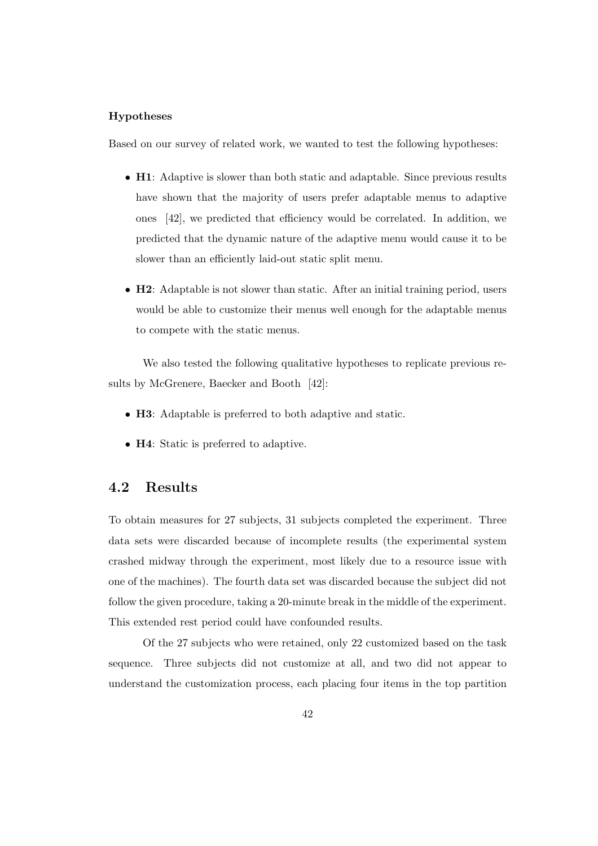## Hypotheses

Based on our survey of related work, we wanted to test the following hypotheses:

- **H1**: Adaptive is slower than both static and adaptable. Since previous results have shown that the majority of users prefer adaptable menus to adaptive ones [42], we predicted that efficiency would be correlated. In addition, we predicted that the dynamic nature of the adaptive menu would cause it to be slower than an efficiently laid-out static split menu.
- **H2**: Adaptable is not slower than static. After an initial training period, users would be able to customize their menus well enough for the adaptable menus to compete with the static menus.

We also tested the following qualitative hypotheses to replicate previous results by McGrenere, Baecker and Booth [42]:

- H3: Adaptable is preferred to both adaptive and static.
- H4: Static is preferred to adaptive.

## 4.2 Results

To obtain measures for 27 subjects, 31 subjects completed the experiment. Three data sets were discarded because of incomplete results (the experimental system crashed midway through the experiment, most likely due to a resource issue with one of the machines). The fourth data set was discarded because the subject did not follow the given procedure, taking a 20-minute break in the middle of the experiment. This extended rest period could have confounded results.

Of the 27 subjects who were retained, only 22 customized based on the task sequence. Three subjects did not customize at all, and two did not appear to understand the customization process, each placing four items in the top partition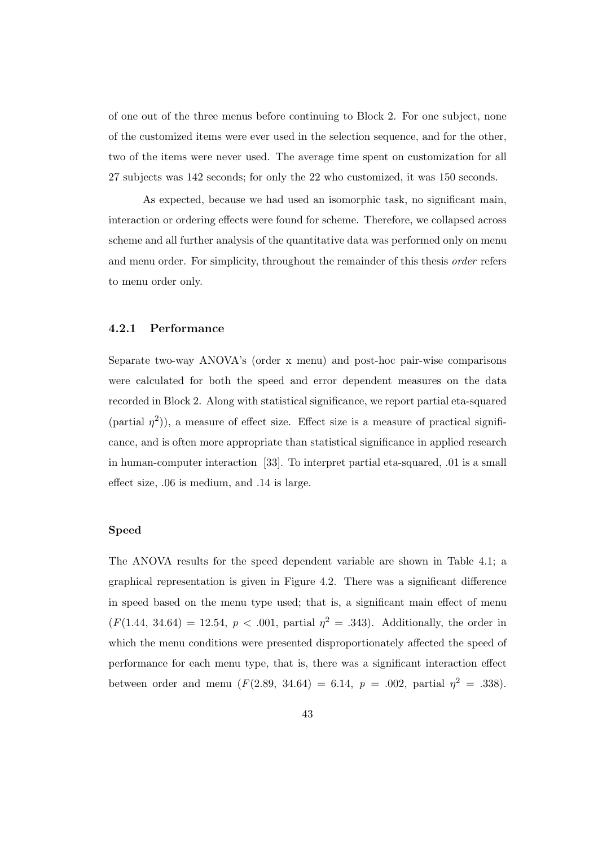of one out of the three menus before continuing to Block 2. For one subject, none of the customized items were ever used in the selection sequence, and for the other, two of the items were never used. The average time spent on customization for all 27 subjects was 142 seconds; for only the 22 who customized, it was 150 seconds.

As expected, because we had used an isomorphic task, no significant main, interaction or ordering effects were found for scheme. Therefore, we collapsed across scheme and all further analysis of the quantitative data was performed only on menu and menu order. For simplicity, throughout the remainder of this thesis order refers to menu order only.

#### 4.2.1 Performance

Separate two-way ANOVA's (order x menu) and post-hoc pair-wise comparisons were calculated for both the speed and error dependent measures on the data recorded in Block 2. Along with statistical significance, we report partial eta-squared (partial  $\eta^2$ )), a measure of effect size. Effect size is a measure of practical significance, and is often more appropriate than statistical significance in applied research in human-computer interaction [33]. To interpret partial eta-squared, .01 is a small effect size, .06 is medium, and .14 is large.

#### Speed

The ANOVA results for the speed dependent variable are shown in Table 4.1; a graphical representation is given in Figure 4.2. There was a significant difference in speed based on the menu type used; that is, a significant main effect of menu  $(F(1.44, 34.64) = 12.54, p < .001,$  partial  $\eta^2 = .343$ ). Additionally, the order in which the menu conditions were presented disproportionately affected the speed of performance for each menu type, that is, there was a significant interaction effect between order and menu  $(F(2.89, 34.64) = 6.14, p = .002,$  partial  $\eta^2 = .338$ ).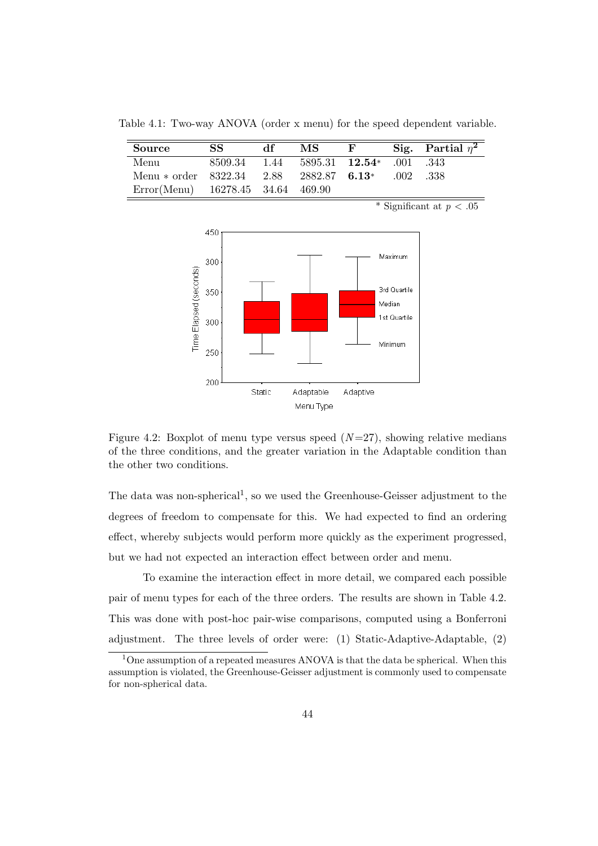Table 4.1: Two-way ANOVA (order x menu) for the speed dependent variable.

| <b>Source</b>                                         | SS.                                        | df | МS | $\mathbf{F}$ |               | Sig. Partial $\eta^2$ |
|-------------------------------------------------------|--------------------------------------------|----|----|--------------|---------------|-----------------------|
| Menu                                                  | 8509.34 1.44 5895.31 <b>12.54</b> 001 .343 |    |    |              |               |                       |
| Menu * order $8322.34$ $2.88$ $2882.87$ <b>6.13</b> * |                                            |    |    |              | $.002 - .338$ |                       |
| Error(Menu) 16278.45 34.64 469.90                     |                                            |    |    |              |               |                       |

\* Significant at  $p < .05$ 



Figure 4.2: Boxplot of menu type versus speed  $(N=27)$ , showing relative medians of the three conditions, and the greater variation in the Adaptable condition than the other two conditions.

The data was non-spherical<sup>1</sup>, so we used the Greenhouse-Geisser adjustment to the degrees of freedom to compensate for this. We had expected to find an ordering effect, whereby subjects would perform more quickly as the experiment progressed, but we had not expected an interaction effect between order and menu.

To examine the interaction effect in more detail, we compared each possible pair of menu types for each of the three orders. The results are shown in Table 4.2. This was done with post-hoc pair-wise comparisons, computed using a Bonferroni adjustment. The three levels of order were: (1) Static-Adaptive-Adaptable, (2)

 $1$ One assumption of a repeated measures ANOVA is that the data be spherical. When this assumption is violated, the Greenhouse-Geisser adjustment is commonly used to compensate for non-spherical data.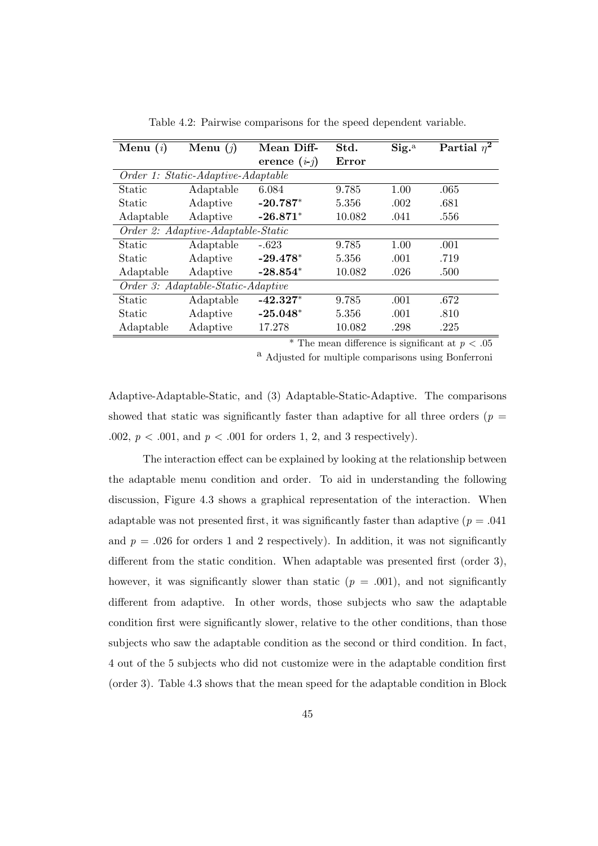| Menu $(i)$                         | Menu $(j)$                         | Mean Diff-     | Std.   | $\mathrm{Sig.}^{\mathrm{a}}$ | Partial $\overline{\eta^2}$ |  |  |
|------------------------------------|------------------------------------|----------------|--------|------------------------------|-----------------------------|--|--|
|                                    |                                    | erence $(i-j)$ | Error  |                              |                             |  |  |
|                                    | Order 1: Static-Adaptive-Adaptable |                |        |                              |                             |  |  |
| Static                             | Adaptable                          | 6.084          | 9.785  | 1.00                         | .065                        |  |  |
| Static                             | Adaptive                           | $-20.787*$     | 5.356  | .002                         | .681                        |  |  |
| Adaptable                          | Adaptive                           | $-26.871*$     | 10.082 | .041                         | .556                        |  |  |
| Order 2: Adaptive-Adaptable-Static |                                    |                |        |                              |                             |  |  |
| <b>Static</b>                      | Adaptable                          | $-.623$        | 9.785  | 1.00                         | .001                        |  |  |
| Static                             | Adaptive                           | $-29.478*$     | 5.356  | .001                         | .719                        |  |  |
| Adaptable                          | Adaptive                           | $-28.854*$     | 10.082 | .026                         | .500                        |  |  |
| Order 3: Adaptable-Static-Adaptive |                                    |                |        |                              |                             |  |  |
| <b>Static</b>                      | Adaptable                          | $-42.327*$     | 9.785  | .001                         | .672                        |  |  |
| Static                             | Adaptive                           | $-25.048*$     | 5.356  | .001                         | .810                        |  |  |
| Adaptable                          | Adaptive                           | 17.278         | 10.082 | .298                         | .225                        |  |  |

Table 4.2: Pairwise comparisons for the speed dependent variable.

\* The mean difference is significant at  $p < .05$ 

a Adjusted for multiple comparisons using Bonferroni

Adaptive-Adaptable-Static, and (3) Adaptable-Static-Adaptive. The comparisons showed that static was significantly faster than adaptive for all three orders ( $p =$ .002,  $p < .001$ , and  $p < .001$  for orders 1, 2, and 3 respectively).

The interaction effect can be explained by looking at the relationship between the adaptable menu condition and order. To aid in understanding the following discussion, Figure 4.3 shows a graphical representation of the interaction. When adaptable was not presented first, it was significantly faster than adaptive ( $p = .041$ ) and  $p = .026$  for orders 1 and 2 respectively). In addition, it was not significantly different from the static condition. When adaptable was presented first (order 3), however, it was significantly slower than static  $(p = .001)$ , and not significantly different from adaptive. In other words, those subjects who saw the adaptable condition first were significantly slower, relative to the other conditions, than those subjects who saw the adaptable condition as the second or third condition. In fact, 4 out of the 5 subjects who did not customize were in the adaptable condition first (order 3). Table 4.3 shows that the mean speed for the adaptable condition in Block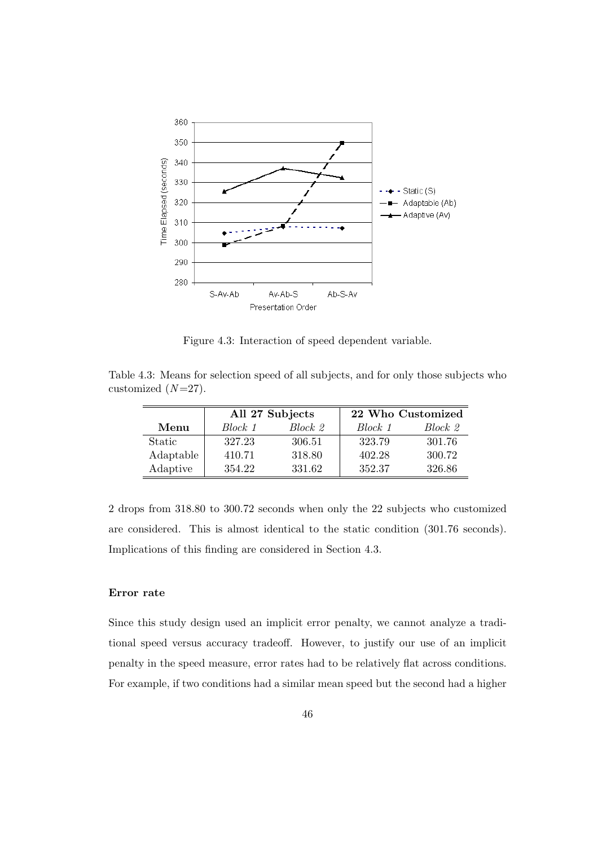

Figure 4.3: Interaction of speed dependent variable.

Table 4.3: Means for selection speed of all subjects, and for only those subjects who customized  $(N=27)$ .

|           |         | All 27 Subjects | 22 Who Customized |         |  |
|-----------|---------|-----------------|-------------------|---------|--|
| Menu      | Block 1 | Block 2         | Block 1           | Block 2 |  |
| Static    | 327.23  | 306.51          | 323.79            | 301.76  |  |
| Adaptable | 410.71  | 318.80          | 402.28            | 300.72  |  |
| Adaptive  | 354.22  | 331.62          | 352.37            | 326.86  |  |

2 drops from 318.80 to 300.72 seconds when only the 22 subjects who customized are considered. This is almost identical to the static condition (301.76 seconds). Implications of this finding are considered in Section 4.3.

## Error rate

Since this study design used an implicit error penalty, we cannot analyze a traditional speed versus accuracy tradeoff. However, to justify our use of an implicit penalty in the speed measure, error rates had to be relatively flat across conditions. For example, if two conditions had a similar mean speed but the second had a higher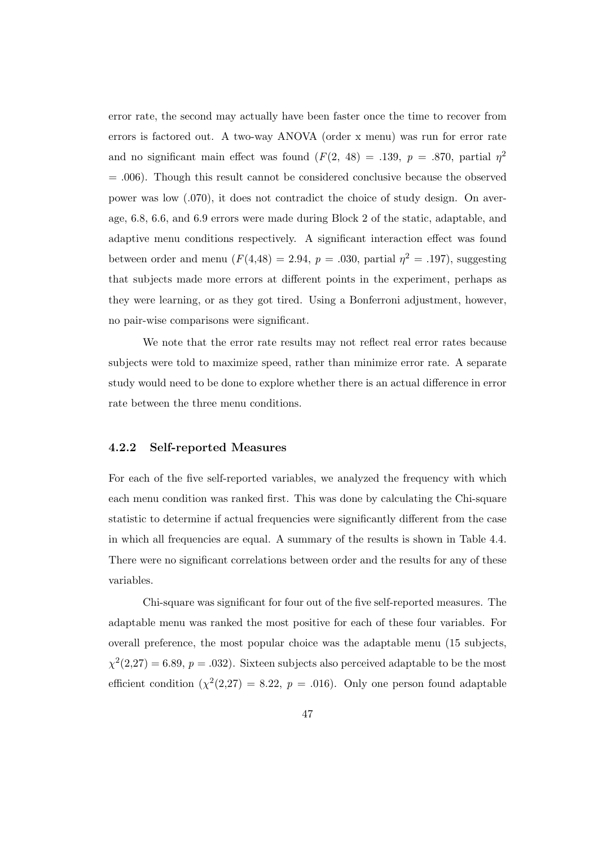error rate, the second may actually have been faster once the time to recover from errors is factored out. A two-way ANOVA (order x menu) was run for error rate and no significant main effect was found  $(F(2, 48) = .139, p = .870,$  partial  $p^2$ = .006). Though this result cannot be considered conclusive because the observed power was low (.070), it does not contradict the choice of study design. On average, 6.8, 6.6, and 6.9 errors were made during Block 2 of the static, adaptable, and adaptive menu conditions respectively. A significant interaction effect was found between order and menu  $(F(4, 48) = 2.94, p = .030,$  partial  $p^2 = .197$ , suggesting that subjects made more errors at different points in the experiment, perhaps as they were learning, or as they got tired. Using a Bonferroni adjustment, however, no pair-wise comparisons were significant.

We note that the error rate results may not reflect real error rates because subjects were told to maximize speed, rather than minimize error rate. A separate study would need to be done to explore whether there is an actual difference in error rate between the three menu conditions.

## 4.2.2 Self-reported Measures

For each of the five self-reported variables, we analyzed the frequency with which each menu condition was ranked first. This was done by calculating the Chi-square statistic to determine if actual frequencies were significantly different from the case in which all frequencies are equal. A summary of the results is shown in Table 4.4. There were no significant correlations between order and the results for any of these variables.

Chi-square was significant for four out of the five self-reported measures. The adaptable menu was ranked the most positive for each of these four variables. For overall preference, the most popular choice was the adaptable menu (15 subjects,  $\chi^2(2,27) = 6.89, p = .032$ . Sixteen subjects also perceived adaptable to be the most efficient condition  $(\chi^2(2,27) = 8.22, p = .016)$ . Only one person found adaptable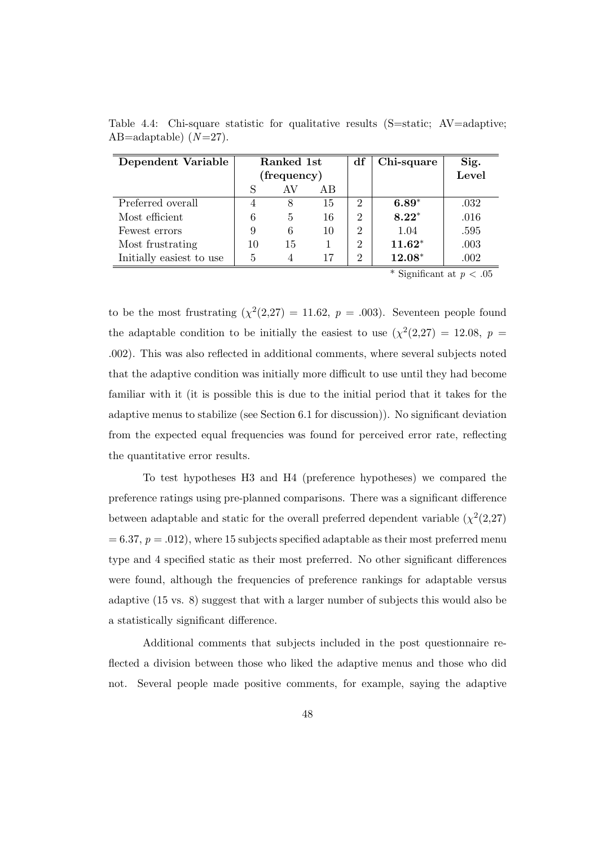| Dependent Variable       | Ranked 1st  |                |    | df                          | Chi-square | Sig.  |
|--------------------------|-------------|----------------|----|-----------------------------|------------|-------|
|                          | (frequency) |                |    |                             |            | Level |
|                          |             | AV             | AB |                             |            |       |
| Preferred overall        |             | 8              | 15 | $\mathcal{D}_{\mathcal{L}}$ | $6.89*$    | .032  |
| Most efficient           | 6           | $\overline{5}$ | 16 | $\overline{2}$              | $8.22*$    | .016  |
| Fewest errors            | 9           | 6              | 10 | $\overline{2}$              | 1.04       | .595  |
| Most frustrating         | 10          | 15             |    | 2                           | $11.62*$   | .003  |
| Initially easiest to use | 5           |                | 17 | $\mathcal{D}_{\mathcal{A}}$ | $12.08*$   | .002  |

Table 4.4: Chi-square statistic for qualitative results (S=static; AV=adaptive; AB=adaptable)  $(N=27)$ .

\* Significant at  $p < .05$ 

to be the most frustrating  $(\chi^2(2,27) = 11.62, p = .003)$ . Seventeen people found the adaptable condition to be initially the easiest to use  $(\chi^2(2,27) = 12.08, p =$ .002). This was also reflected in additional comments, where several subjects noted that the adaptive condition was initially more difficult to use until they had become familiar with it (it is possible this is due to the initial period that it takes for the adaptive menus to stabilize (see Section 6.1 for discussion)). No significant deviation from the expected equal frequencies was found for perceived error rate, reflecting the quantitative error results.

To test hypotheses H3 and H4 (preference hypotheses) we compared the preference ratings using pre-planned comparisons. There was a significant difference between adaptable and static for the overall preferred dependent variable  $(\chi^2(2,27))$  $= 6.37, p = .012$ , where 15 subjects specified adaptable as their most preferred menu type and 4 specified static as their most preferred. No other significant differences were found, although the frequencies of preference rankings for adaptable versus adaptive (15 vs. 8) suggest that with a larger number of subjects this would also be a statistically significant difference.

Additional comments that subjects included in the post questionnaire reflected a division between those who liked the adaptive menus and those who did not. Several people made positive comments, for example, saying the adaptive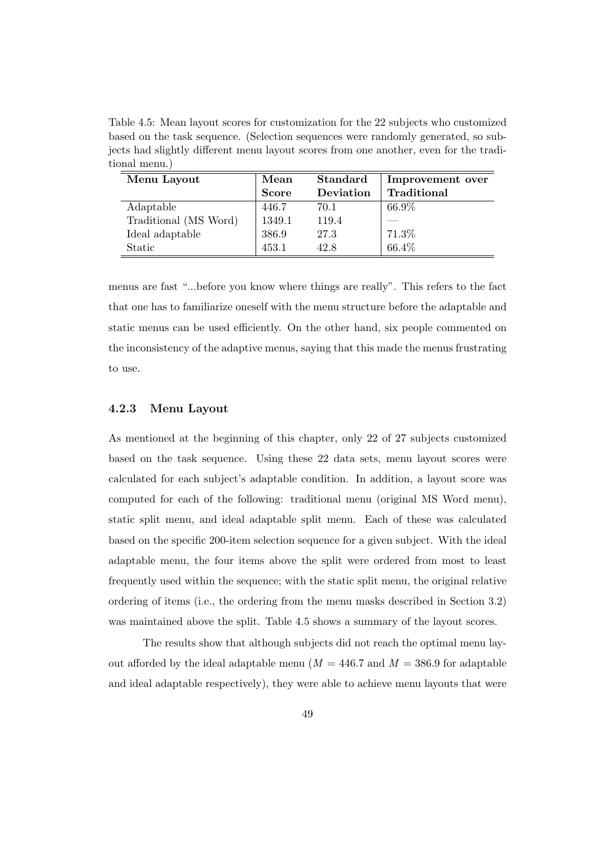Table 4.5: Mean layout scores for customization for the 22 subjects who customized based on the task sequence. (Selection sequences were randomly generated, so subjects had slightly different menu layout scores from one another, even for the traditional menu.)

| Menu Layout           | Mean         | <b>Standard</b> | Improvement over |  |
|-----------------------|--------------|-----------------|------------------|--|
|                       | <b>Score</b> | Deviation       | Traditional      |  |
| Adaptable             | 446.7        | 70.1            | 66.9%            |  |
| Traditional (MS Word) | 1349.1       | 119.4           |                  |  |
| Ideal adaptable       | 386.9        | 27.3            | 71.3%            |  |
| Static                | 453.1        | 42.8            | 66.4%            |  |

menus are fast "...before you know where things are really". This refers to the fact that one has to familiarize oneself with the menu structure before the adaptable and static menus can be used efficiently. On the other hand, six people commented on the inconsistency of the adaptive menus, saying that this made the menus frustrating to use.

## 4.2.3 Menu Layout

As mentioned at the beginning of this chapter, only 22 of 27 subjects customized based on the task sequence. Using these 22 data sets, menu layout scores were calculated for each subject's adaptable condition. In addition, a layout score was computed for each of the following: traditional menu (original MS Word menu), static split menu, and ideal adaptable split menu. Each of these was calculated based on the specific 200-item selection sequence for a given subject. With the ideal adaptable menu, the four items above the split were ordered from most to least frequently used within the sequence; with the static split menu, the original relative ordering of items (i.e., the ordering from the menu masks described in Section 3.2) was maintained above the split. Table 4.5 shows a summary of the layout scores.

The results show that although subjects did not reach the optimal menu layout afforded by the ideal adaptable menu ( $M = 446.7$  and  $M = 386.9$  for adaptable and ideal adaptable respectively), they were able to achieve menu layouts that were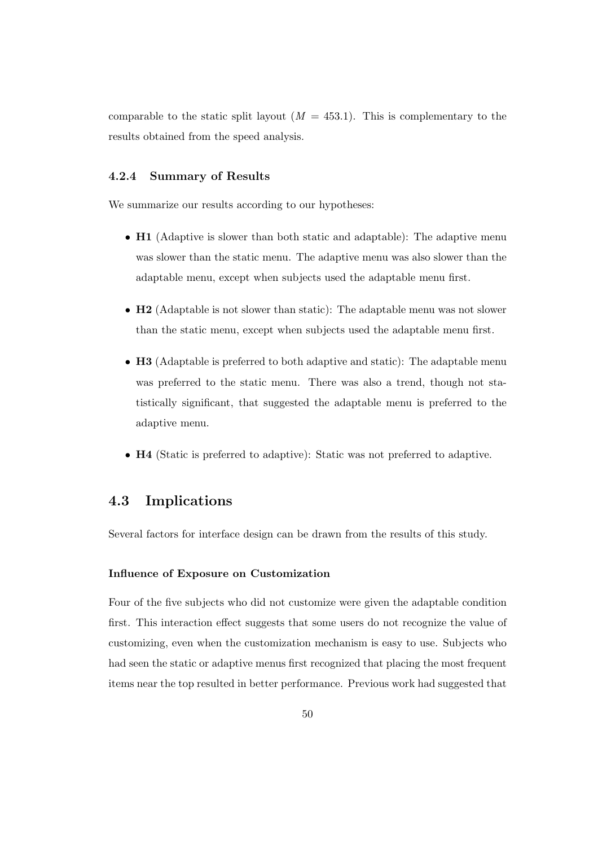comparable to the static split layout  $(M = 453.1)$ . This is complementary to the results obtained from the speed analysis.

## 4.2.4 Summary of Results

We summarize our results according to our hypotheses:

- **H1** (Adaptive is slower than both static and adaptable): The adaptive menu was slower than the static menu. The adaptive menu was also slower than the adaptable menu, except when subjects used the adaptable menu first.
- **H2** (Adaptable is not slower than static): The adaptable menu was not slower than the static menu, except when subjects used the adaptable menu first.
- H3 (Adaptable is preferred to both adaptive and static): The adaptable menu was preferred to the static menu. There was also a trend, though not statistically significant, that suggested the adaptable menu is preferred to the adaptive menu.
- H4 (Static is preferred to adaptive): Static was not preferred to adaptive.

## 4.3 Implications

Several factors for interface design can be drawn from the results of this study.

### Influence of Exposure on Customization

Four of the five subjects who did not customize were given the adaptable condition first. This interaction effect suggests that some users do not recognize the value of customizing, even when the customization mechanism is easy to use. Subjects who had seen the static or adaptive menus first recognized that placing the most frequent items near the top resulted in better performance. Previous work had suggested that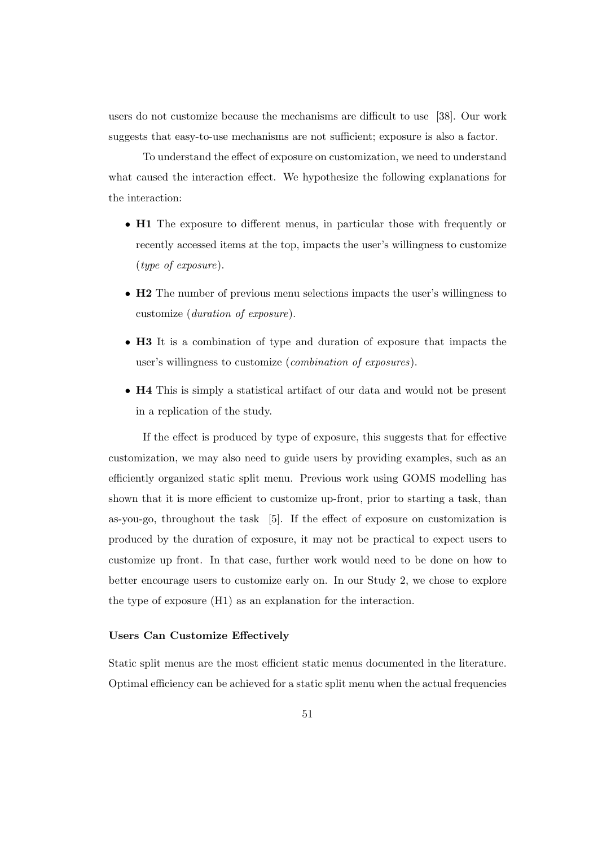users do not customize because the mechanisms are difficult to use [38]. Our work suggests that easy-to-use mechanisms are not sufficient; exposure is also a factor.

To understand the effect of exposure on customization, we need to understand what caused the interaction effect. We hypothesize the following explanations for the interaction:

- H1 The exposure to different menus, in particular those with frequently or recently accessed items at the top, impacts the user's willingness to customize (type of exposure).
- H2 The number of previous menu selections impacts the user's willingness to customize (duration of exposure).
- H3 It is a combination of type and duration of exposure that impacts the user's willingness to customize (combination of exposures).
- H4 This is simply a statistical artifact of our data and would not be present in a replication of the study.

If the effect is produced by type of exposure, this suggests that for effective customization, we may also need to guide users by providing examples, such as an efficiently organized static split menu. Previous work using GOMS modelling has shown that it is more efficient to customize up-front, prior to starting a task, than as-you-go, throughout the task [5]. If the effect of exposure on customization is produced by the duration of exposure, it may not be practical to expect users to customize up front. In that case, further work would need to be done on how to better encourage users to customize early on. In our Study 2, we chose to explore the type of exposure (H1) as an explanation for the interaction.

#### Users Can Customize Effectively

Static split menus are the most efficient static menus documented in the literature. Optimal efficiency can be achieved for a static split menu when the actual frequencies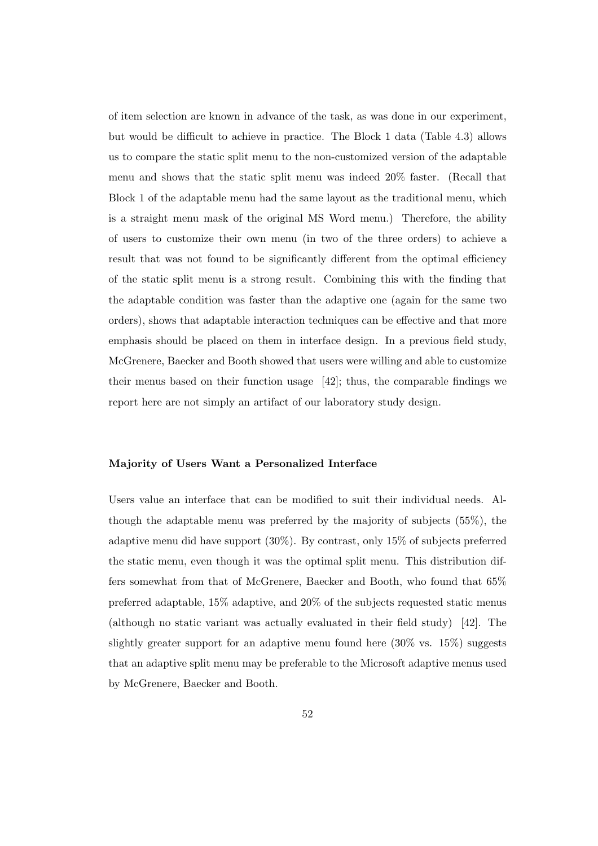of item selection are known in advance of the task, as was done in our experiment, but would be difficult to achieve in practice. The Block 1 data (Table 4.3) allows us to compare the static split menu to the non-customized version of the adaptable menu and shows that the static split menu was indeed 20% faster. (Recall that Block 1 of the adaptable menu had the same layout as the traditional menu, which is a straight menu mask of the original MS Word menu.) Therefore, the ability of users to customize their own menu (in two of the three orders) to achieve a result that was not found to be significantly different from the optimal efficiency of the static split menu is a strong result. Combining this with the finding that the adaptable condition was faster than the adaptive one (again for the same two orders), shows that adaptable interaction techniques can be effective and that more emphasis should be placed on them in interface design. In a previous field study, McGrenere, Baecker and Booth showed that users were willing and able to customize their menus based on their function usage [42]; thus, the comparable findings we report here are not simply an artifact of our laboratory study design.

#### Majority of Users Want a Personalized Interface

Users value an interface that can be modified to suit their individual needs. Although the adaptable menu was preferred by the majority of subjects (55%), the adaptive menu did have support (30%). By contrast, only 15% of subjects preferred the static menu, even though it was the optimal split menu. This distribution differs somewhat from that of McGrenere, Baecker and Booth, who found that 65% preferred adaptable, 15% adaptive, and 20% of the subjects requested static menus (although no static variant was actually evaluated in their field study) [42]. The slightly greater support for an adaptive menu found here  $(30\% \text{ vs. } 15\%)$  suggests that an adaptive split menu may be preferable to the Microsoft adaptive menus used by McGrenere, Baecker and Booth.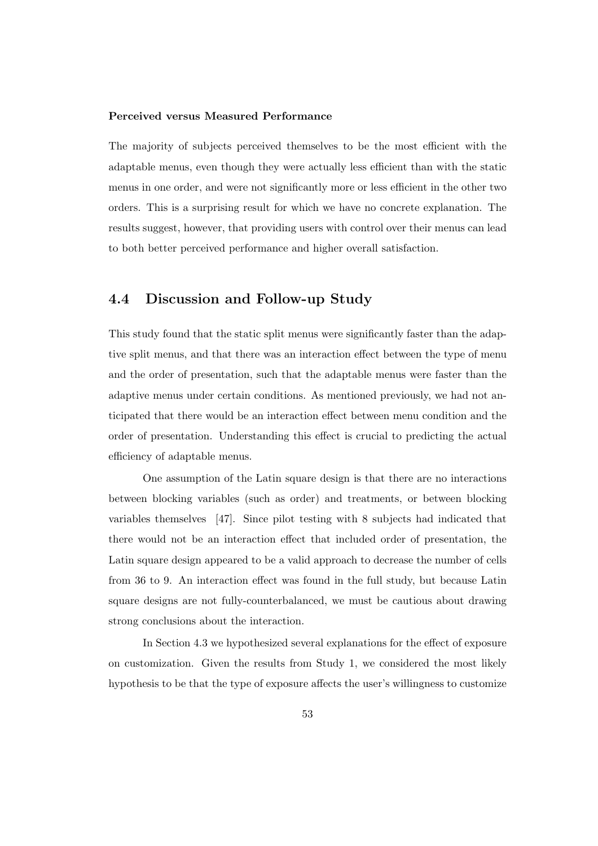## Perceived versus Measured Performance

The majority of subjects perceived themselves to be the most efficient with the adaptable menus, even though they were actually less efficient than with the static menus in one order, and were not significantly more or less efficient in the other two orders. This is a surprising result for which we have no concrete explanation. The results suggest, however, that providing users with control over their menus can lead to both better perceived performance and higher overall satisfaction.

## 4.4 Discussion and Follow-up Study

This study found that the static split menus were significantly faster than the adaptive split menus, and that there was an interaction effect between the type of menu and the order of presentation, such that the adaptable menus were faster than the adaptive menus under certain conditions. As mentioned previously, we had not anticipated that there would be an interaction effect between menu condition and the order of presentation. Understanding this effect is crucial to predicting the actual efficiency of adaptable menus.

One assumption of the Latin square design is that there are no interactions between blocking variables (such as order) and treatments, or between blocking variables themselves [47]. Since pilot testing with 8 subjects had indicated that there would not be an interaction effect that included order of presentation, the Latin square design appeared to be a valid approach to decrease the number of cells from 36 to 9. An interaction effect was found in the full study, but because Latin square designs are not fully-counterbalanced, we must be cautious about drawing strong conclusions about the interaction.

In Section 4.3 we hypothesized several explanations for the effect of exposure on customization. Given the results from Study 1, we considered the most likely hypothesis to be that the type of exposure affects the user's willingness to customize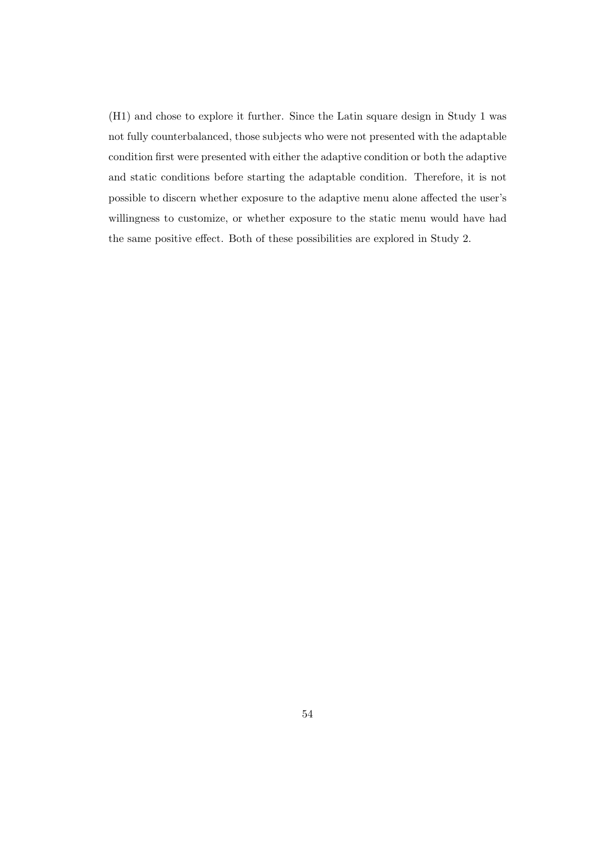(H1) and chose to explore it further. Since the Latin square design in Study 1 was not fully counterbalanced, those subjects who were not presented with the adaptable condition first were presented with either the adaptive condition or both the adaptive and static conditions before starting the adaptable condition. Therefore, it is not possible to discern whether exposure to the adaptive menu alone affected the user's willingness to customize, or whether exposure to the static menu would have had the same positive effect. Both of these possibilities are explored in Study 2.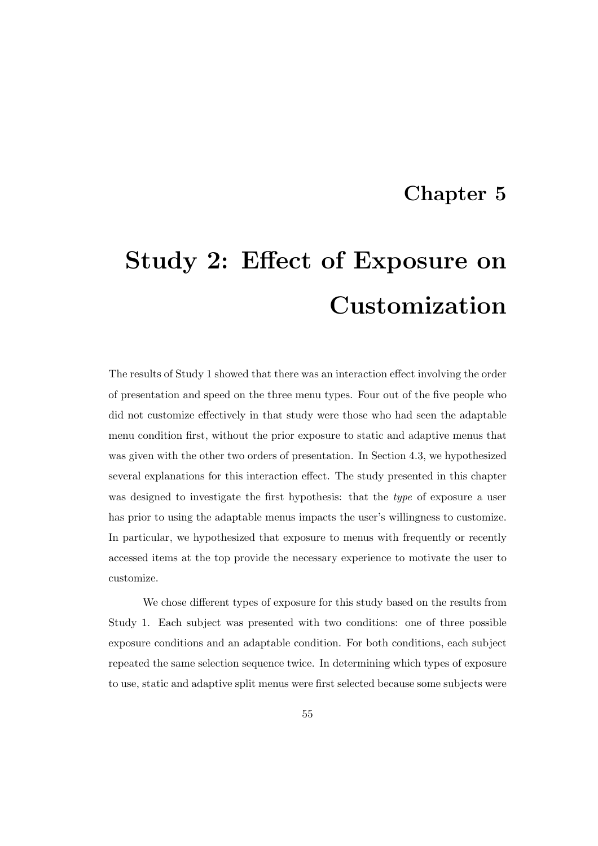## Chapter 5

# Study 2: Effect of Exposure on Customization

The results of Study 1 showed that there was an interaction effect involving the order of presentation and speed on the three menu types. Four out of the five people who did not customize effectively in that study were those who had seen the adaptable menu condition first, without the prior exposure to static and adaptive menus that was given with the other two orders of presentation. In Section 4.3, we hypothesized several explanations for this interaction effect. The study presented in this chapter was designed to investigate the first hypothesis: that the type of exposure a user has prior to using the adaptable menus impacts the user's willingness to customize. In particular, we hypothesized that exposure to menus with frequently or recently accessed items at the top provide the necessary experience to motivate the user to customize.

We chose different types of exposure for this study based on the results from Study 1. Each subject was presented with two conditions: one of three possible exposure conditions and an adaptable condition. For both conditions, each subject repeated the same selection sequence twice. In determining which types of exposure to use, static and adaptive split menus were first selected because some subjects were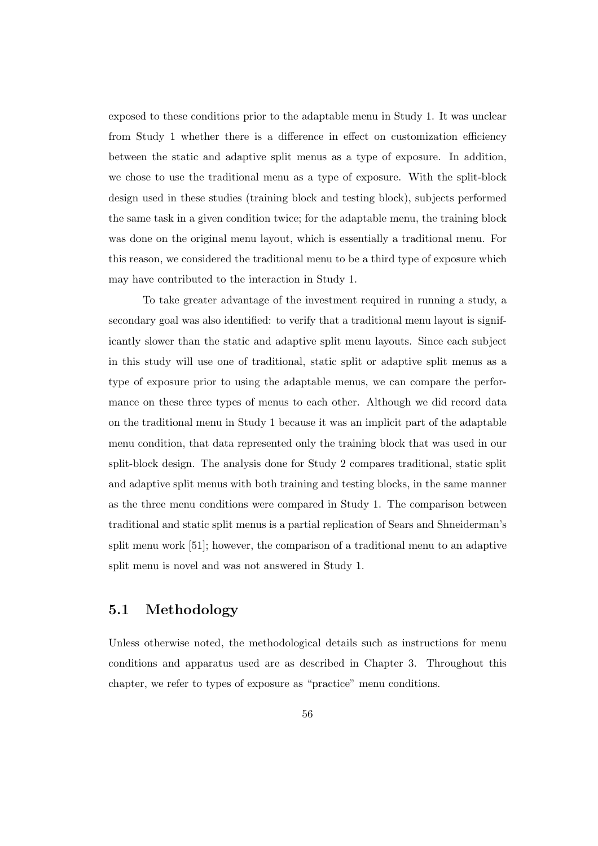exposed to these conditions prior to the adaptable menu in Study 1. It was unclear from Study 1 whether there is a difference in effect on customization efficiency between the static and adaptive split menus as a type of exposure. In addition, we chose to use the traditional menu as a type of exposure. With the split-block design used in these studies (training block and testing block), subjects performed the same task in a given condition twice; for the adaptable menu, the training block was done on the original menu layout, which is essentially a traditional menu. For this reason, we considered the traditional menu to be a third type of exposure which may have contributed to the interaction in Study 1.

To take greater advantage of the investment required in running a study, a secondary goal was also identified: to verify that a traditional menu layout is significantly slower than the static and adaptive split menu layouts. Since each subject in this study will use one of traditional, static split or adaptive split menus as a type of exposure prior to using the adaptable menus, we can compare the performance on these three types of menus to each other. Although we did record data on the traditional menu in Study 1 because it was an implicit part of the adaptable menu condition, that data represented only the training block that was used in our split-block design. The analysis done for Study 2 compares traditional, static split and adaptive split menus with both training and testing blocks, in the same manner as the three menu conditions were compared in Study 1. The comparison between traditional and static split menus is a partial replication of Sears and Shneiderman's split menu work [51]; however, the comparison of a traditional menu to an adaptive split menu is novel and was not answered in Study 1.

## 5.1 Methodology

Unless otherwise noted, the methodological details such as instructions for menu conditions and apparatus used are as described in Chapter 3. Throughout this chapter, we refer to types of exposure as "practice" menu conditions.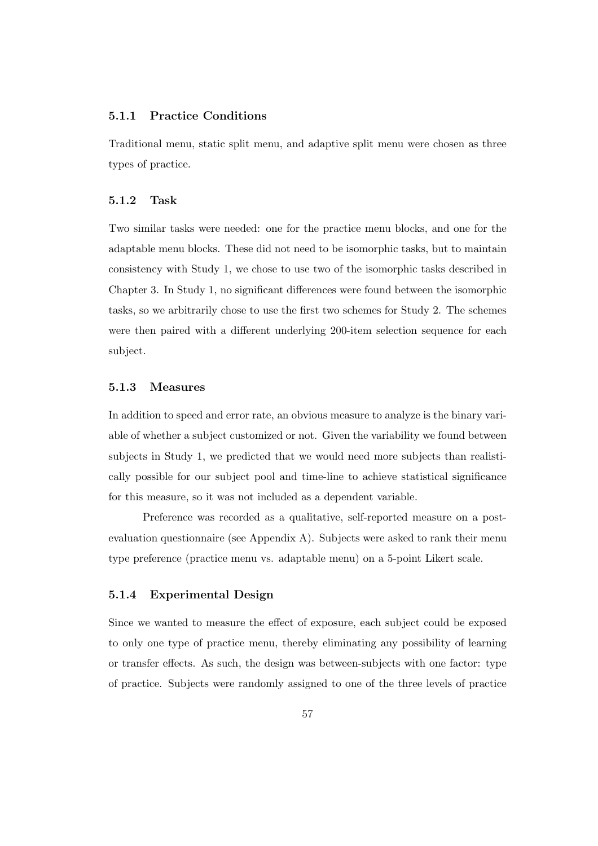## 5.1.1 Practice Conditions

Traditional menu, static split menu, and adaptive split menu were chosen as three types of practice.

#### 5.1.2 Task

Two similar tasks were needed: one for the practice menu blocks, and one for the adaptable menu blocks. These did not need to be isomorphic tasks, but to maintain consistency with Study 1, we chose to use two of the isomorphic tasks described in Chapter 3. In Study 1, no significant differences were found between the isomorphic tasks, so we arbitrarily chose to use the first two schemes for Study 2. The schemes were then paired with a different underlying 200-item selection sequence for each subject.

### 5.1.3 Measures

In addition to speed and error rate, an obvious measure to analyze is the binary variable of whether a subject customized or not. Given the variability we found between subjects in Study 1, we predicted that we would need more subjects than realistically possible for our subject pool and time-line to achieve statistical significance for this measure, so it was not included as a dependent variable.

Preference was recorded as a qualitative, self-reported measure on a postevaluation questionnaire (see Appendix A). Subjects were asked to rank their menu type preference (practice menu vs. adaptable menu) on a 5-point Likert scale.

## 5.1.4 Experimental Design

Since we wanted to measure the effect of exposure, each subject could be exposed to only one type of practice menu, thereby eliminating any possibility of learning or transfer effects. As such, the design was between-subjects with one factor: type of practice. Subjects were randomly assigned to one of the three levels of practice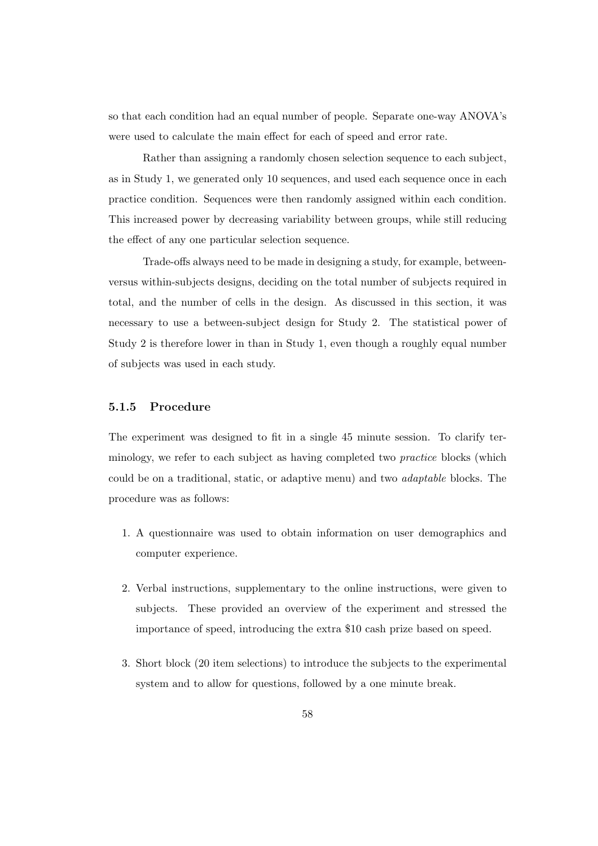so that each condition had an equal number of people. Separate one-way ANOVA's were used to calculate the main effect for each of speed and error rate.

Rather than assigning a randomly chosen selection sequence to each subject, as in Study 1, we generated only 10 sequences, and used each sequence once in each practice condition. Sequences were then randomly assigned within each condition. This increased power by decreasing variability between groups, while still reducing the effect of any one particular selection sequence.

Trade-offs always need to be made in designing a study, for example, betweenversus within-subjects designs, deciding on the total number of subjects required in total, and the number of cells in the design. As discussed in this section, it was necessary to use a between-subject design for Study 2. The statistical power of Study 2 is therefore lower in than in Study 1, even though a roughly equal number of subjects was used in each study.

## 5.1.5 Procedure

The experiment was designed to fit in a single 45 minute session. To clarify terminology, we refer to each subject as having completed two practice blocks (which could be on a traditional, static, or adaptive menu) and two adaptable blocks. The procedure was as follows:

- 1. A questionnaire was used to obtain information on user demographics and computer experience.
- 2. Verbal instructions, supplementary to the online instructions, were given to subjects. These provided an overview of the experiment and stressed the importance of speed, introducing the extra \$10 cash prize based on speed.
- 3. Short block (20 item selections) to introduce the subjects to the experimental system and to allow for questions, followed by a one minute break.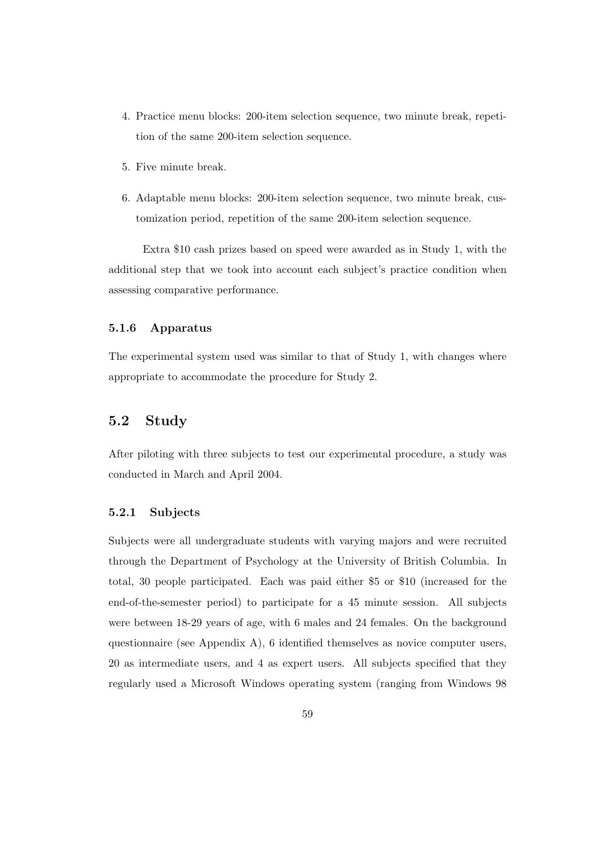- 4. Practice menu blocks: 200-item selection sequence, two minute break, repetition of the same 200-item selection sequence.
- 5. Five minute break.
- 6. Adaptable menu blocks: 200-item selection sequence, two minute break, customization period, repetition of the same 200-item selection sequence.

Extra \$10 cash prizes based on speed were awarded as in Study 1, with the additional step that we took into account each subject's practice condition when assessing comparative performance.

## 5.1.6 Apparatus

The experimental system used was similar to that of Study 1, with changes where appropriate to accommodate the procedure for Study 2.

## 5.2 Study

After piloting with three subjects to test our experimental procedure, a study was conducted in March and April 2004.

## 5.2.1 Subjects

Subjects were all undergraduate students with varying majors and were recruited through the Department of Psychology at the University of British Columbia. In total, 30 people participated. Each was paid either \$5 or \$10 (increased for the end-of-the-semester period) to participate for a 45 minute session. All subjects were between 18-29 years of age, with 6 males and 24 females. On the background questionnaire (see Appendix A), 6 identified themselves as novice computer users, 20 as intermediate users, and 4 as expert users. All subjects specified that they regularly used a Microsoft Windows operating system (ranging from Windows 98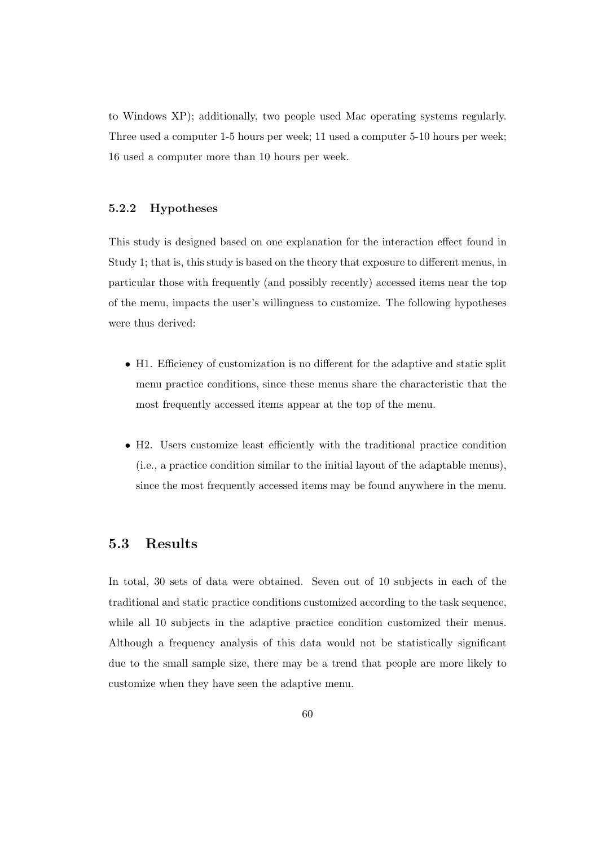to Windows XP); additionally, two people used Mac operating systems regularly. Three used a computer 1-5 hours per week; 11 used a computer 5-10 hours per week; 16 used a computer more than 10 hours per week.

## 5.2.2 Hypotheses

This study is designed based on one explanation for the interaction effect found in Study 1; that is, this study is based on the theory that exposure to different menus, in particular those with frequently (and possibly recently) accessed items near the top of the menu, impacts the user's willingness to customize. The following hypotheses were thus derived:

- H1. Efficiency of customization is no different for the adaptive and static split menu practice conditions, since these menus share the characteristic that the most frequently accessed items appear at the top of the menu.
- H2. Users customize least efficiently with the traditional practice condition (i.e., a practice condition similar to the initial layout of the adaptable menus), since the most frequently accessed items may be found anywhere in the menu.

## 5.3 Results

In total, 30 sets of data were obtained. Seven out of 10 subjects in each of the traditional and static practice conditions customized according to the task sequence, while all 10 subjects in the adaptive practice condition customized their menus. Although a frequency analysis of this data would not be statistically significant due to the small sample size, there may be a trend that people are more likely to customize when they have seen the adaptive menu.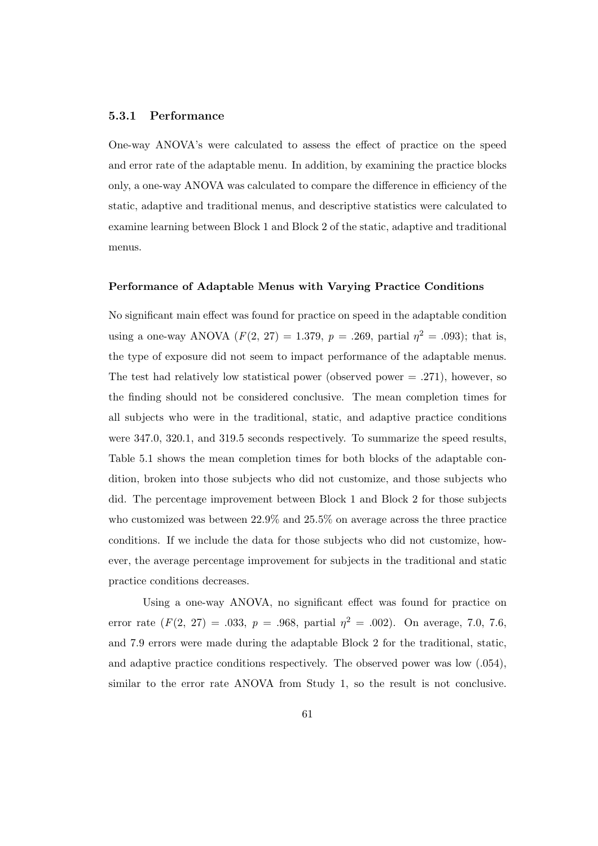### 5.3.1 Performance

One-way ANOVA's were calculated to assess the effect of practice on the speed and error rate of the adaptable menu. In addition, by examining the practice blocks only, a one-way ANOVA was calculated to compare the difference in efficiency of the static, adaptive and traditional menus, and descriptive statistics were calculated to examine learning between Block 1 and Block 2 of the static, adaptive and traditional menus.

#### Performance of Adaptable Menus with Varying Practice Conditions

No significant main effect was found for practice on speed in the adaptable condition using a one-way ANOVA  $(F(2, 27) = 1.379, p = .269,$  partial  $\eta^2 = .093$ ; that is, the type of exposure did not seem to impact performance of the adaptable menus. The test had relatively low statistical power (observed power  $= .271$ ), however, so the finding should not be considered conclusive. The mean completion times for all subjects who were in the traditional, static, and adaptive practice conditions were 347.0, 320.1, and 319.5 seconds respectively. To summarize the speed results, Table 5.1 shows the mean completion times for both blocks of the adaptable condition, broken into those subjects who did not customize, and those subjects who did. The percentage improvement between Block 1 and Block 2 for those subjects who customized was between 22.9% and 25.5% on average across the three practice conditions. If we include the data for those subjects who did not customize, however, the average percentage improvement for subjects in the traditional and static practice conditions decreases.

Using a one-way ANOVA, no significant effect was found for practice on error rate  $(F(2, 27) = .033, p = .968,$  partial  $p^2 = .002$ ). On average, 7.0, 7.6, and 7.9 errors were made during the adaptable Block 2 for the traditional, static, and adaptive practice conditions respectively. The observed power was low (.054), similar to the error rate ANOVA from Study 1, so the result is not conclusive.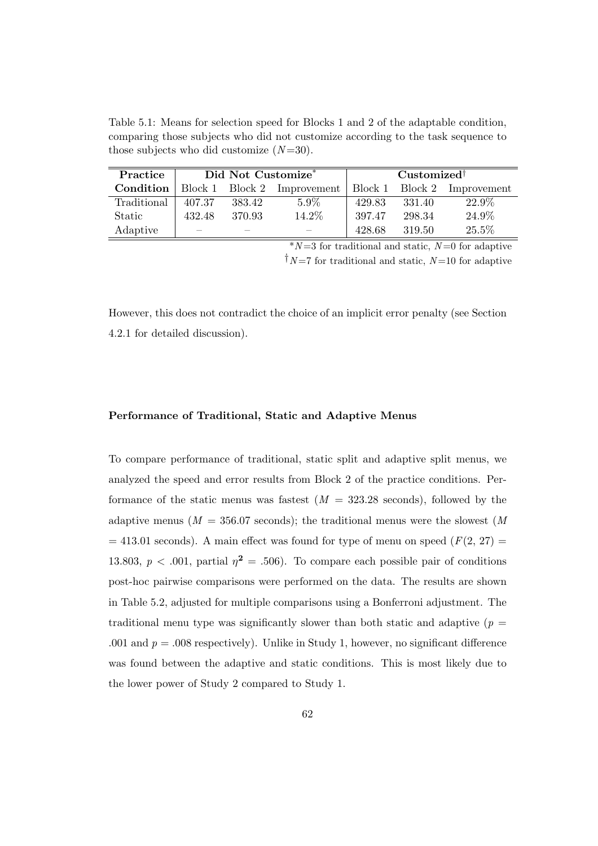Table 5.1: Means for selection speed for Blocks 1 and 2 of the adaptable condition, comparing those subjects who did not customize according to the task sequence to those subjects who did customize  $(N=30)$ .

| Practice    | Did Not Customize* |        |                     | Customized <sup>†</sup> |         |             |
|-------------|--------------------|--------|---------------------|-------------------------|---------|-------------|
| Condition   | Block 1            |        | Block 2 Improvement | Block 1                 | Block 2 | Improvement |
| Traditional | 407.37             | 383.42 | $5.9\%$             | 429.83                  | 331.40  | 22.9%       |
| Static      | 432.48             | 370.93 | 14.2%               | 397.47                  | 298.34  | 24.9%       |
| Adaptive    |                    |        |                     | 428.68                  | 319.50  | 25.5%       |

 $*N=3$  for traditional and static,  $N=0$  for adaptive

 $\dagger N = 7$  for traditional and static,  $N = 10$  for adaptive

However, this does not contradict the choice of an implicit error penalty (see Section 4.2.1 for detailed discussion).

## Performance of Traditional, Static and Adaptive Menus

To compare performance of traditional, static split and adaptive split menus, we analyzed the speed and error results from Block 2 of the practice conditions. Performance of the static menus was fastest  $(M = 323.28$  seconds), followed by the adaptive menus ( $M = 356.07$  seconds); the traditional menus were the slowest (M)  $= 413.01$  seconds). A main effect was found for type of menu on speed ( $F(2, 27) =$ 13.803,  $p < .001$ , partial  $\eta^2 = .506$ ). To compare each possible pair of conditions post-hoc pairwise comparisons were performed on the data. The results are shown in Table 5.2, adjusted for multiple comparisons using a Bonferroni adjustment. The traditional menu type was significantly slower than both static and adaptive ( $p =$ .001 and  $p = 0.008$  respectively). Unlike in Study 1, however, no significant difference was found between the adaptive and static conditions. This is most likely due to the lower power of Study 2 compared to Study 1.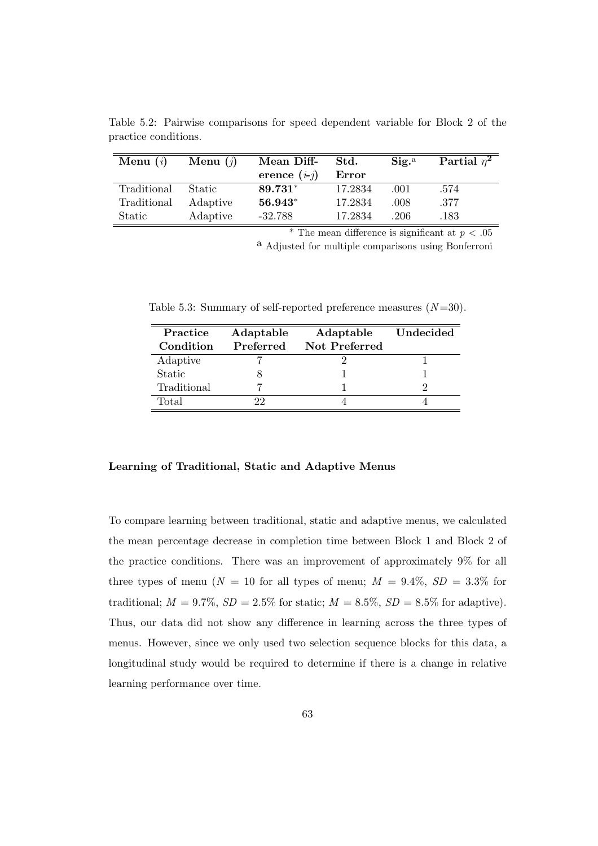| Menu $(i)$  | Menu $(i)$    | Mean Diff-     | Std.    | $\mathrm{Sig.}^{\mathrm{a}}$ | Partial $\eta^2$ |
|-------------|---------------|----------------|---------|------------------------------|------------------|
|             |               | erence $(i-j)$ | Error   |                              |                  |
| Traditional | <b>Static</b> | 89.731*        | 17.2834 | .001                         | .574             |
| Traditional | Adaptive      | $56.943*$      | 17.2834 | .008                         | .377             |
| Static      | Adaptive      | $-32.788$      | 17.2834 | .206                         | .183             |

Table 5.2: Pairwise comparisons for speed dependent variable for Block 2 of the practice conditions.

\* The mean difference is significant at  $p < .05$ 

a Adjusted for multiple comparisons using Bonferroni

Table 5.3: Summary of self-reported preference measures  $(N=30)$ .

| Practice    | Adaptable | Adaptable     | Undecided |
|-------------|-----------|---------------|-----------|
| Condition   | Preferred | Not Preferred |           |
| Adaptive    |           |               |           |
| Static      |           |               |           |
| Traditional |           |               |           |
| Total       | (۶۰       |               |           |

## Learning of Traditional, Static and Adaptive Menus

To compare learning between traditional, static and adaptive menus, we calculated the mean percentage decrease in completion time between Block 1 and Block 2 of the practice conditions. There was an improvement of approximately 9% for all three types of menu ( $N = 10$  for all types of menu;  $M = 9.4\%, SD = 3.3\%$  for traditional;  $M = 9.7\%$ ,  $SD = 2.5\%$  for static;  $M = 8.5\%$ ,  $SD = 8.5\%$  for adaptive). Thus, our data did not show any difference in learning across the three types of menus. However, since we only used two selection sequence blocks for this data, a longitudinal study would be required to determine if there is a change in relative learning performance over time.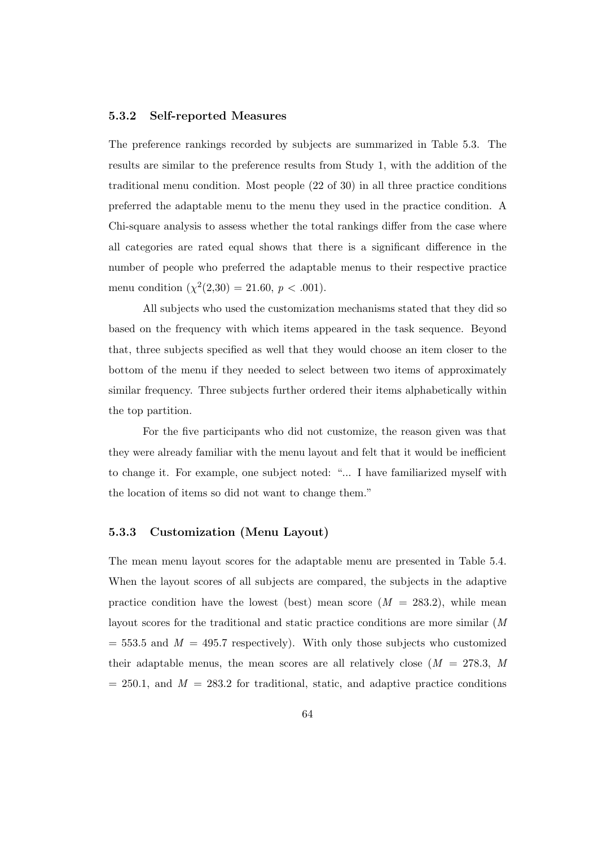### 5.3.2 Self-reported Measures

The preference rankings recorded by subjects are summarized in Table 5.3. The results are similar to the preference results from Study 1, with the addition of the traditional menu condition. Most people (22 of 30) in all three practice conditions preferred the adaptable menu to the menu they used in the practice condition. A Chi-square analysis to assess whether the total rankings differ from the case where all categories are rated equal shows that there is a significant difference in the number of people who preferred the adaptable menus to their respective practice menu condition  $(\chi^2(2,30) = 21.60, p < .001)$ .

All subjects who used the customization mechanisms stated that they did so based on the frequency with which items appeared in the task sequence. Beyond that, three subjects specified as well that they would choose an item closer to the bottom of the menu if they needed to select between two items of approximately similar frequency. Three subjects further ordered their items alphabetically within the top partition.

For the five participants who did not customize, the reason given was that they were already familiar with the menu layout and felt that it would be inefficient to change it. For example, one subject noted: "... I have familiarized myself with the location of items so did not want to change them."

## 5.3.3 Customization (Menu Layout)

The mean menu layout scores for the adaptable menu are presented in Table 5.4. When the layout scores of all subjects are compared, the subjects in the adaptive practice condition have the lowest (best) mean score  $(M = 283.2)$ , while mean layout scores for the traditional and static practice conditions are more similar (M  $= 553.5$  and  $M = 495.7$  respectively). With only those subjects who customized their adaptable menus, the mean scores are all relatively close  $(M = 278.3, M)$  $= 250.1$ , and  $M = 283.2$  for traditional, static, and adaptive practice conditions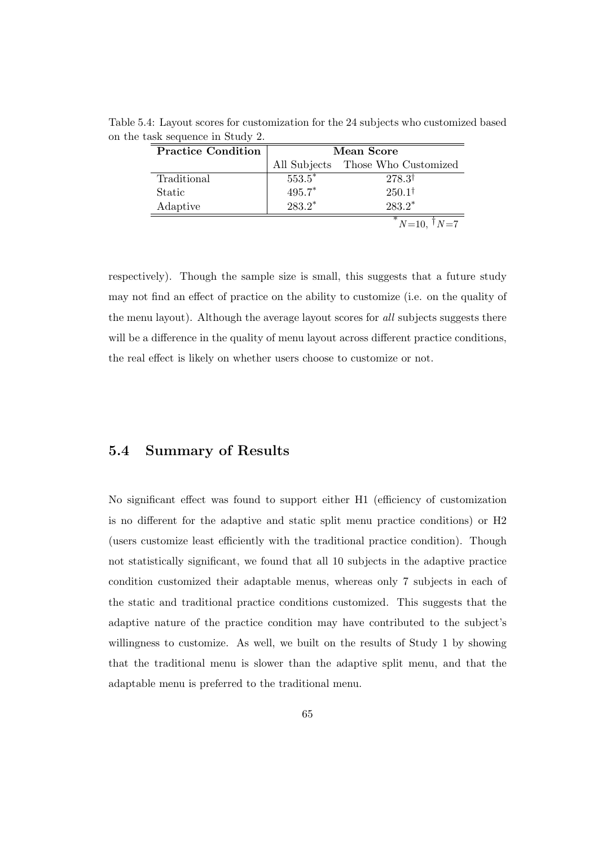| <b>Practice Condition</b> | Mean Score |                                   |  |
|---------------------------|------------|-----------------------------------|--|
|                           |            | All Subjects Those Who Customized |  |
| Traditional               | $553.5*$   | $278.3^{\dagger}$                 |  |
| Static                    | $495.7*$   | $250.1^{\dagger}$                 |  |
| Adaptive                  | $283.2*$   | $283.2*$                          |  |
|                           |            | $N=10, \mathsf{I} N=7$            |  |

Table 5.4: Layout scores for customization for the 24 subjects who customized based on the task sequence in Study 2.

respectively). Though the sample size is small, this suggests that a future study may not find an effect of practice on the ability to customize (i.e. on the quality of the menu layout). Although the average layout scores for all subjects suggests there will be a difference in the quality of menu layout across different practice conditions, the real effect is likely on whether users choose to customize or not.

## 5.4 Summary of Results

No significant effect was found to support either H1 (efficiency of customization is no different for the adaptive and static split menu practice conditions) or H2 (users customize least efficiently with the traditional practice condition). Though not statistically significant, we found that all 10 subjects in the adaptive practice condition customized their adaptable menus, whereas only 7 subjects in each of the static and traditional practice conditions customized. This suggests that the adaptive nature of the practice condition may have contributed to the subject's willingness to customize. As well, we built on the results of Study 1 by showing that the traditional menu is slower than the adaptive split menu, and that the adaptable menu is preferred to the traditional menu.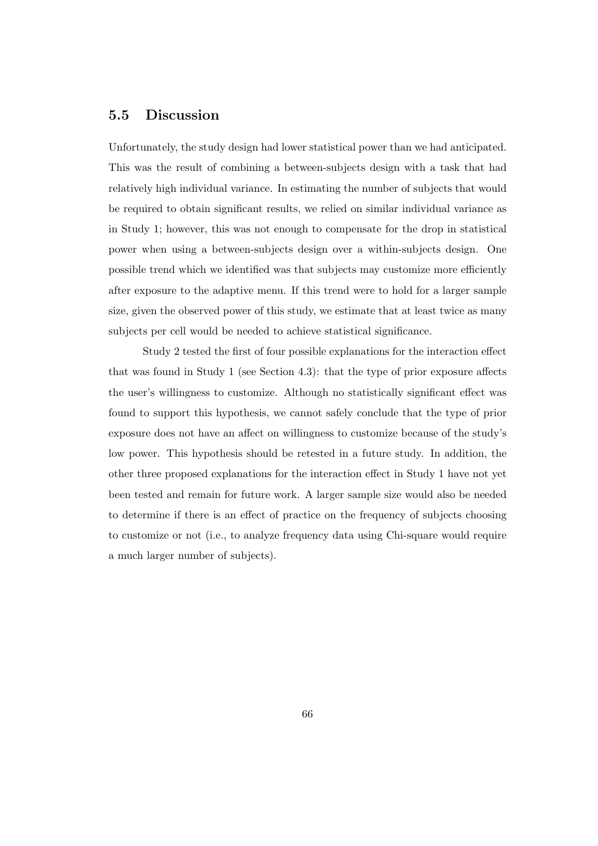## 5.5 Discussion

Unfortunately, the study design had lower statistical power than we had anticipated. This was the result of combining a between-subjects design with a task that had relatively high individual variance. In estimating the number of subjects that would be required to obtain significant results, we relied on similar individual variance as in Study 1; however, this was not enough to compensate for the drop in statistical power when using a between-subjects design over a within-subjects design. One possible trend which we identified was that subjects may customize more efficiently after exposure to the adaptive menu. If this trend were to hold for a larger sample size, given the observed power of this study, we estimate that at least twice as many subjects per cell would be needed to achieve statistical significance.

Study 2 tested the first of four possible explanations for the interaction effect that was found in Study 1 (see Section 4.3): that the type of prior exposure affects the user's willingness to customize. Although no statistically significant effect was found to support this hypothesis, we cannot safely conclude that the type of prior exposure does not have an affect on willingness to customize because of the study's low power. This hypothesis should be retested in a future study. In addition, the other three proposed explanations for the interaction effect in Study 1 have not yet been tested and remain for future work. A larger sample size would also be needed to determine if there is an effect of practice on the frequency of subjects choosing to customize or not (i.e., to analyze frequency data using Chi-square would require a much larger number of subjects).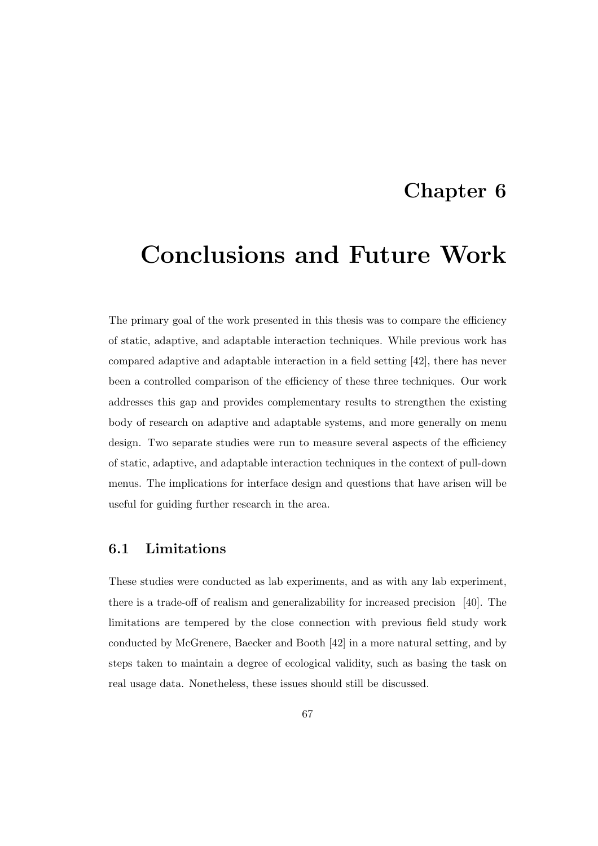## Chapter 6

## Conclusions and Future Work

The primary goal of the work presented in this thesis was to compare the efficiency of static, adaptive, and adaptable interaction techniques. While previous work has compared adaptive and adaptable interaction in a field setting [42], there has never been a controlled comparison of the efficiency of these three techniques. Our work addresses this gap and provides complementary results to strengthen the existing body of research on adaptive and adaptable systems, and more generally on menu design. Two separate studies were run to measure several aspects of the efficiency of static, adaptive, and adaptable interaction techniques in the context of pull-down menus. The implications for interface design and questions that have arisen will be useful for guiding further research in the area.

## 6.1 Limitations

These studies were conducted as lab experiments, and as with any lab experiment, there is a trade-off of realism and generalizability for increased precision [40]. The limitations are tempered by the close connection with previous field study work conducted by McGrenere, Baecker and Booth [42] in a more natural setting, and by steps taken to maintain a degree of ecological validity, such as basing the task on real usage data. Nonetheless, these issues should still be discussed.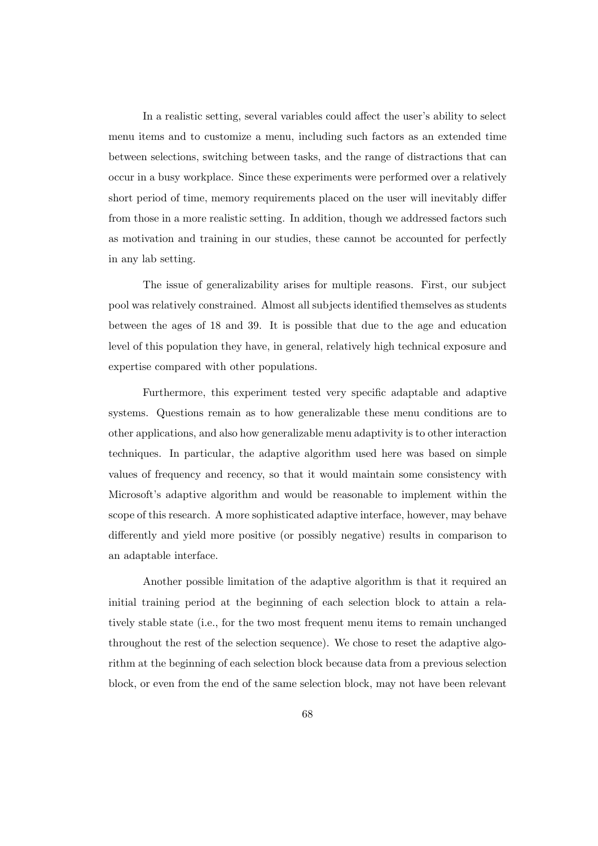In a realistic setting, several variables could affect the user's ability to select menu items and to customize a menu, including such factors as an extended time between selections, switching between tasks, and the range of distractions that can occur in a busy workplace. Since these experiments were performed over a relatively short period of time, memory requirements placed on the user will inevitably differ from those in a more realistic setting. In addition, though we addressed factors such as motivation and training in our studies, these cannot be accounted for perfectly in any lab setting.

The issue of generalizability arises for multiple reasons. First, our subject pool was relatively constrained. Almost all subjects identified themselves as students between the ages of 18 and 39. It is possible that due to the age and education level of this population they have, in general, relatively high technical exposure and expertise compared with other populations.

Furthermore, this experiment tested very specific adaptable and adaptive systems. Questions remain as to how generalizable these menu conditions are to other applications, and also how generalizable menu adaptivity is to other interaction techniques. In particular, the adaptive algorithm used here was based on simple values of frequency and recency, so that it would maintain some consistency with Microsoft's adaptive algorithm and would be reasonable to implement within the scope of this research. A more sophisticated adaptive interface, however, may behave differently and yield more positive (or possibly negative) results in comparison to an adaptable interface.

Another possible limitation of the adaptive algorithm is that it required an initial training period at the beginning of each selection block to attain a relatively stable state (i.e., for the two most frequent menu items to remain unchanged throughout the rest of the selection sequence). We chose to reset the adaptive algorithm at the beginning of each selection block because data from a previous selection block, or even from the end of the same selection block, may not have been relevant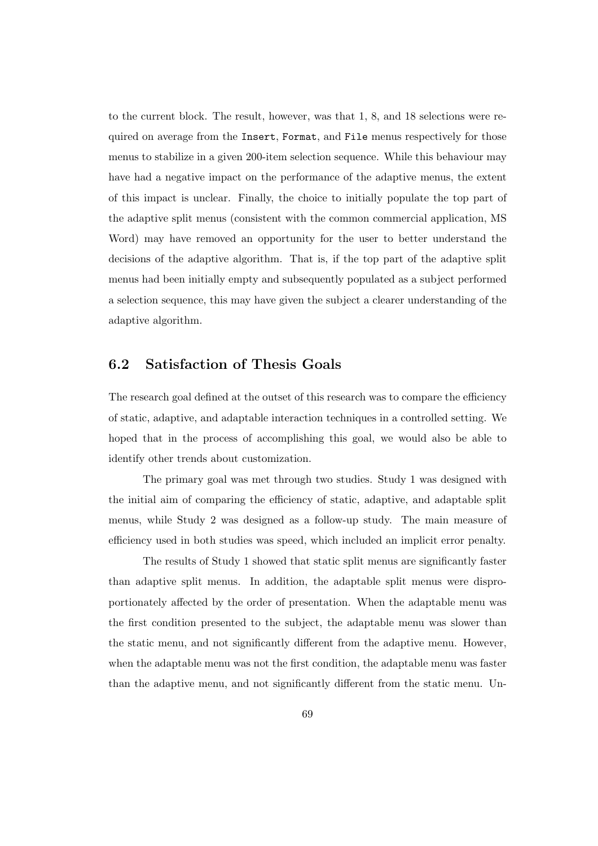to the current block. The result, however, was that 1, 8, and 18 selections were required on average from the Insert, Format, and File menus respectively for those menus to stabilize in a given 200-item selection sequence. While this behaviour may have had a negative impact on the performance of the adaptive menus, the extent of this impact is unclear. Finally, the choice to initially populate the top part of the adaptive split menus (consistent with the common commercial application, MS Word) may have removed an opportunity for the user to better understand the decisions of the adaptive algorithm. That is, if the top part of the adaptive split menus had been initially empty and subsequently populated as a subject performed a selection sequence, this may have given the subject a clearer understanding of the adaptive algorithm.

## 6.2 Satisfaction of Thesis Goals

The research goal defined at the outset of this research was to compare the efficiency of static, adaptive, and adaptable interaction techniques in a controlled setting. We hoped that in the process of accomplishing this goal, we would also be able to identify other trends about customization.

The primary goal was met through two studies. Study 1 was designed with the initial aim of comparing the efficiency of static, adaptive, and adaptable split menus, while Study 2 was designed as a follow-up study. The main measure of efficiency used in both studies was speed, which included an implicit error penalty.

The results of Study 1 showed that static split menus are significantly faster than adaptive split menus. In addition, the adaptable split menus were disproportionately affected by the order of presentation. When the adaptable menu was the first condition presented to the subject, the adaptable menu was slower than the static menu, and not significantly different from the adaptive menu. However, when the adaptable menu was not the first condition, the adaptable menu was faster than the adaptive menu, and not significantly different from the static menu. Un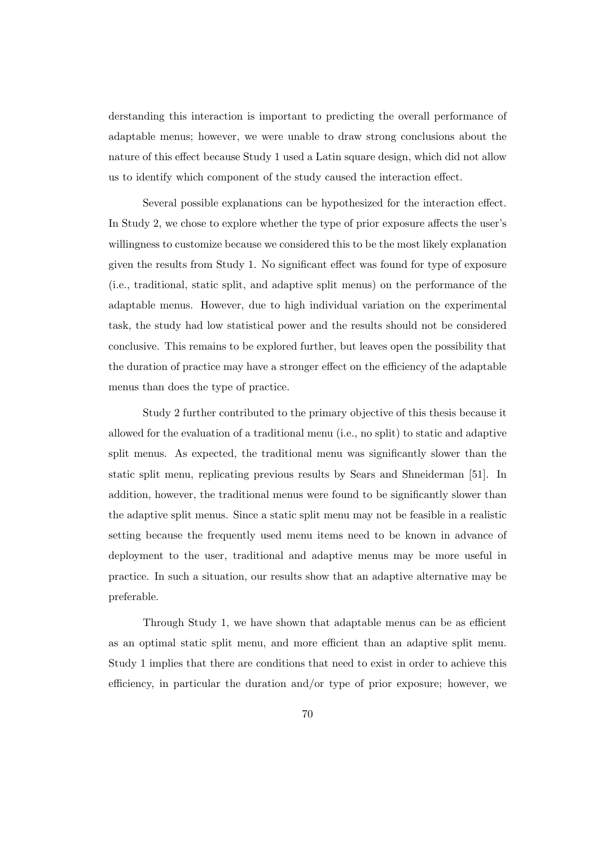derstanding this interaction is important to predicting the overall performance of adaptable menus; however, we were unable to draw strong conclusions about the nature of this effect because Study 1 used a Latin square design, which did not allow us to identify which component of the study caused the interaction effect.

Several possible explanations can be hypothesized for the interaction effect. In Study 2, we chose to explore whether the type of prior exposure affects the user's willingness to customize because we considered this to be the most likely explanation given the results from Study 1. No significant effect was found for type of exposure (i.e., traditional, static split, and adaptive split menus) on the performance of the adaptable menus. However, due to high individual variation on the experimental task, the study had low statistical power and the results should not be considered conclusive. This remains to be explored further, but leaves open the possibility that the duration of practice may have a stronger effect on the efficiency of the adaptable menus than does the type of practice.

Study 2 further contributed to the primary objective of this thesis because it allowed for the evaluation of a traditional menu (i.e., no split) to static and adaptive split menus. As expected, the traditional menu was significantly slower than the static split menu, replicating previous results by Sears and Shneiderman [51]. In addition, however, the traditional menus were found to be significantly slower than the adaptive split menus. Since a static split menu may not be feasible in a realistic setting because the frequently used menu items need to be known in advance of deployment to the user, traditional and adaptive menus may be more useful in practice. In such a situation, our results show that an adaptive alternative may be preferable.

Through Study 1, we have shown that adaptable menus can be as efficient as an optimal static split menu, and more efficient than an adaptive split menu. Study 1 implies that there are conditions that need to exist in order to achieve this efficiency, in particular the duration and/or type of prior exposure; however, we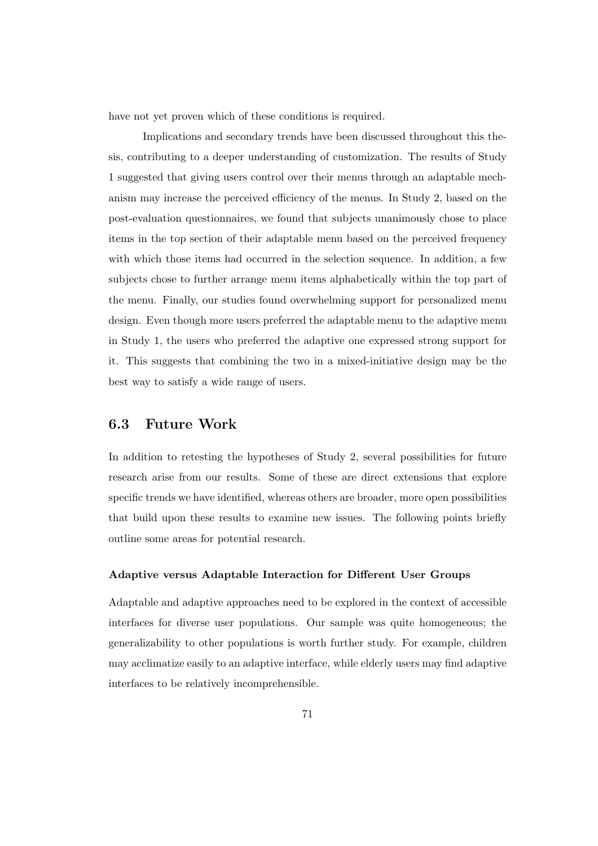have not yet proven which of these conditions is required.

Implications and secondary trends have been discussed throughout this thesis, contributing to a deeper understanding of customization. The results of Study 1 suggested that giving users control over their menus through an adaptable mechanism may increase the perceived efficiency of the menus. In Study 2, based on the post-evaluation questionnaires, we found that subjects unanimously chose to place items in the top section of their adaptable menu based on the perceived frequency with which those items had occurred in the selection sequence. In addition, a few subjects chose to further arrange menu items alphabetically within the top part of the menu. Finally, our studies found overwhelming support for personalized menu design. Even though more users preferred the adaptable menu to the adaptive menu in Study 1, the users who preferred the adaptive one expressed strong support for it. This suggests that combining the two in a mixed-initiative design may be the best way to satisfy a wide range of users.

## 6.3 Future Work

In addition to retesting the hypotheses of Study 2, several possibilities for future research arise from our results. Some of these are direct extensions that explore specific trends we have identified, whereas others are broader, more open possibilities that build upon these results to examine new issues. The following points briefly outline some areas for potential research.

#### Adaptive versus Adaptable Interaction for Different User Groups

Adaptable and adaptive approaches need to be explored in the context of accessible interfaces for diverse user populations. Our sample was quite homogeneous; the generalizability to other populations is worth further study. For example, children may acclimatize easily to an adaptive interface, while elderly users may find adaptive interfaces to be relatively incomprehensible.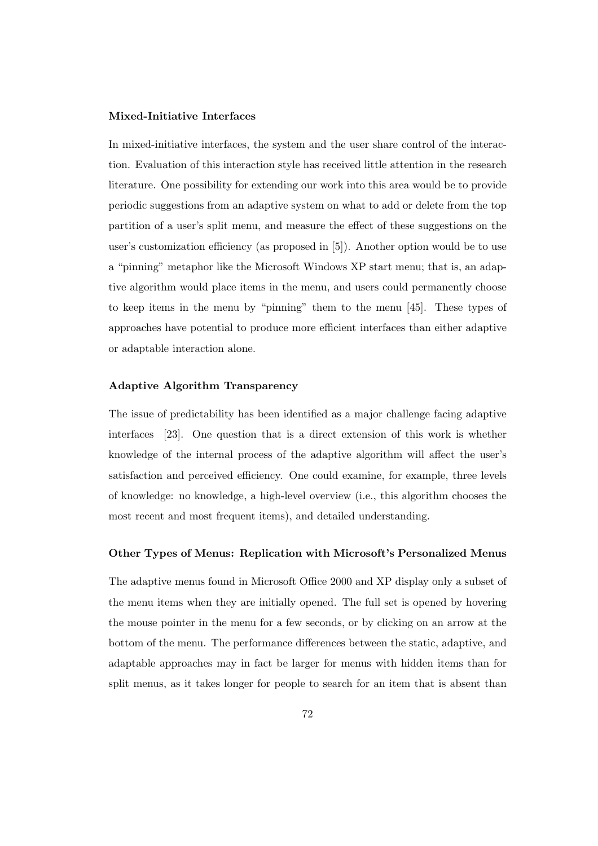### Mixed-Initiative Interfaces

In mixed-initiative interfaces, the system and the user share control of the interaction. Evaluation of this interaction style has received little attention in the research literature. One possibility for extending our work into this area would be to provide periodic suggestions from an adaptive system on what to add or delete from the top partition of a user's split menu, and measure the effect of these suggestions on the user's customization efficiency (as proposed in [5]). Another option would be to use a "pinning" metaphor like the Microsoft Windows XP start menu; that is, an adaptive algorithm would place items in the menu, and users could permanently choose to keep items in the menu by "pinning" them to the menu [45]. These types of approaches have potential to produce more efficient interfaces than either adaptive or adaptable interaction alone.

#### Adaptive Algorithm Transparency

The issue of predictability has been identified as a major challenge facing adaptive interfaces [23]. One question that is a direct extension of this work is whether knowledge of the internal process of the adaptive algorithm will affect the user's satisfaction and perceived efficiency. One could examine, for example, three levels of knowledge: no knowledge, a high-level overview (i.e., this algorithm chooses the most recent and most frequent items), and detailed understanding.

## Other Types of Menus: Replication with Microsoft's Personalized Menus

The adaptive menus found in Microsoft Office 2000 and XP display only a subset of the menu items when they are initially opened. The full set is opened by hovering the mouse pointer in the menu for a few seconds, or by clicking on an arrow at the bottom of the menu. The performance differences between the static, adaptive, and adaptable approaches may in fact be larger for menus with hidden items than for split menus, as it takes longer for people to search for an item that is absent than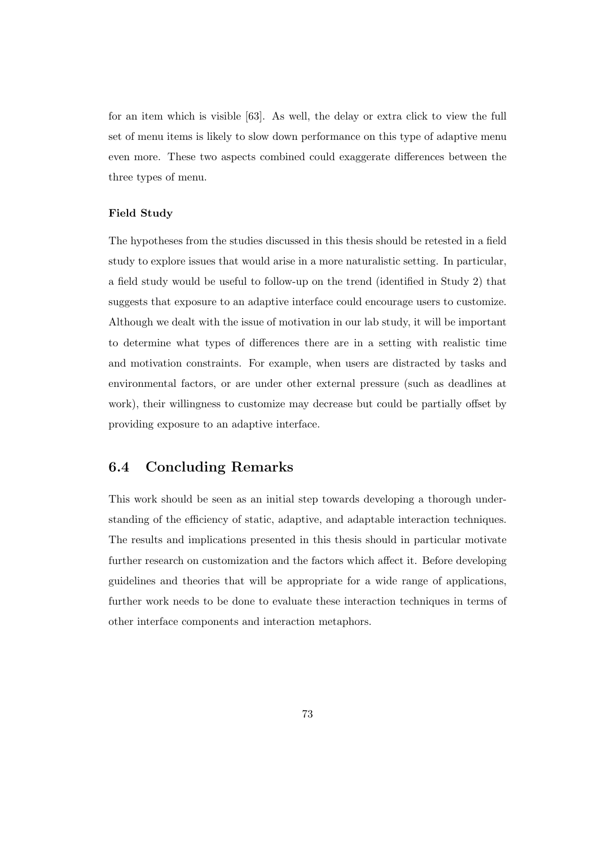for an item which is visible [63]. As well, the delay or extra click to view the full set of menu items is likely to slow down performance on this type of adaptive menu even more. These two aspects combined could exaggerate differences between the three types of menu.

## Field Study

The hypotheses from the studies discussed in this thesis should be retested in a field study to explore issues that would arise in a more naturalistic setting. In particular, a field study would be useful to follow-up on the trend (identified in Study 2) that suggests that exposure to an adaptive interface could encourage users to customize. Although we dealt with the issue of motivation in our lab study, it will be important to determine what types of differences there are in a setting with realistic time and motivation constraints. For example, when users are distracted by tasks and environmental factors, or are under other external pressure (such as deadlines at work), their willingness to customize may decrease but could be partially offset by providing exposure to an adaptive interface.

## 6.4 Concluding Remarks

This work should be seen as an initial step towards developing a thorough understanding of the efficiency of static, adaptive, and adaptable interaction techniques. The results and implications presented in this thesis should in particular motivate further research on customization and the factors which affect it. Before developing guidelines and theories that will be appropriate for a wide range of applications, further work needs to be done to evaluate these interaction techniques in terms of other interface components and interaction metaphors.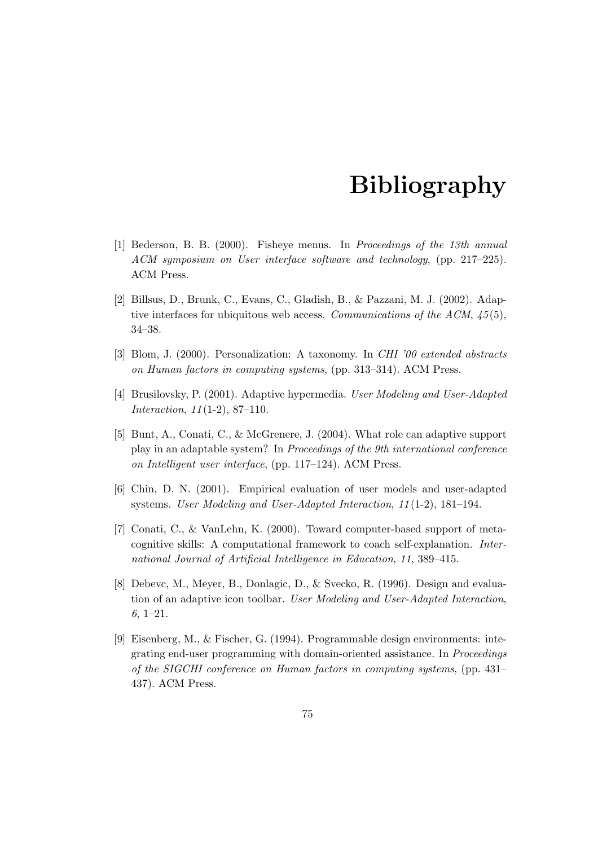## Bibliography

- [1] Bederson, B. B. (2000). Fisheye menus. In Proceedings of the 13th annual ACM symposium on User interface software and technology, (pp. 217–225). ACM Press.
- [2] Billsus, D., Brunk, C., Evans, C., Gladish, B., & Pazzani, M. J. (2002). Adaptive interfaces for ubiquitous web access. Communications of the ACM,  $45(5)$ , 34–38.
- [3] Blom, J. (2000). Personalization: A taxonomy. In CHI '00 extended abstracts on Human factors in computing systems, (pp. 313–314). ACM Press.
- [4] Brusilovsky, P. (2001). Adaptive hypermedia. User Modeling and User-Adapted Interaction, 11 (1-2), 87–110.
- [5] Bunt, A., Conati, C., & McGrenere, J. (2004). What role can adaptive support play in an adaptable system? In Proceedings of the 9th international conference on Intelligent user interface, (pp. 117–124). ACM Press.
- [6] Chin, D. N. (2001). Empirical evaluation of user models and user-adapted systems. User Modeling and User-Adapted Interaction, 11 (1-2), 181–194.
- [7] Conati, C., & VanLehn, K. (2000). Toward computer-based support of metacognitive skills: A computational framework to coach self-explanation. International Journal of Artificial Intelligence in Education, 11, 389–415.
- [8] Debevc, M., Meyer, B., Donlagic, D., & Svecko, R. (1996). Design and evaluation of an adaptive icon toolbar. User Modeling and User-Adapted Interaction, 6, 1–21.
- [9] Eisenberg, M., & Fischer, G. (1994). Programmable design environments: integrating end-user programming with domain-oriented assistance. In Proceedings of the SIGCHI conference on Human factors in computing systems, (pp. 431– 437). ACM Press.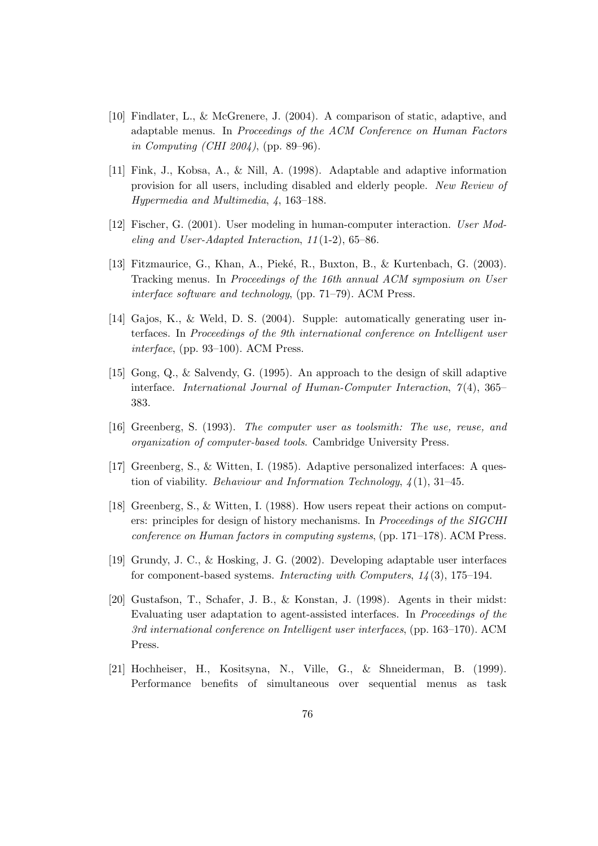- [10] Findlater, L., & McGrenere, J. (2004). A comparison of static, adaptive, and adaptable menus. In Proceedings of the ACM Conference on Human Factors in Computing (CHI 2004), (pp. 89–96).
- [11] Fink, J., Kobsa, A., & Nill, A. (1998). Adaptable and adaptive information provision for all users, including disabled and elderly people. New Review of Hypermedia and Multimedia, 4, 163–188.
- [12] Fischer, G. (2001). User modeling in human-computer interaction. User Modeling and User-Adapted Interaction, 11 (1-2), 65–86.
- [13] Fitzmaurice, G., Khan, A., Pieké, R., Buxton, B., & Kurtenbach, G. (2003). Tracking menus. In Proceedings of the 16th annual ACM symposium on User interface software and technology, (pp. 71–79). ACM Press.
- [14] Gajos, K., & Weld, D. S. (2004). Supple: automatically generating user interfaces. In Proceedings of the 9th international conference on Intelligent user interface, (pp. 93–100). ACM Press.
- [15] Gong, Q., & Salvendy, G. (1995). An approach to the design of skill adaptive interface. International Journal of Human-Computer Interaction,  $7(4)$ , 365– 383.
- [16] Greenberg, S. (1993). The computer user as toolsmith: The use, reuse, and organization of computer-based tools. Cambridge University Press.
- [17] Greenberg, S., & Witten, I. (1985). Adaptive personalized interfaces: A question of viability. *Behaviour and Information Technology*,  $\chi(1)$ , 31–45.
- [18] Greenberg, S., & Witten, I. (1988). How users repeat their actions on computers: principles for design of history mechanisms. In Proceedings of the SIGCHI conference on Human factors in computing systems, (pp. 171–178). ACM Press.
- [19] Grundy, J. C., & Hosking, J. G. (2002). Developing adaptable user interfaces for component-based systems. Interacting with Computers,  $14(3)$ , 175–194.
- [20] Gustafson, T., Schafer, J. B., & Konstan, J. (1998). Agents in their midst: Evaluating user adaptation to agent-assisted interfaces. In Proceedings of the 3rd international conference on Intelligent user interfaces, (pp. 163–170). ACM Press.
- [21] Hochheiser, H., Kositsyna, N., Ville, G., & Shneiderman, B. (1999). Performance benefits of simultaneous over sequential menus as task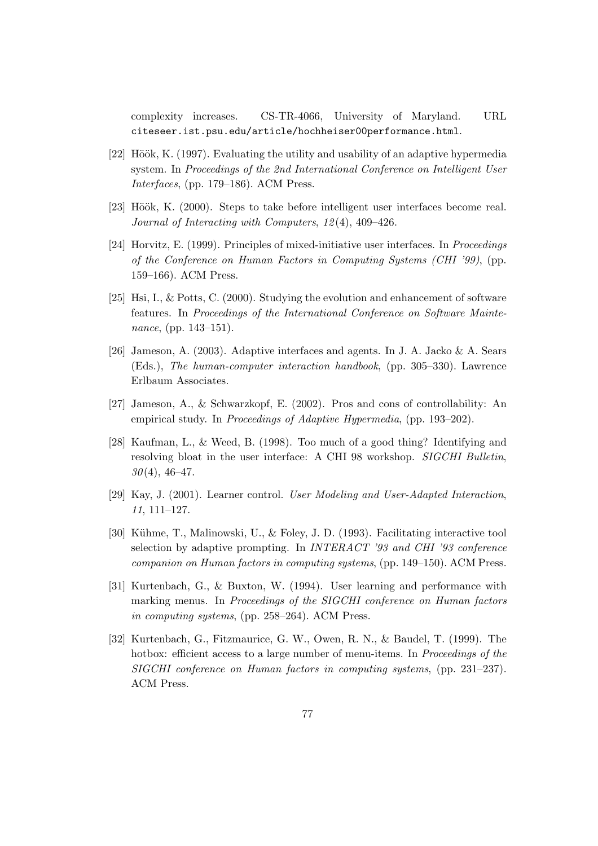complexity increases. CS-TR-4066, University of Maryland. URL citeseer.ist.psu.edu/article/hochheiser00performance.html.

- [22] Höök, K. (1997). Evaluating the utility and usability of an adaptive hypermedia system. In Proceedings of the 2nd International Conference on Intelligent User Interfaces, (pp. 179–186). ACM Press.
- [23] Höök, K. (2000). Steps to take before intelligent user interfaces become real. Journal of Interacting with Computers, 12 (4), 409–426.
- [24] Horvitz, E. (1999). Principles of mixed-initiative user interfaces. In Proceedings of the Conference on Human Factors in Computing Systems (CHI '99), (pp. 159–166). ACM Press.
- [25] Hsi, I., & Potts, C. (2000). Studying the evolution and enhancement of software features. In Proceedings of the International Conference on Software Maintenance, (pp. 143–151).
- [26] Jameson, A. (2003). Adaptive interfaces and agents. In J. A. Jacko & A. Sears (Eds.), The human-computer interaction handbook, (pp. 305–330). Lawrence Erlbaum Associates.
- [27] Jameson, A., & Schwarzkopf, E. (2002). Pros and cons of controllability: An empirical study. In Proceedings of Adaptive Hypermedia, (pp. 193–202).
- [28] Kaufman, L., & Weed, B. (1998). Too much of a good thing? Identifying and resolving bloat in the user interface: A CHI 98 workshop. SIGCHI Bulletin,  $30(4)$ , 46-47.
- [29] Kay, J. (2001). Learner control. User Modeling and User-Adapted Interaction, 11, 111–127.
- [30] Kühme, T., Malinowski, U., & Foley, J. D. (1993). Facilitating interactive tool selection by adaptive prompting. In INTERACT '93 and CHI '93 conference companion on Human factors in computing systems, (pp. 149–150). ACM Press.
- [31] Kurtenbach, G., & Buxton, W. (1994). User learning and performance with marking menus. In Proceedings of the SIGCHI conference on Human factors in computing systems, (pp. 258–264). ACM Press.
- [32] Kurtenbach, G., Fitzmaurice, G. W., Owen, R. N., & Baudel, T. (1999). The hotbox: efficient access to a large number of menu-items. In *Proceedings of the* SIGCHI conference on Human factors in computing systems, (pp. 231–237). ACM Press.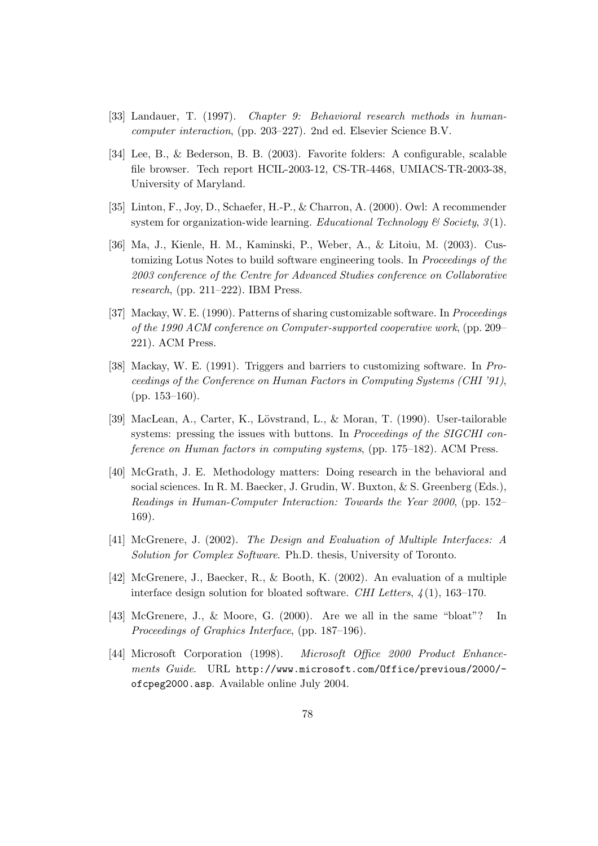- [33] Landauer, T. (1997). Chapter 9: Behavioral research methods in humancomputer interaction, (pp. 203–227). 2nd ed. Elsevier Science B.V.
- [34] Lee, B., & Bederson, B. B. (2003). Favorite folders: A configurable, scalable file browser. Tech report HCIL-2003-12, CS-TR-4468, UMIACS-TR-2003-38, University of Maryland.
- [35] Linton, F., Joy, D., Schaefer, H.-P., & Charron, A. (2000). Owl: A recommender system for organization-wide learning. Educational Technology & Society,  $3(1)$ .
- [36] Ma, J., Kienle, H. M., Kaminski, P., Weber, A., & Litoiu, M. (2003). Customizing Lotus Notes to build software engineering tools. In Proceedings of the 2003 conference of the Centre for Advanced Studies conference on Collaborative research, (pp. 211–222). IBM Press.
- [37] Mackay, W. E. (1990). Patterns of sharing customizable software. In Proceedings of the 1990 ACM conference on Computer-supported cooperative work, (pp. 209– 221). ACM Press.
- [38] Mackay, W. E. (1991). Triggers and barriers to customizing software. In Proceedings of the Conference on Human Factors in Computing Systems (CHI '91), (pp. 153–160).
- [39] MacLean, A., Carter, K., Lövstrand, L., & Moran, T. (1990). User-tailorable systems: pressing the issues with buttons. In Proceedings of the SIGCHI conference on Human factors in computing systems, (pp. 175–182). ACM Press.
- [40] McGrath, J. E. Methodology matters: Doing research in the behavioral and social sciences. In R. M. Baecker, J. Grudin, W. Buxton, & S. Greenberg (Eds.), Readings in Human-Computer Interaction: Towards the Year 2000, (pp. 152– 169).
- [41] McGrenere, J. (2002). The Design and Evaluation of Multiple Interfaces: A Solution for Complex Software. Ph.D. thesis, University of Toronto.
- [42] McGrenere, J., Baecker, R., & Booth, K. (2002). An evaluation of a multiple interface design solution for bloated software. CHI Letters,  $\lambda(1)$ , 163–170.
- [43] McGrenere, J., & Moore, G. (2000). Are we all in the same "bloat"? In Proceedings of Graphics Interface, (pp. 187–196).
- [44] Microsoft Corporation (1998). Microsoft Office 2000 Product Enhancements Guide. URL http://www.microsoft.com/Office/previous/2000/ ofcpeg2000.asp. Available online July 2004.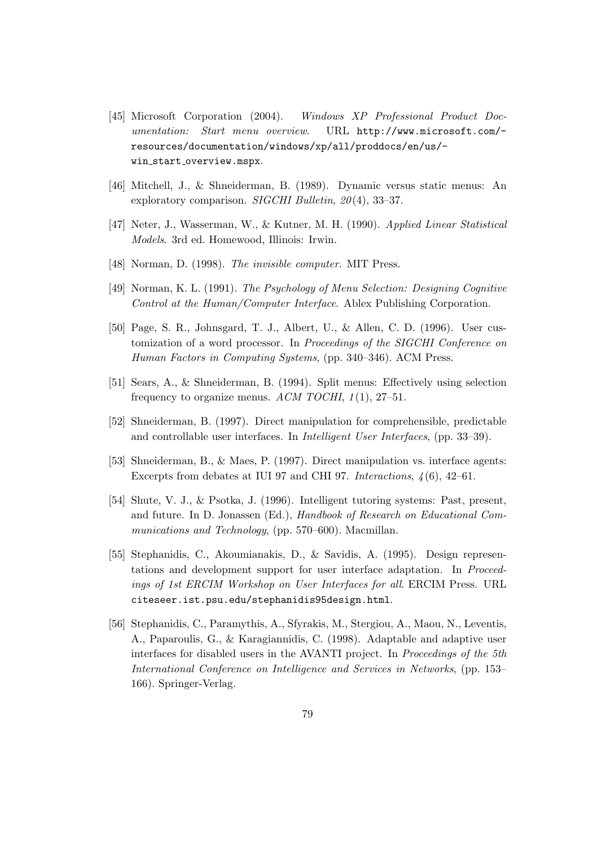- [45] Microsoft Corporation (2004). Windows XP Professional Product Documentation: Start menu overview. URL http://www.microsoft.com/ resources/documentation/windows/xp/all/proddocs/en/us/ win\_start\_overview.mspx.
- [46] Mitchell, J., & Shneiderman, B. (1989). Dynamic versus static menus: An exploratory comparison. *SIGCHI Bulletin*,  $20(4)$ , 33-37.
- [47] Neter, J., Wasserman, W., & Kutner, M. H. (1990). Applied Linear Statistical Models. 3rd ed. Homewood, Illinois: Irwin.
- [48] Norman, D. (1998). *The invisible computer*. MIT Press.
- [49] Norman, K. L. (1991). The Psychology of Menu Selection: Designing Cognitive Control at the Human/Computer Interface. Ablex Publishing Corporation.
- [50] Page, S. R., Johnsgard, T. J., Albert, U., & Allen, C. D. (1996). User customization of a word processor. In Proceedings of the SIGCHI Conference on Human Factors in Computing Systems, (pp. 340–346). ACM Press.
- [51] Sears, A., & Shneiderman, B. (1994). Split menus: Effectively using selection frequency to organize menus. ACM TOCHI,  $1(1)$ , 27-51.
- [52] Shneiderman, B. (1997). Direct manipulation for comprehensible, predictable and controllable user interfaces. In Intelligent User Interfaces, (pp. 33–39).
- [53] Shneiderman, B., & Maes, P. (1997). Direct manipulation vs. interface agents: Excerpts from debates at IUI 97 and CHI 97. Interactions,  $\frac{1}{6}$ , 42–61.
- [54] Shute, V. J., & Psotka, J. (1996). Intelligent tutoring systems: Past, present, and future. In D. Jonassen (Ed.), Handbook of Research on Educational Communications and Technology, (pp. 570–600). Macmillan.
- [55] Stephanidis, C., Akoumianakis, D., & Savidis, A. (1995). Design representations and development support for user interface adaptation. In Proceedings of 1st ERCIM Workshop on User Interfaces for all. ERCIM Press. URL citeseer.ist.psu.edu/stephanidis95design.html.
- [56] Stephanidis, C., Paramythis, A., Sfyrakis, M., Stergiou, A., Maou, N., Leventis, A., Paparoulis, G., & Karagiannidis, C. (1998). Adaptable and adaptive user interfaces for disabled users in the AVANTI project. In Proceedings of the 5th International Conference on Intelligence and Services in Networks, (pp. 153– 166). Springer-Verlag.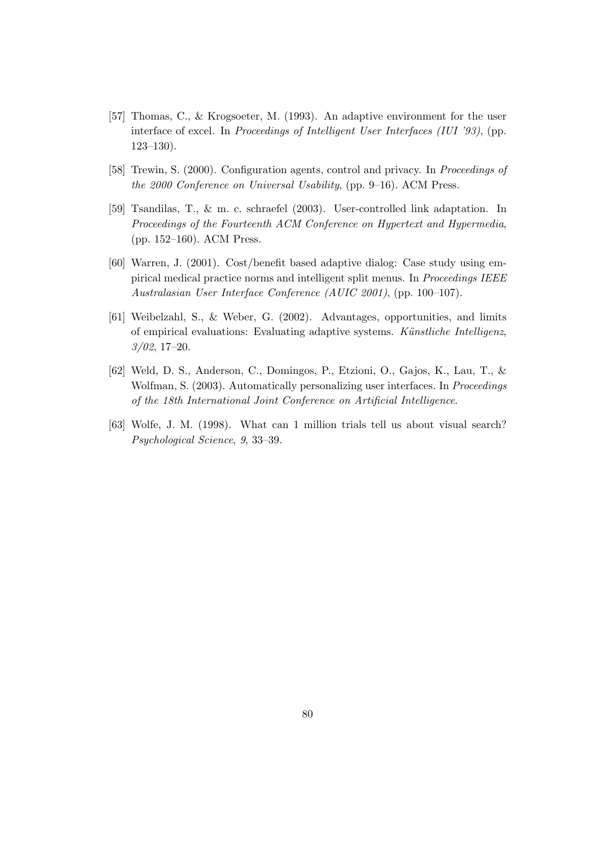- [57] Thomas, C., & Krogsoeter, M. (1993). An adaptive environment for the user interface of excel. In Proceedings of Intelligent User Interfaces (IUI '93), (pp. 123–130).
- [58] Trewin, S. (2000). Configuration agents, control and privacy. In Proceedings of the 2000 Conference on Universal Usability, (pp. 9–16). ACM Press.
- [59] Tsandilas, T., & m. c. schraefel (2003). User-controlled link adaptation. In Proceedings of the Fourteenth ACM Conference on Hypertext and Hypermedia, (pp. 152–160). ACM Press.
- [60] Warren, J. (2001). Cost/benefit based adaptive dialog: Case study using empirical medical practice norms and intelligent split menus. In Proceedings IEEE Australasian User Interface Conference (AUIC 2001), (pp. 100–107).
- [61] Weibelzahl, S., & Weber, G. (2002). Advantages, opportunities, and limits of empirical evaluations: Evaluating adaptive systems. Künstliche Intelligenz, 3/02, 17–20.
- [62] Weld, D. S., Anderson, C., Domingos, P., Etzioni, O., Gajos, K., Lau, T., & Wolfman, S. (2003). Automatically personalizing user interfaces. In Proceedings of the 18th International Joint Conference on Artificial Intelligence.
- [63] Wolfe, J. M. (1998). What can 1 million trials tell us about visual search? Psychological Science, 9, 33–39.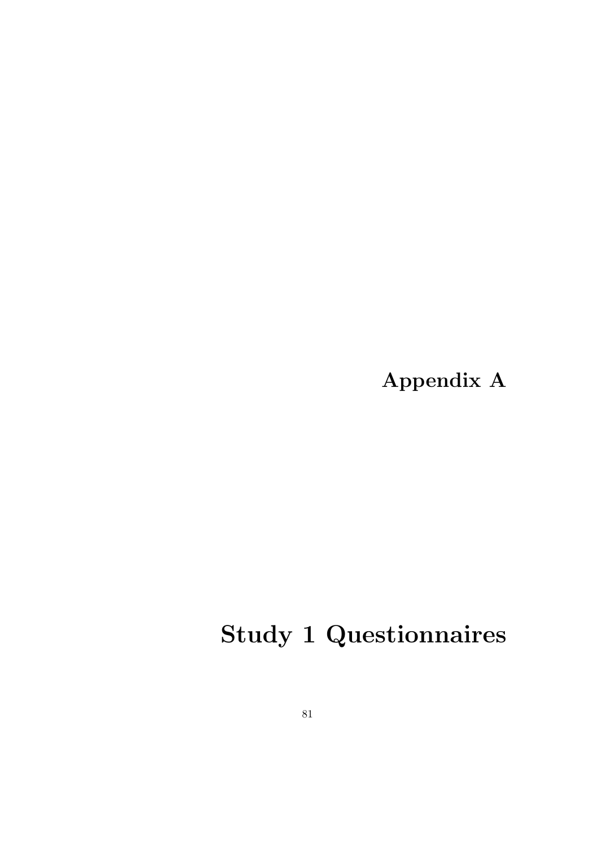Appendix A

# Study 1 Questionnaires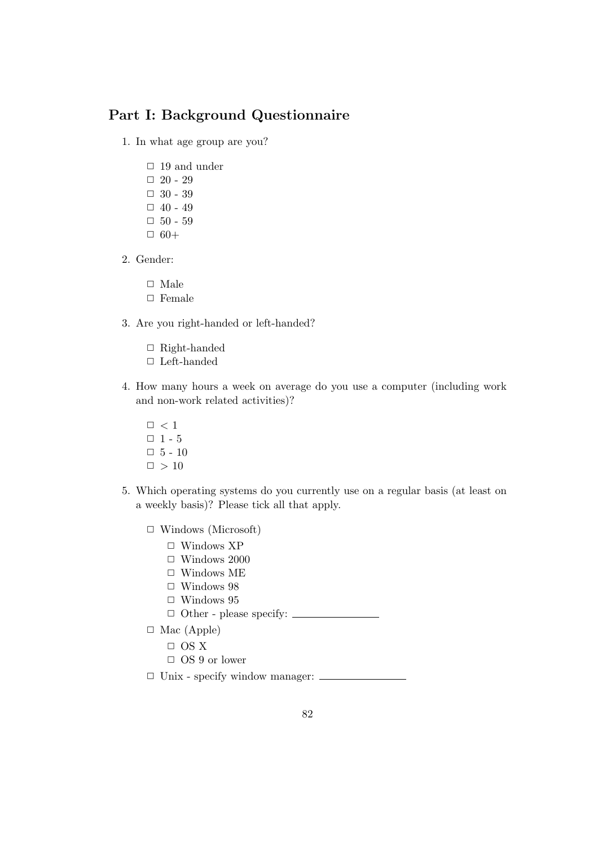## Part I: Background Questionnaire

1. In what age group are you?

- $\Box$  19 and under  $\Box$  20 - 29  $\Box$  30 - 39  $\Box$  40 - 49  $\Box$  50 - 59  $\Box$  60+
- 2. Gender:
	- $\Box$  Male
	- $\hfill \Box$  Female
- 3. Are you right-handed or left-handed?
	- $\Box$  Right-handed
	- $\Box$  Left-handed
- 4. How many hours a week on average do you use a computer (including work and non-work related activities)?
	- $\square\,<1$
	- $\Box$  1 5
	- $\Box$  5 10
	- $\Box > 10$
- 5. Which operating systems do you currently use on a regular basis (at least on a weekly basis)? Please tick all that apply.
	- $\Box$  Windows (Microsoft)
		- $\Box$  Windows XP
		- $\Box$  Windows 2000
		- $\Box$  Windows ME
		- $\Box$  Windows 98
		- $\Box$  Windows 95
		- $\hfill\Box$ <br> <br> Other please specify: <br> <br> <br> <br> <br>
	- $\Box$  Mac (Apple)
		- $\Box$  OS X
		- $\Box$  OS 9 or lower
	- $\Box$  Unix specify window manager:  $\Box$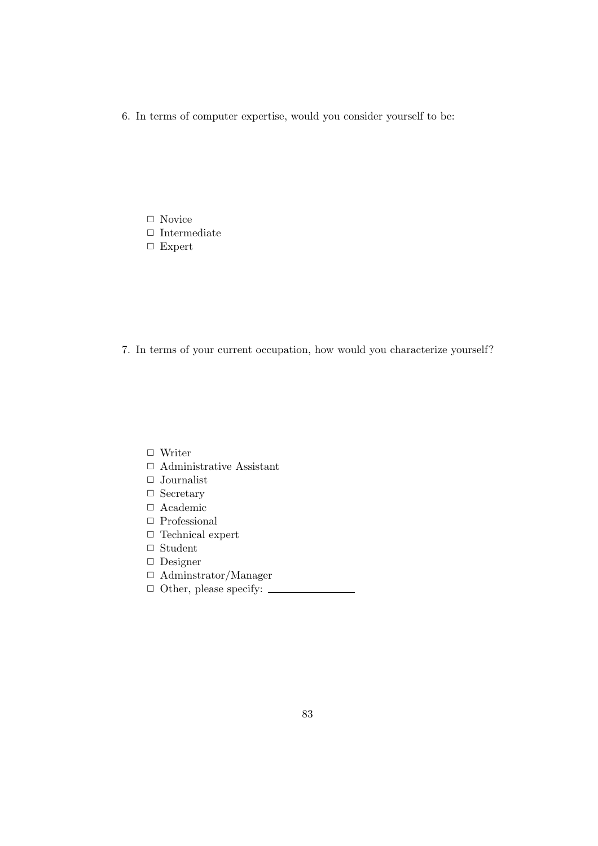6. In terms of computer expertise, would you consider yourself to be:

- $\Box$  Novice
- $\hfill\Box$ <br> <br> Intermediate
- □ Expert

7. In terms of your current occupation, how would you characterize yourself?

- $\hfill\Box\,$  Writer
- $\hfill\Box$  <br> Administrative Assistant
- $\hfill\Box$  Journalist
- $\Box$  Secretary
- $\Box$  Academic
- $\hfill\Box$  Professional
- $\Box$  Technical expert
- $\hfill\Box$ <br> <br> Student
- ✷ Designer
- $\Box$  Adminstrator/Manager
- $\Box$  Other, please specify: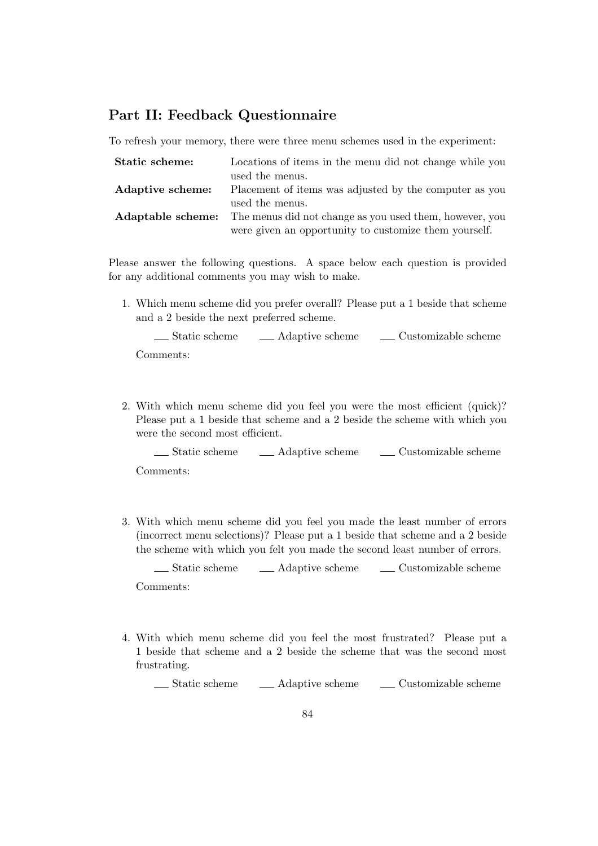## Part II: Feedback Questionnaire

To refresh your memory, there were three menu schemes used in the experiment:

| Static scheme:   | Locations of items in the menu did not change while you                          |  |
|------------------|----------------------------------------------------------------------------------|--|
|                  | used the menus.                                                                  |  |
| Adaptive scheme: | Placement of items was adjusted by the computer as you                           |  |
|                  | used the menus.                                                                  |  |
|                  | <b>Adaptable scheme:</b> The menus did not change as you used them, however, you |  |
|                  | were given an opportunity to customize them yourself.                            |  |

Please answer the following questions. A space below each question is provided for any additional comments you may wish to make.

1. Which menu scheme did you prefer overall? Please put a 1 beside that scheme and a 2 beside the next preferred scheme.

Static scheme Adaptive scheme Customizable scheme Comments:

2. With which menu scheme did you feel you were the most efficient (quick)? Please put a 1 beside that scheme and a 2 beside the scheme with which you were the second most efficient.

 $\Box$  Static scheme  $\Box$  Adaptive scheme  $\Box$  Customizable scheme Comments:

3. With which menu scheme did you feel you made the least number of errors (incorrect menu selections)? Please put a 1 beside that scheme and a 2 beside the scheme with which you felt you made the second least number of errors.

 $\Box$  Static scheme  $\Box$  Adaptive scheme  $\Box$  Customizable scheme Comments:

4. With which menu scheme did you feel the most frustrated? Please put a 1 beside that scheme and a 2 beside the scheme that was the second most frustrating.

Static scheme Adaptive scheme Customizable scheme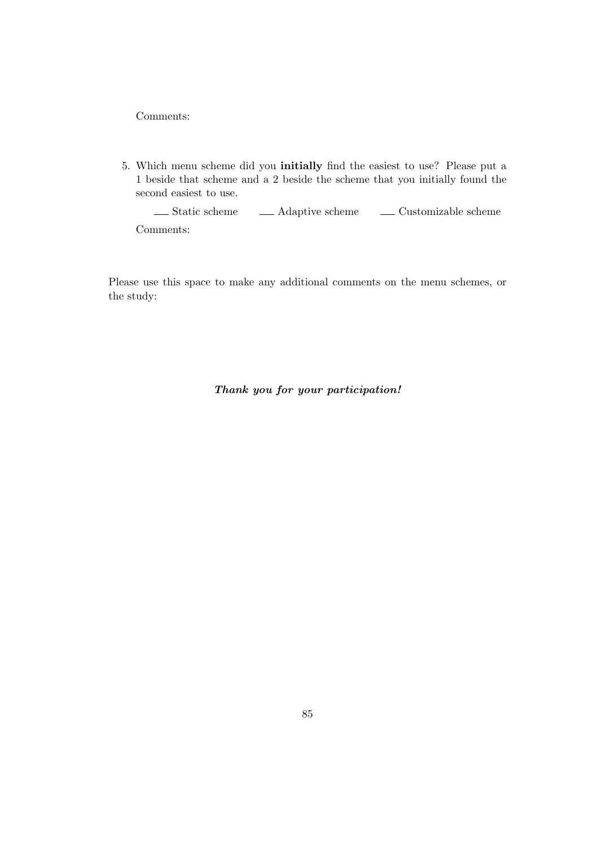Comments:

5. Which menu scheme did you initially find the easiest to use? Please put a 1 beside that scheme and a 2 beside the scheme that you initially found the second easiest to use.

 $\begin{tabular}{ll} \textbf{\textcolor{blue}{\bf{1}}\end{tabular} \begin{tabular}{p{0.8cm} \bf{1}} \end{tabular} \begin{tabular}{p{0.8cm} \bf{2}} \end{tabular} \begin{tabular}{p{0.8cm} \bf{2}} \end{tabular} \begin{tabular}{p{0.8cm} \bf{2}} \end{tabular} \begin{tabular}{p{0.8cm} \bf{2}} \end{tabular} \begin{tabular}{p{0.8cm} \bf{2}} \end{tabular} \begin{tabular}{p{0.8cm} \bf{2}} \end{tabular} \begin{tabular}{p{0.8cm} \bf{2}} \end{tabular}$ Comments:

Please use this space to make any additional comments on the menu schemes, or the study:

Thank you for your participation!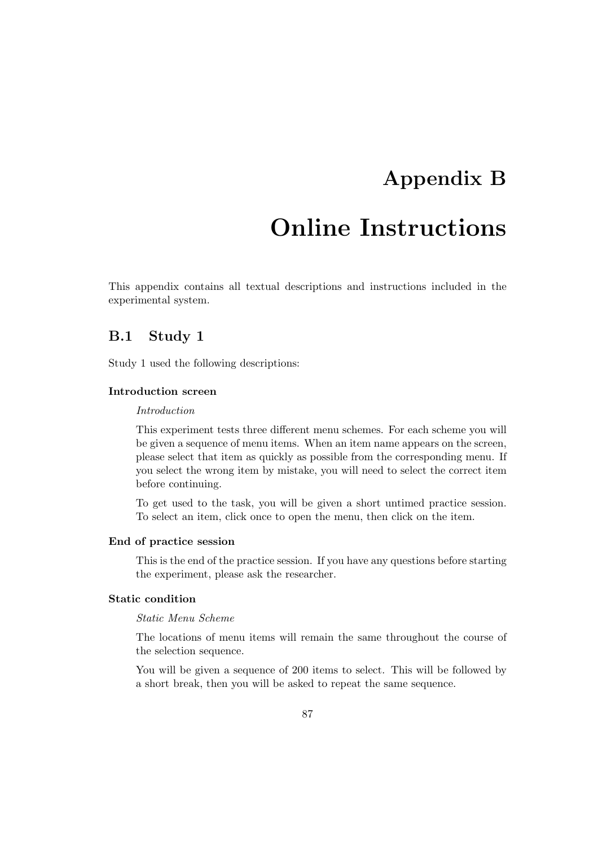## Appendix B

## Online Instructions

This appendix contains all textual descriptions and instructions included in the experimental system.

## B.1 Study 1

Study 1 used the following descriptions:

## Introduction screen

#### Introduction

This experiment tests three different menu schemes. For each scheme you will be given a sequence of menu items. When an item name appears on the screen, please select that item as quickly as possible from the corresponding menu. If you select the wrong item by mistake, you will need to select the correct item before continuing.

To get used to the task, you will be given a short untimed practice session. To select an item, click once to open the menu, then click on the item.

#### End of practice session

This is the end of the practice session. If you have any questions before starting the experiment, please ask the researcher.

## Static condition

### Static Menu Scheme

The locations of menu items will remain the same throughout the course of the selection sequence.

You will be given a sequence of 200 items to select. This will be followed by a short break, then you will be asked to repeat the same sequence.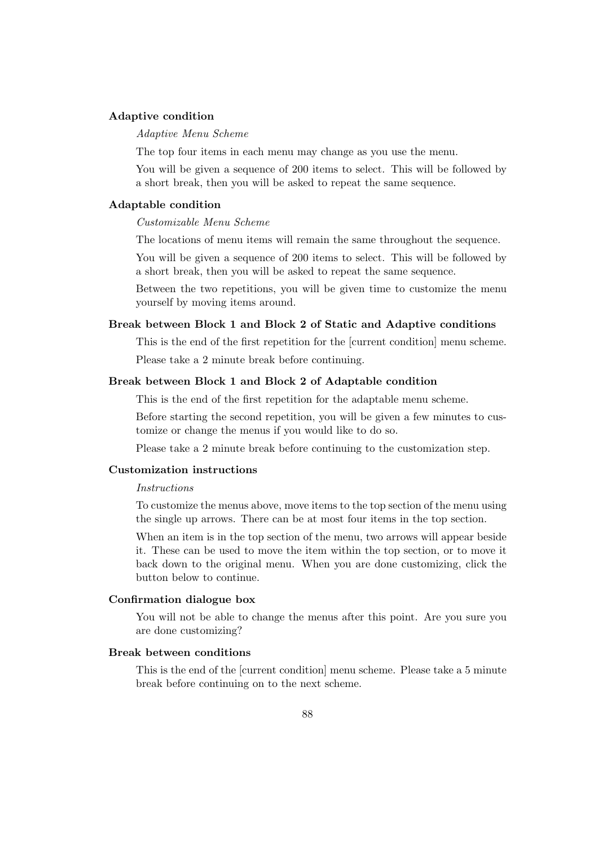### Adaptive condition

#### Adaptive Menu Scheme

The top four items in each menu may change as you use the menu.

You will be given a sequence of 200 items to select. This will be followed by a short break, then you will be asked to repeat the same sequence.

### Adaptable condition

Customizable Menu Scheme

The locations of menu items will remain the same throughout the sequence.

You will be given a sequence of 200 items to select. This will be followed by a short break, then you will be asked to repeat the same sequence.

Between the two repetitions, you will be given time to customize the menu yourself by moving items around.

#### Break between Block 1 and Block 2 of Static and Adaptive conditions

This is the end of the first repetition for the [current condition] menu scheme. Please take a 2 minute break before continuing.

## Break between Block 1 and Block 2 of Adaptable condition

This is the end of the first repetition for the adaptable menu scheme.

Before starting the second repetition, you will be given a few minutes to customize or change the menus if you would like to do so.

Please take a 2 minute break before continuing to the customization step.

#### Customization instructions

#### Instructions

To customize the menus above, move items to the top section of the menu using the single up arrows. There can be at most four items in the top section.

When an item is in the top section of the menu, two arrows will appear beside it. These can be used to move the item within the top section, or to move it back down to the original menu. When you are done customizing, click the button below to continue.

## Confirmation dialogue box

You will not be able to change the menus after this point. Are you sure you are done customizing?

## Break between conditions

This is the end of the [current condition] menu scheme. Please take a 5 minute break before continuing on to the next scheme.